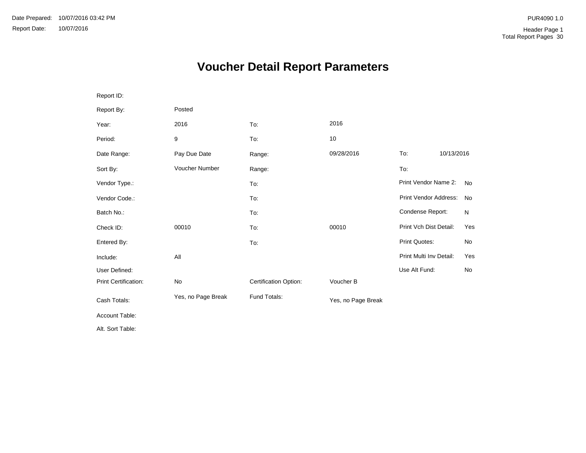# **Voucher Detail Report Parameters**

| Report ID:           |                    |                       |                    |                         |            |           |
|----------------------|--------------------|-----------------------|--------------------|-------------------------|------------|-----------|
| Report By:           | Posted             |                       |                    |                         |            |           |
| Year:                | 2016               | To:                   | 2016               |                         |            |           |
| Period:              | 9                  | To:                   | 10                 |                         |            |           |
| Date Range:          | Pay Due Date       | Range:                | 09/28/2016         | To:                     | 10/13/2016 |           |
| Sort By:             | Voucher Number     | Range:                |                    | To:                     |            |           |
| Vendor Type.:        |                    | To:                   |                    | Print Vendor Name 2:    |            | <b>No</b> |
| Vendor Code.:        |                    | To:                   |                    | Print Vendor Address:   |            | No        |
| Batch No.:           |                    | To:                   |                    | Condense Report:        |            | N         |
| Check ID:            | 00010              | To:                   | 00010              | Print Vch Dist Detail:  |            | Yes       |
| Entered By:          |                    | To:                   |                    | Print Quotes:           |            | No        |
| Include:             | All                |                       |                    | Print Multi Inv Detail: |            | Yes       |
| User Defined:        |                    |                       |                    | Use Alt Fund:           |            | No        |
| Print Certification: | No                 | Certification Option: | Voucher B          |                         |            |           |
| Cash Totals:         | Yes, no Page Break | Fund Totals:          | Yes, no Page Break |                         |            |           |
| Account Table:       |                    |                       |                    |                         |            |           |
| Alt. Sort Table:     |                    |                       |                    |                         |            |           |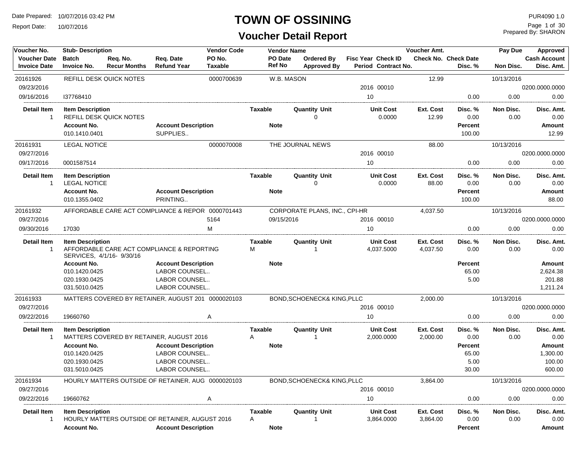Report Date: 10/07/2016

## **TOWN OF OSSINING**

| Voucher No.                                | <b>Stub-Description</b>                        |                                                                         |                                             | <b>Vendor Code</b>       |                     | <b>Vendor Name</b> |                                      |                                                  | Voucher Amt.          |                                 | Pay Due           | Approved                          |
|--------------------------------------------|------------------------------------------------|-------------------------------------------------------------------------|---------------------------------------------|--------------------------|---------------------|--------------------|--------------------------------------|--------------------------------------------------|-----------------------|---------------------------------|-------------------|-----------------------------------|
| <b>Voucher Date</b><br><b>Invoice Date</b> | <b>Batch</b><br><b>Invoice No.</b>             | Req. No.<br><b>Recur Months</b>                                         | Req. Date<br><b>Refund Year</b>             | PO No.<br><b>Taxable</b> | <b>Ref No</b>       | PO Date            | Ordered By<br><b>Approved By</b>     | <b>Fisc Year Check ID</b><br>Period Contract No. |                       | Check No. Check Date<br>Disc. % | <b>Non Disc.</b>  | <b>Cash Account</b><br>Disc. Amt. |
| 20161926                                   |                                                | <b>REFILL DESK QUICK NOTES</b>                                          |                                             | 0000700639               |                     | W.B. MASON         |                                      |                                                  | 12.99                 |                                 | 10/13/2016        |                                   |
| 09/23/2016                                 |                                                |                                                                         |                                             |                          |                     |                    |                                      | 2016 00010                                       |                       |                                 |                   | 0200.0000.0000                    |
| 09/16/2016                                 | 137768410                                      |                                                                         |                                             |                          |                     |                    |                                      | 10 <sup>1</sup>                                  |                       | 0.00                            | 0.00              | 0.00                              |
| <b>Detail Item</b><br>$\mathbf{1}$         | <b>Item Description</b>                        | <b>REFILL DESK QUICK NOTES</b>                                          |                                             |                          | Taxable             |                    | <b>Quantity Unit</b><br>$\Omega$     | <b>Unit Cost</b><br>0.0000                       | Ext. Cost<br>12.99    | Disc. %<br>0.00                 | Non Disc.<br>0.00 | Disc. Amt.<br>0.00                |
|                                            | <b>Account No.</b>                             |                                                                         | <b>Account Description</b>                  |                          | <b>Note</b>         |                    |                                      |                                                  |                       | <b>Percent</b>                  |                   | Amount                            |
|                                            | 010.1410.0401                                  |                                                                         | SUPPLIES                                    |                          |                     |                    |                                      |                                                  |                       | 100.00                          |                   | 12.99                             |
| 20161931                                   | <b>LEGAL NOTICE</b>                            |                                                                         |                                             | 0000070008               |                     |                    | THE JOURNAL NEWS                     |                                                  | 88.00                 |                                 | 10/13/2016        |                                   |
| 09/27/2016                                 |                                                |                                                                         |                                             |                          |                     |                    |                                      | 2016 00010                                       |                       |                                 |                   | 0200.0000.0000                    |
| 09/17/2016                                 | 0001587514                                     |                                                                         |                                             |                          |                     |                    |                                      | 10                                               |                       | 0.00                            | 0.00              | 0.00                              |
| Detail Item<br>1                           | <b>Item Description</b><br><b>LEGAL NOTICE</b> |                                                                         |                                             |                          | <b>Taxable</b>      |                    | <b>Quantity Unit</b><br>$\Omega$     | <b>Unit Cost</b><br>0.0000                       | Ext. Cost<br>88.00    | Disc. %<br>0.00                 | Non Disc.<br>0.00 | Disc. Amt.<br>0.00                |
|                                            | <b>Account No.</b><br>010.1355.0402            |                                                                         | <b>Account Description</b><br>PRINTING      |                          | <b>Note</b>         |                    |                                      |                                                  |                       | <b>Percent</b><br>100.00        |                   | Amount<br>88.00                   |
| 20161932                                   |                                                | AFFORDABLE CARE ACT COMPLIANCE & REPOR 0000701443                       |                                             |                          |                     |                    | CORPORATE PLANS, INC., CPI-HR        |                                                  | 4,037.50              |                                 | 10/13/2016        |                                   |
| 09/27/2016                                 |                                                |                                                                         |                                             | 5164                     |                     | 09/15/2016         |                                      | 2016 00010                                       |                       |                                 |                   | 0200.0000.0000                    |
| 09/30/2016                                 | 17030                                          |                                                                         | M                                           |                          |                     |                    |                                      | 10                                               |                       | 0.00                            | 0.00              | 0.00                              |
| Detail Item<br>$\mathbf{1}$                | <b>Item Description</b>                        | AFFORDABLE CARE ACT COMPLIANCE & REPORTING<br>SERVICES, 4/1/16- 9/30/16 |                                             |                          | <b>Taxable</b><br>М |                    | <b>Quantity Unit</b>                 | <b>Unit Cost</b><br>4,037.5000                   | Ext. Cost<br>4,037.50 | Disc. %<br>0.00                 | Non Disc.<br>0.00 | Disc. Amt.<br>0.00                |
|                                            | <b>Account No.</b><br>010.1420.0425            |                                                                         | <b>Account Description</b><br>LABOR COUNSEL |                          | <b>Note</b>         |                    |                                      |                                                  |                       | <b>Percent</b><br>65.00         |                   | Amount<br>2,624.38                |
|                                            | 020.1930.0425                                  |                                                                         | <b>LABOR COUNSEL</b>                        |                          |                     |                    |                                      |                                                  |                       | 5.00                            |                   | 201.88                            |
|                                            | 031.5010.0425                                  |                                                                         | LABOR COUNSEL                               |                          |                     |                    |                                      |                                                  |                       |                                 |                   | 1,211.24                          |
| 20161933                                   |                                                | MATTERS COVERED BY RETAINER, AUGUST 201 0000020103                      |                                             |                          |                     |                    | BOND, SCHOENECK& KING, PLLC          |                                                  | 2,000.00              |                                 | 10/13/2016        |                                   |
| 09/27/2016                                 |                                                |                                                                         |                                             |                          |                     |                    |                                      | 2016 00010                                       |                       |                                 |                   | 0200.0000.0000                    |
| 09/22/2016                                 | 19660760                                       |                                                                         |                                             | Α                        |                     |                    |                                      | 10                                               |                       | 0.00                            | 0.00              | 0.00                              |
| Detail Item<br>$\mathbf{1}$                | <b>Item Description</b>                        | MATTERS COVERED BY RETAINER, AUGUST 2016                                |                                             |                          | <b>Taxable</b><br>Α |                    | <b>Quantity Unit</b><br>$\mathbf{1}$ | <b>Unit Cost</b><br>2,000.0000                   | Ext. Cost<br>2,000.00 | Disc. %<br>0.00                 | Non Disc.<br>0.00 | Disc. Amt.<br>0.00                |
|                                            | <b>Account No.</b>                             |                                                                         | <b>Account Description</b>                  |                          | <b>Note</b>         |                    |                                      |                                                  |                       | <b>Percent</b>                  |                   | Amount                            |
|                                            | 010.1420.0425                                  |                                                                         | LABOR COUNSEL                               |                          |                     |                    |                                      |                                                  |                       | 65.00                           |                   | 1,300.00                          |
|                                            | 020.1930.0425                                  |                                                                         | LABOR COUNSEL                               |                          |                     |                    |                                      |                                                  |                       | 5.00                            |                   | 100.00                            |
|                                            | 031.5010.0425                                  |                                                                         | LABOR COUNSEL                               |                          |                     |                    |                                      |                                                  |                       | 30.00                           |                   | 600.00                            |
| 20161934                                   |                                                | HOURLY MATTERS OUTSIDE OF RETAINER. AUG 0000020103                      |                                             |                          |                     |                    | BOND, SCHOENECK& KING, PLLC          |                                                  | 3,864.00              |                                 | 10/13/2016        |                                   |
| 09/27/2016                                 |                                                |                                                                         |                                             |                          |                     |                    |                                      | 2016 00010                                       |                       |                                 |                   | 0200.0000.0000                    |
| 09/22/2016                                 | 19660762                                       |                                                                         |                                             | Α                        |                     |                    |                                      | 10                                               |                       | 0.00                            | 0.00              | 0.00                              |
| <b>Detail Item</b><br>$\mathbf{1}$         | <b>Item Description</b>                        | HOURLY MATTERS OUTSIDE OF RETAINER, AUGUST 2016                         |                                             |                          | Taxable<br>A        |                    | <b>Quantity Unit</b><br>$\mathbf{1}$ | <b>Unit Cost</b><br>3,864.0000                   | Ext. Cost<br>3,864.00 | Disc. %<br>0.00                 | Non Disc.<br>0.00 | Disc. Amt.<br>0.00                |
|                                            | <b>Account No.</b>                             |                                                                         | <b>Account Description</b>                  |                          | <b>Note</b>         |                    |                                      |                                                  |                       | <b>Percent</b>                  |                   | Amount                            |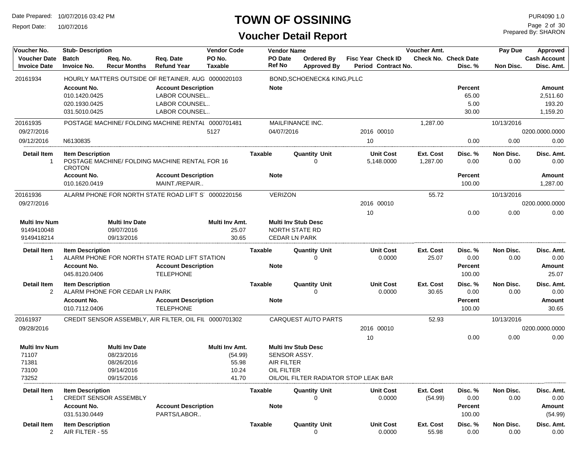Report Date: 10/07/2016

#### **TOWN OF OSSINING**

## **Voucher Detail Report**

Prepared By: SHARON Page 2 of 30

| Voucher No.                                | <b>Vendor Code</b><br><b>Stub-Description</b> |                                 |                                                        |                          |                | <b>Vendor Name</b>         |                                       |                           |                                | <b>Voucher Amt.</b>   |                                        | Pay Due           | Approved                          |
|--------------------------------------------|-----------------------------------------------|---------------------------------|--------------------------------------------------------|--------------------------|----------------|----------------------------|---------------------------------------|---------------------------|--------------------------------|-----------------------|----------------------------------------|-------------------|-----------------------------------|
| <b>Voucher Date</b><br><b>Invoice Date</b> | <b>Batch</b><br><b>Invoice No.</b>            | Req. No.<br><b>Recur Months</b> | Req. Date<br><b>Refund Year</b>                        | PO No.<br><b>Taxable</b> |                | PO Date<br>Ref No          | Ordered By<br><b>Approved By</b>      | <b>Fisc Year Check ID</b> | Period Contract No.            |                       | <b>Check No. Check Date</b><br>Disc. % | Non Disc.         | <b>Cash Account</b><br>Disc. Amt. |
| 20161934                                   |                                               |                                 | HOURLY MATTERS OUTSIDE OF RETAINER, AUG 0000020103     |                          |                |                            | BOND, SCHOENECK& KING, PLLC           |                           |                                |                       |                                        |                   |                                   |
|                                            | <b>Account No.</b>                            |                                 | <b>Account Description</b>                             |                          |                | <b>Note</b>                |                                       |                           |                                |                       | <b>Percent</b>                         |                   | Amount                            |
|                                            | 010.1420.0425                                 |                                 | LABOR COUNSEL                                          |                          |                |                            |                                       |                           |                                |                       | 65.00                                  |                   | 2,511.60                          |
|                                            | 020.1930.0425                                 |                                 | LABOR COUNSEL                                          |                          |                |                            |                                       |                           |                                |                       | 5.00                                   |                   | 193.20                            |
|                                            | 031.5010.0425                                 |                                 | LABOR COUNSEL                                          |                          |                |                            |                                       |                           |                                |                       | 30.00                                  |                   | 1,159.20                          |
| 20161935                                   |                                               |                                 | POSTAGE MACHINE/ FOLDING MACHINE RENTAL 0000701481     |                          |                | MAILFINANCE INC.           |                                       |                           |                                | 1,287.00              |                                        | 10/13/2016        |                                   |
| 09/27/2016                                 |                                               |                                 |                                                        | 5127                     |                | 04/07/2016                 |                                       |                           | 2016 00010                     |                       |                                        |                   | 0200.0000.0000                    |
| 09/12/2016                                 | N6130835                                      |                                 |                                                        |                          |                |                            |                                       | 10                        |                                |                       | 0.00                                   | 0.00              | 0.00                              |
| <b>Detail Item</b><br>-1                   | <b>Item Description</b><br><b>CROTON</b>      |                                 | POSTAGE MACHINE/ FOLDING MACHINE RENTAL FOR 16         |                          | Taxable        |                            | <b>Quantity Unit</b><br>$\Omega$      |                           | <b>Unit Cost</b><br>5,148.0000 | Ext. Cost<br>1,287.00 | Disc. %<br>0.00                        | Non Disc.<br>0.00 | Disc. Amt.<br>0.00                |
|                                            | <b>Account No.</b>                            |                                 | <b>Account Description</b>                             |                          |                | <b>Note</b>                |                                       |                           |                                |                       | <b>Percent</b>                         |                   | Amount                            |
|                                            | 010.1620.0419                                 |                                 | MAINT./REPAIR                                          |                          |                |                            |                                       |                           |                                |                       | 100.00                                 |                   | 1,287.00                          |
| 20161936                                   |                                               |                                 | ALARM PHONE FOR NORTH STATE ROAD LIFT S' 0000220156    |                          |                | <b>VERIZON</b>             |                                       |                           |                                | 55.72                 |                                        | 10/13/2016        |                                   |
| 09/27/2016                                 |                                               |                                 |                                                        |                          |                |                            |                                       |                           | 2016 00010                     |                       |                                        |                   | 0200.0000.0000                    |
|                                            |                                               |                                 |                                                        |                          |                |                            |                                       | 10                        |                                |                       | 0.00                                   | 0.00              | 0.00                              |
| <b>Multi Inv Num</b>                       |                                               | <b>Multi Inv Date</b>           |                                                        | Multi Inv Amt.           |                | <b>Multi Inv Stub Desc</b> |                                       |                           |                                |                       |                                        |                   |                                   |
| 9149410048                                 |                                               | 09/07/2016                      |                                                        | 25.07                    |                | <b>NORTH STATE RD</b>      |                                       |                           |                                |                       |                                        |                   |                                   |
| 9149418214                                 |                                               | 09/13/2016                      |                                                        | 30.65                    |                | <b>CEDAR LN PARK</b>       |                                       |                           |                                |                       |                                        |                   |                                   |
| Detail Item<br>-1                          | <b>Item Description</b>                       |                                 | ALARM PHONE FOR NORTH STATE ROAD LIFT STATION          |                          | <b>Taxable</b> |                            | <b>Quantity Unit</b><br>$\Omega$      |                           | <b>Unit Cost</b><br>0.0000     | Ext. Cost<br>25.07    | Disc. %<br>0.00                        | Non Disc.<br>0.00 | Disc. Amt.<br>0.00                |
|                                            | <b>Account No.</b><br>045.8120.0406           |                                 | <b>Account Description</b><br><b>TELEPHONE</b>         |                          |                | <b>Note</b>                |                                       |                           |                                |                       | <b>Percent</b><br>100.00               |                   | Amount<br>25.07                   |
| <b>Detail Item</b><br>2                    | <b>Item Description</b>                       | ALARM PHONE FOR CEDAR LN PARK   |                                                        |                          | <b>Taxable</b> |                            | <b>Quantity Unit</b><br>$\Omega$      |                           | <b>Unit Cost</b><br>0.0000     | Ext. Cost<br>30.65    | Disc. %<br>0.00                        | Non Disc.<br>0.00 | Disc. Amt.<br>0.00                |
|                                            | <b>Account No.</b><br>010.7112.0406           |                                 | <b>Account Description</b><br><b>TELEPHONE</b>         |                          |                | <b>Note</b>                |                                       |                           |                                |                       | <b>Percent</b><br>100.00               |                   | Amount<br>30.65                   |
| 20161937                                   |                                               |                                 | CREDIT SENSOR ASSEMBLY, AIR FILTER, OIL FIL 0000701302 |                          |                |                            | <b>CARQUEST AUTO PARTS</b>            |                           |                                | 52.93                 |                                        | 10/13/2016        |                                   |
| 09/28/2016                                 |                                               |                                 |                                                        |                          |                |                            |                                       |                           | 2016 00010                     |                       |                                        |                   | 0200.0000.0000                    |
|                                            |                                               |                                 |                                                        |                          |                |                            |                                       | 10                        |                                |                       | 0.00                                   | 0.00              | 0.00                              |
| <b>Multi Inv Num</b>                       |                                               | <b>Multi Inv Date</b>           |                                                        | Multi Inv Amt.           |                | <b>Multi Inv Stub Desc</b> |                                       |                           |                                |                       |                                        |                   |                                   |
| 71107                                      |                                               | 08/23/2016                      |                                                        | (54.99)                  |                | SENSOR ASSY.               |                                       |                           |                                |                       |                                        |                   |                                   |
| 71381                                      |                                               | 08/26/2016                      |                                                        | 55.98                    |                | <b>AIR FILTER</b>          |                                       |                           |                                |                       |                                        |                   |                                   |
| 73100                                      |                                               | 09/14/2016                      |                                                        | 10.24                    |                | OIL FILTER                 |                                       |                           |                                |                       |                                        |                   |                                   |
| 73252                                      |                                               | 09/15/2016                      |                                                        | 41.70                    |                |                            | OIL/OIL FILTER RADIATOR STOP LEAK BAR |                           |                                |                       |                                        |                   |                                   |
| Detail Item<br>$\overline{1}$              | <b>Item Description</b>                       | <b>CREDIT SENSOR ASSEMBLY</b>   |                                                        |                          | Taxable        |                            | <b>Quantity Unit</b>                  |                           | <b>Unit Cost</b><br>0.0000     | Ext. Cost<br>(54.99)  | Disc. %<br>0.00                        | Non Disc.<br>0.00 | Disc. Amt.<br>0.00                |
|                                            | <b>Account No.</b><br>031.5130.0449           |                                 | <b>Account Description</b><br>PARTS/LABOR              |                          |                | <b>Note</b>                |                                       |                           |                                |                       | Percent<br>100.00                      |                   | Amount<br>(54.99)                 |
| Detail Item<br>2                           | <b>Item Description</b><br>AIR FILTER - 55    |                                 |                                                        |                          | Taxable        |                            | <b>Quantity Unit</b><br>0             |                           | <b>Unit Cost</b><br>0.0000     | Ext. Cost<br>55.98    | Disc. %<br>0.00                        | Non Disc.<br>0.00 | Disc. Amt.<br>0.00                |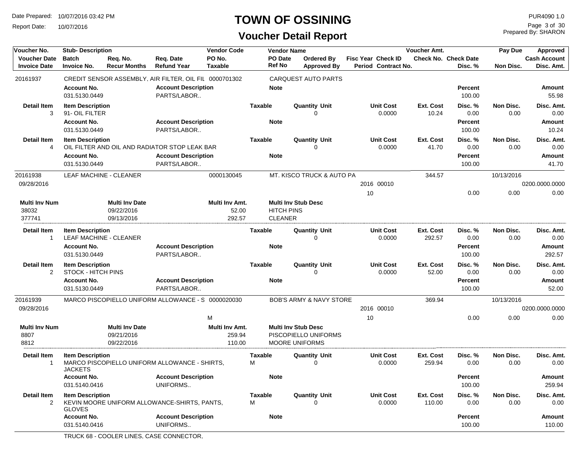Report Date: 10/07/2016

#### **TOWN OF OSSINING**

Prepared By: SHARON Page 3 of 30

#### **Voucher Detail Report**

| Voucher No.                                | <b>Stub-Description</b>                           |                                                   |                                                        | <b>Vendor Code</b>                 |                          | <b>Vendor Name</b>                  |                                                                             |                           |                            | Voucher Amt.        |                                        | Pay Due           | Approved                          |
|--------------------------------------------|---------------------------------------------------|---------------------------------------------------|--------------------------------------------------------|------------------------------------|--------------------------|-------------------------------------|-----------------------------------------------------------------------------|---------------------------|----------------------------|---------------------|----------------------------------------|-------------------|-----------------------------------|
| <b>Voucher Date</b><br><b>Invoice Date</b> | <b>Batch</b><br><b>Invoice No.</b>                | Req. No.<br><b>Recur Months</b>                   | Reg. Date<br><b>Refund Year</b>                        | PO No.<br><b>Taxable</b>           | PO Date<br><b>Ref No</b> |                                     | Ordered By<br><b>Approved By</b>                                            | <b>Fisc Year Check ID</b> | Period Contract No.        |                     | <b>Check No. Check Date</b><br>Disc. % | Non Disc.         | <b>Cash Account</b><br>Disc. Amt. |
| 20161937                                   |                                                   |                                                   | CREDIT SENSOR ASSEMBLY, AIR FILTER, OIL FIL 0000701302 |                                    |                          |                                     | <b>CARQUEST AUTO PARTS</b>                                                  |                           |                            |                     |                                        |                   |                                   |
|                                            | <b>Account No.</b><br>031.5130.0449               |                                                   | <b>Account Description</b><br>PARTS/LABOR              |                                    | <b>Note</b>              |                                     |                                                                             |                           |                            |                     | Percent<br>100.00                      |                   | <b>Amount</b><br>55.98            |
| <b>Detail Item</b><br>3                    | <b>Item Description</b><br>91- OIL FILTER         |                                                   |                                                        |                                    | <b>Taxable</b>           |                                     | <b>Quantity Unit</b><br>0                                                   |                           | <b>Unit Cost</b><br>0.0000 | Ext. Cost<br>10.24  | Disc.%<br>0.00                         | Non Disc.<br>0.00 | Disc. Amt.<br>0.00                |
|                                            | <b>Account No.</b><br>031.5130.0449               |                                                   | <b>Account Description</b><br>PARTS/LABOR              |                                    | <b>Note</b>              |                                     |                                                                             |                           |                            |                     | <b>Percent</b><br>100.00               |                   | Amount<br>10.24                   |
| <b>Detail Item</b><br>4                    | <b>Item Description</b>                           |                                                   | OIL FILTER AND OIL AND RADIATOR STOP LEAK BAR          |                                    | <b>Taxable</b>           |                                     | <b>Quantity Unit</b><br>$\Omega$                                            |                           | <b>Unit Cost</b><br>0.0000 | Ext. Cost<br>41.70  | Disc. %<br>0.00                        | Non Disc.<br>0.00 | Disc. Amt.<br>0.00                |
|                                            | <b>Account No.</b><br>031.5130.0449               |                                                   | <b>Account Description</b><br>PARTS/LABOR              |                                    | <b>Note</b>              |                                     |                                                                             |                           |                            |                     | Percent<br>100.00                      |                   | Amount<br>41.70                   |
| 20161938                                   | <b>LEAF MACHINE - CLEANER</b>                     |                                                   |                                                        | 0000130045                         |                          |                                     | MT. KISCO TRUCK & AUTO PA                                                   |                           |                            | 344.57              |                                        | 10/13/2016        |                                   |
| 09/28/2016                                 |                                                   |                                                   |                                                        |                                    |                          |                                     |                                                                             |                           | 2016 00010                 |                     |                                        |                   | 0200.0000.0000                    |
|                                            |                                                   |                                                   |                                                        |                                    |                          |                                     |                                                                             | 10                        |                            |                     | 0.00                                   | 0.00              | 0.00                              |
| <b>Multi Inv Num</b><br>38032<br>377741    |                                                   | <b>Multi Inv Date</b><br>09/22/2016<br>09/13/2016 |                                                        | Multi Inv Amt.<br>52.00<br>292.57  |                          | <b>HITCH PINS</b><br><b>CLEANER</b> | <b>Multi Inv Stub Desc</b>                                                  |                           |                            |                     |                                        |                   |                                   |
| Detail Item<br>$\mathbf{1}$                | <b>Item Description</b><br>LEAF MACHINE - CLEANER |                                                   |                                                        |                                    | <b>Taxable</b>           |                                     | <b>Quantity Unit</b><br>∩                                                   |                           | <b>Unit Cost</b><br>0.0000 | Ext. Cost<br>292.57 | Disc. %<br>0.00                        | Non Disc.<br>0.00 | Disc. Amt.<br>0.00                |
|                                            | <b>Account No.</b><br>031.5130.0449               |                                                   | <b>Account Description</b><br>PARTS/LABOR              |                                    | <b>Note</b>              |                                     |                                                                             |                           |                            |                     | Percent<br>100.00                      |                   | <b>Amount</b><br>292.57           |
| <b>Detail Item</b><br>$\overline{2}$       | <b>Item Description</b><br>STOCK - HITCH PINS     |                                                   |                                                        |                                    | <b>Taxable</b>           |                                     | <b>Quantity Unit</b><br>0                                                   |                           | <b>Unit Cost</b><br>0.0000 | Ext. Cost<br>52.00  | Disc. %<br>0.00                        | Non Disc.<br>0.00 | Disc. Amt.<br>0.00                |
|                                            | <b>Account No.</b><br>031.5130.0449               |                                                   | <b>Account Description</b><br>PARTS/LABOR              |                                    | <b>Note</b>              |                                     |                                                                             |                           |                            |                     | <b>Percent</b><br>100.00               |                   | Amount<br>52.00                   |
| 20161939                                   |                                                   |                                                   | MARCO PISCOPIELLO UNIFORM ALLOWANCE - S 0000020030     |                                    |                          |                                     | <b>BOB'S ARMY &amp; NAVY STORE</b>                                          |                           |                            | 369.94              |                                        | 10/13/2016        |                                   |
| 09/28/2016                                 |                                                   |                                                   |                                                        |                                    |                          |                                     |                                                                             |                           | 2016 00010                 |                     |                                        |                   | 0200.0000.0000                    |
|                                            |                                                   |                                                   |                                                        | M                                  |                          |                                     |                                                                             | 10                        |                            |                     | 0.00                                   | 0.00              | 0.00                              |
| <b>Multi Inv Num</b><br>8807<br>8812       |                                                   | <b>Multi Inv Date</b><br>09/21/2016<br>09/22/2016 |                                                        | Multi Inv Amt.<br>259.94<br>110.00 |                          |                                     | <b>Multi Inv Stub Desc</b><br>PISCOPIELLO UNIFORMS<br><b>MOORE UNIFORMS</b> |                           |                            |                     |                                        |                   |                                   |
| <b>Detail Item</b><br>$\mathbf{1}$         | <b>Item Description</b><br><b>JACKETS</b>         |                                                   | MARCO PISCOPIELLO UNIFORM ALLOWANCE - SHIRTS,          |                                    | <b>Taxable</b><br>M      |                                     | <b>Quantity Unit</b><br>$\Omega$                                            |                           | <b>Unit Cost</b><br>0.0000 | Ext. Cost<br>259.94 | Disc. %<br>0.00                        | Non Disc.<br>0.00 | Disc. Amt.<br>0.00                |
|                                            | <b>Account No.</b><br>031.5140.0416               |                                                   | <b>Account Description</b><br>UNIFORMS                 |                                    | <b>Note</b>              |                                     |                                                                             |                           |                            |                     | <b>Percent</b><br>100.00               |                   | Amount<br>259.94                  |
| <b>Detail Item</b>                         | <b>Item Description</b>                           |                                                   |                                                        |                                    | <b>Taxable</b>           |                                     | <b>Quantity Unit</b>                                                        |                           | <b>Unit Cost</b>           | Ext. Cost           | Disc. %                                | Non Disc.         | Disc. Amt.                        |
| $\overline{2}$                             | <b>GLOVES</b>                                     |                                                   | KEVIN MOORE UNIFORM ALLOWANCE-SHIRTS, PANTS,           |                                    | M                        |                                     | $\Omega$                                                                    |                           | 0.0000                     | 110.00              | 0.00                                   | 0.00              | 0.00                              |
|                                            | <b>Account No.</b><br>031.5140.0416               |                                                   | <b>Account Description</b><br>UNIFORMS                 |                                    | <b>Note</b>              |                                     |                                                                             |                           |                            |                     | Percent<br>100.00                      |                   | Amount<br>110.00                  |

TRUCK 68 - COOLER LINES, CASE CONNECTOR,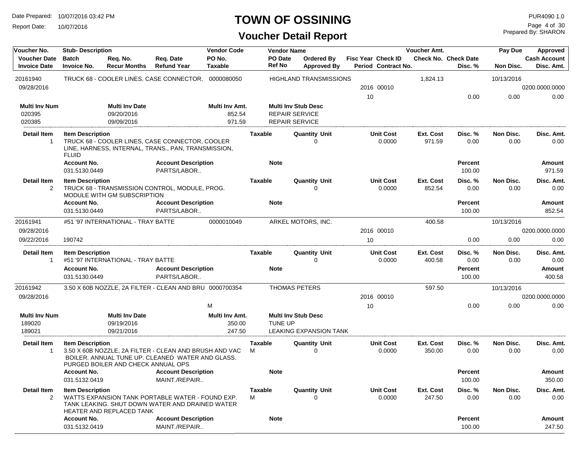Report Date: 10/07/2016

#### **TOWN OF OSSINING**

## **Voucher Detail Report**

Prepared By: SHARON Page 4 of 30

| Voucher No.                                | <b>Stub-Description</b>                 |                                                   |                                                                                                            | <b>Vendor Code</b>                 |                     | <b>Vendor Name</b>                                                           |                                         |    |                                                  | Voucher Amt.        |                                        | Pay Due           | Approved                          |
|--------------------------------------------|-----------------------------------------|---------------------------------------------------|------------------------------------------------------------------------------------------------------------|------------------------------------|---------------------|------------------------------------------------------------------------------|-----------------------------------------|----|--------------------------------------------------|---------------------|----------------------------------------|-------------------|-----------------------------------|
| <b>Voucher Date</b><br><b>Invoice Date</b> | <b>Batch</b><br><b>Invoice No.</b>      | Req. No.<br><b>Recur Months</b>                   | Req. Date<br><b>Refund Year</b>                                                                            | PO No.<br><b>Taxable</b>           |                     | PO Date<br><b>Ref No</b>                                                     | <b>Ordered By</b><br><b>Approved By</b> |    | <b>Fisc Year Check ID</b><br>Period Contract No. |                     | <b>Check No. Check Date</b><br>Disc. % | Non Disc.         | <b>Cash Account</b><br>Disc. Amt. |
| 20161940                                   |                                         |                                                   | TRUCK 68 - COOLER LINES, CASE CONNECTOR, 0000080050                                                        |                                    |                     |                                                                              | <b>HIGHLAND TRANSMISSIONS</b>           |    |                                                  | 1,824.13            |                                        | 10/13/2016        |                                   |
| 09/28/2016                                 |                                         |                                                   |                                                                                                            |                                    |                     |                                                                              |                                         |    | 2016 00010                                       |                     |                                        |                   | 0200.0000.0000                    |
|                                            |                                         |                                                   |                                                                                                            |                                    |                     |                                                                              |                                         | 10 |                                                  |                     | 0.00                                   | 0.00              | 0.00                              |
| <b>Multi Inv Num</b><br>020395<br>020385   |                                         | <b>Multi Inv Date</b><br>09/20/2016<br>09/09/2016 |                                                                                                            | Multi Inv Amt.<br>852.54<br>971.59 |                     | <b>Multi Inv Stub Desc</b><br><b>REPAIR SERVICE</b><br><b>REPAIR SERVICE</b> |                                         |    |                                                  |                     |                                        |                   |                                   |
| Detail Item<br>$\mathbf{1}$                | <b>Item Description</b><br><b>FLUID</b> |                                                   | TRUCK 68 - COOLER LINES, CASE CONNECTOR, COOLER<br>LINE, HARNESS, INTERNAL, TRANS., PAN, TRANSMISSION,     |                                    | <b>Taxable</b>      |                                                                              | <b>Quantity Unit</b><br>0               |    | <b>Unit Cost</b><br>0.0000                       | Ext. Cost<br>971.59 | Disc. %<br>0.00                        | Non Disc.<br>0.00 | Disc. Amt.<br>0.00                |
|                                            | <b>Account No.</b><br>031.5130.0449     |                                                   | <b>Account Description</b><br>PARTS/LABOR                                                                  |                                    |                     | <b>Note</b>                                                                  |                                         |    |                                                  |                     | Percent<br>100.00                      |                   | Amount<br>971.59                  |
| <b>Detail Item</b><br>2                    | <b>Item Description</b>                 | MODULE WITH GM SUBSCRIPTION                       | TRUCK 68 - TRANSMISSION CONTROL, MODULE, PROG.                                                             |                                    | <b>Taxable</b>      |                                                                              | <b>Quantity Unit</b><br>0               |    | <b>Unit Cost</b><br>0.0000                       | Ext. Cost<br>852.54 | Disc. %<br>0.00                        | Non Disc.<br>0.00 | Disc. Amt.<br>0.00                |
|                                            | <b>Account No.</b><br>031.5130.0449     |                                                   | <b>Account Description</b><br>PARTS/LABOR                                                                  |                                    |                     | <b>Note</b>                                                                  |                                         |    |                                                  |                     | <b>Percent</b><br>100.00               |                   | Amount<br>852.54                  |
| 20161941                                   |                                         | #51 '97 INTERNATIONAL - TRAY BATTE                |                                                                                                            | 0000010049                         |                     |                                                                              | ARKEL MOTORS, INC.                      |    |                                                  | 400.58              |                                        | 10/13/2016        |                                   |
| 09/28/2016                                 |                                         |                                                   |                                                                                                            |                                    |                     |                                                                              |                                         |    | 2016 00010                                       |                     |                                        |                   | 0200.0000.0000                    |
| 09/22/2016                                 | 190742                                  |                                                   |                                                                                                            |                                    |                     |                                                                              |                                         | 10 |                                                  |                     | 0.00                                   | 0.00              | 0.00                              |
| <b>Detail Item</b>                         | <b>Item Description</b>                 |                                                   |                                                                                                            |                                    | <b>Taxable</b>      |                                                                              | <b>Quantity Unit</b>                    |    | <b>Unit Cost</b>                                 | Ext. Cost           | Disc. %                                | Non Disc.         | Disc. Amt.                        |
| $\mathbf{1}$                               |                                         | #51 '97 INTERNATIONAL - TRAY BATTE                |                                                                                                            |                                    |                     |                                                                              | 0                                       |    | 0.0000                                           | 400.58              | 0.00                                   | 0.00              | 0.00                              |
|                                            | <b>Account No.</b>                      |                                                   | <b>Account Description</b>                                                                                 |                                    |                     | <b>Note</b>                                                                  |                                         |    |                                                  |                     | <b>Percent</b>                         |                   | Amount                            |
|                                            | 031.5130.0449                           |                                                   | PARTS/LABOR                                                                                                |                                    |                     |                                                                              |                                         |    |                                                  |                     | 100.00                                 |                   | 400.58                            |
| 20161942                                   |                                         |                                                   | 3.50 X 60B NOZZLE, 2A FILTER - CLEAN AND BRU 0000700354                                                    |                                    |                     | <b>THOMAS PETERS</b>                                                         |                                         |    |                                                  | 597.50              |                                        | 10/13/2016        |                                   |
| 09/28/2016                                 |                                         |                                                   |                                                                                                            |                                    |                     |                                                                              |                                         |    | 2016 00010                                       |                     |                                        |                   | 0200.0000.0000                    |
|                                            |                                         |                                                   |                                                                                                            | M                                  |                     |                                                                              |                                         | 10 |                                                  |                     | 0.00                                   | 0.00              | 0.00                              |
| <b>Multi Inv Num</b>                       |                                         | <b>Multi Inv Date</b>                             |                                                                                                            | Multi Inv Amt.                     |                     | <b>Multi Inv Stub Desc</b>                                                   |                                         |    |                                                  |                     |                                        |                   |                                   |
| 189020                                     |                                         | 09/19/2016                                        |                                                                                                            | 350.00                             |                     | TUNE UP                                                                      |                                         |    |                                                  |                     |                                        |                   |                                   |
| 189021                                     |                                         | 09/21/2016                                        |                                                                                                            | 247.50                             |                     |                                                                              | <b>LEAKING EXPANSION TANK</b>           |    |                                                  |                     |                                        |                   |                                   |
| <b>Detail Item</b><br>$\mathbf{1}$         | <b>Item Description</b>                 | PURGED BOILER AND CHECK ANNUAL OPS                | 3.50 X 60B NOZZLE, 2A FILTER - CLEAN AND BRUSH AND VAC<br>BOILER. ANNUAL TUNE UP. CLEANED WATER AND GLASS. |                                    | Taxable<br>M        |                                                                              | <b>Quantity Unit</b><br>0               |    | <b>Unit Cost</b><br>0.0000                       | Ext. Cost<br>350.00 | Disc. %<br>0.00                        | Non Disc.<br>0.00 | Disc. Amt.<br>0.00                |
|                                            | <b>Account No.</b><br>031.5132.0419     |                                                   | <b>Account Description</b><br>MAINT./REPAIR                                                                |                                    |                     | <b>Note</b>                                                                  |                                         |    |                                                  |                     | <b>Percent</b><br>100.00               |                   | Amount<br>350.00                  |
| <b>Detail Item</b><br>2                    | <b>Item Description</b>                 | HEATER AND REPLACED TANK                          | WATTS EXPANSION TANK PORTABLE WATER - FOUND EXP.<br>TANK LEAKING. SHUT DOWN WATER AND DRAINED WATER        |                                    | <b>Taxable</b><br>M |                                                                              | <b>Quantity Unit</b><br>0               |    | <b>Unit Cost</b><br>0.0000                       | Ext. Cost<br>247.50 | Disc. %<br>0.00                        | Non Disc.<br>0.00 | Disc. Amt.<br>0.00                |
|                                            | <b>Account No.</b><br>031.5132.0419     |                                                   | <b>Account Description</b><br>MAINT./REPAIR                                                                |                                    |                     | <b>Note</b>                                                                  |                                         |    |                                                  |                     | <b>Percent</b><br>100.00               |                   | Amount<br>247.50                  |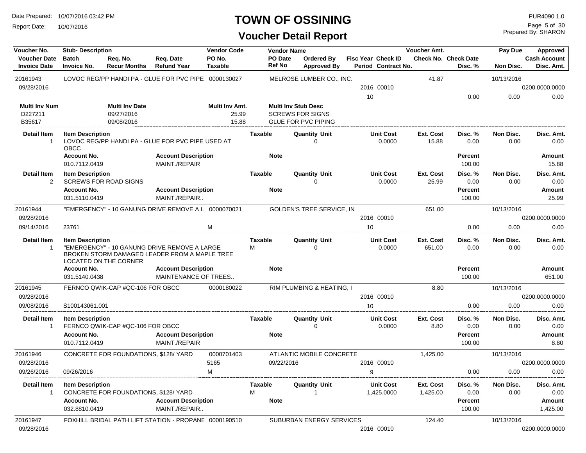Report Date: 10/07/2016

#### **TOWN OF OSSINING**

| Voucher No.                                                                                     | <b>Stub-Description</b>                                                                                                                           |                                                   |                                                       | <b>Vendor Code</b>               |                               | <b>Vendor Name</b>                                                                  |                            |                                                  | <b>Voucher Amt.</b> |                                        | Pay Due            | Approved                            |
|-------------------------------------------------------------------------------------------------|---------------------------------------------------------------------------------------------------------------------------------------------------|---------------------------------------------------|-------------------------------------------------------|----------------------------------|-------------------------------|-------------------------------------------------------------------------------------|----------------------------|--------------------------------------------------|---------------------|----------------------------------------|--------------------|-------------------------------------|
| <b>Voucher Date</b><br><b>Invoice Date</b>                                                      | <b>Batch</b><br><b>Invoice No.</b>                                                                                                                | Req. No.<br><b>Recur Months</b>                   | Req. Date<br><b>Refund Year</b>                       | PO No.<br>Taxable                | PO Date<br><b>Ref No</b>      | <b>Ordered By</b><br><b>Approved By</b>                                             |                            | <b>Fisc Year Check ID</b><br>Period Contract No. |                     | <b>Check No. Check Date</b><br>Disc. % | Non Disc.          | <b>Cash Account</b><br>Disc. Amt.   |
| 20161943                                                                                        |                                                                                                                                                   |                                                   | LOVOC REG/PP HANDI PA - GLUE FOR PVC PIPE 0000130027  |                                  |                               | MELROSE LUMBER CO., INC.                                                            |                            |                                                  | 41.87               |                                        | 10/13/2016         |                                     |
| 09/28/2016                                                                                      |                                                                                                                                                   |                                                   |                                                       |                                  |                               |                                                                                     |                            | 2016 00010                                       |                     |                                        |                    | 0200.0000.0000                      |
|                                                                                                 |                                                                                                                                                   |                                                   |                                                       |                                  |                               |                                                                                     | 10                         |                                                  |                     | 0.00                                   | 0.00               | 0.00                                |
| <b>Multi Inv Num</b><br>D227211<br>B35617                                                       |                                                                                                                                                   | <b>Multi Inv Date</b><br>09/27/2016<br>09/08/2016 |                                                       | Multi Inv Amt.<br>25.99<br>15.88 |                               | <b>Multi Inv Stub Desc</b><br><b>SCREWS FOR SIGNS</b><br><b>GLUE FOR PVC PIPING</b> |                            |                                                  |                     |                                        |                    |                                     |
| <b>Detail Item</b>                                                                              | <b>Item Description</b>                                                                                                                           |                                                   |                                                       |                                  | Taxable                       | <b>Quantity Unit</b>                                                                |                            | <b>Unit Cost</b>                                 | Ext. Cost           | Disc. %                                | Non Disc.          | Disc. Amt.                          |
| $\mathbf 1$                                                                                     | OBCC                                                                                                                                              |                                                   | LOVOC REG/PP HANDI PA - GLUE FOR PVC PIPE USED AT     |                                  |                               | 0                                                                                   |                            | 0.0000                                           | 15.88               | 0.00                                   | 0.00               | 0.00                                |
|                                                                                                 | <b>Account No.</b><br>010.7112.0419                                                                                                               |                                                   | <b>Account Description</b><br>MAINT./REPAIR           |                                  | <b>Note</b>                   |                                                                                     |                            |                                                  |                     | Percent<br>100.00                      |                    | <b>Amount</b><br>15.88              |
| <b>Detail Item</b><br>2                                                                         | <b>Item Description</b>                                                                                                                           | <b>SCREWS FOR ROAD SIGNS</b>                      |                                                       |                                  | <b>Taxable</b>                | <b>Quantity Unit</b><br>O                                                           |                            | <b>Unit Cost</b><br>0.0000                       | Ext. Cost<br>25.99  | Disc. %<br>0.00                        | Non Disc.<br>0.00  | Disc. Amt.<br>0.00                  |
|                                                                                                 | <b>Account No.</b><br>031.5110.0419                                                                                                               |                                                   | <b>Account Description</b><br>MAINT./REPAIR           |                                  | <b>Note</b>                   |                                                                                     |                            |                                                  |                     | Percent<br>100.00                      |                    | <b>Amount</b><br>25.99              |
| 20161944                                                                                        |                                                                                                                                                   |                                                   | "EMERGENCY" - 10 GANUNG DRIVE REMOVE A L 0000070021   |                                  |                               | <b>GOLDEN'S TREE SERVICE, IN</b>                                                    |                            |                                                  | 651.00              |                                        | 10/13/2016         |                                     |
| 09/28/2016                                                                                      |                                                                                                                                                   |                                                   |                                                       |                                  |                               |                                                                                     |                            | 2016 00010                                       |                     |                                        |                    | 0200.0000.0000                      |
| 09/14/2016                                                                                      | 23761                                                                                                                                             |                                                   |                                                       | M                                |                               |                                                                                     | 10                         |                                                  |                     | 0.00                                   | 0.00               | 0.00                                |
| <b>Detail Item</b><br>$\mathbf 1$                                                               | <b>Item Description</b><br>"EMERGENCY" - 10 GANUNG DRIVE REMOVE A LARGE<br>BROKEN STORM DAMAGED LEADER FROM A MAPLE TREE<br>LOCATED ON THE CORNER |                                                   |                                                       | <b>Taxable</b><br>м              | <b>Quantity Unit</b><br>0     |                                                                                     | <b>Unit Cost</b><br>0.0000 | Ext. Cost<br>651.00                              | Disc. %<br>0.00     | Non Disc.<br>0.00                      | Disc. Amt.<br>0.00 |                                     |
|                                                                                                 | <b>Account No.</b>                                                                                                                                |                                                   | <b>Account Description</b>                            |                                  | <b>Note</b>                   |                                                                                     |                            |                                                  |                     | Percent                                |                    | <b>Amount</b>                       |
|                                                                                                 | 031.5140.0438                                                                                                                                     |                                                   | MAINTENANCE OF TREES                                  |                                  |                               |                                                                                     |                            |                                                  |                     | 100.00                                 |                    | 651.00                              |
| 20161945<br>09/28/2016                                                                          |                                                                                                                                                   | FERNCO QWIK-CAP #QC-106 FOR OBCC                  |                                                       | 0000180022                       |                               | RIM PLUMBING & HEATING, I                                                           |                            | 2016 00010                                       | 8.80                |                                        | 10/13/2016         | 0200.0000.0000                      |
| 09/08/2016                                                                                      | S100143061.001                                                                                                                                    |                                                   |                                                       |                                  |                               |                                                                                     | 10                         |                                                  |                     | 0.00                                   | 0.00               | 0.00                                |
| <b>Detail Item</b><br>$\mathbf{1}$                                                              | <b>Item Description</b><br><b>Account No.</b>                                                                                                     | FERNCO QWIK-CAP #QC-106 FOR OBCC                  | <b>Account Description</b>                            |                                  | <b>Taxable</b><br><b>Note</b> | <b>Quantity Unit</b><br>$\Omega$                                                    |                            | <b>Unit Cost</b><br>0.0000                       | Ext. Cost<br>8.80   | Disc. %<br>0.00<br>Percent             | Non Disc.<br>0.00  | Disc. Amt.<br>0.00<br><b>Amount</b> |
|                                                                                                 | 010.7112.0419                                                                                                                                     |                                                   | MAINT./REPAIR                                         |                                  |                               |                                                                                     |                            |                                                  |                     | 100.00                                 |                    | 8.80                                |
| 20161946<br>09/28/2016                                                                          |                                                                                                                                                   | CONCRETE FOR FOUNDATIONS, \$128/YARD              |                                                       | 0000701403<br>5165               |                               | ATLANTIC MOBILE CONCRETE<br>09/22/2016                                              |                            | 2016 00010                                       | 1,425.00            |                                        | 10/13/2016         | 0200.0000.0000                      |
| 09/26/2016                                                                                      | 09/26/2016                                                                                                                                        |                                                   |                                                       | M                                |                               |                                                                                     | 9                          |                                                  |                     | 0.00                                   | 0.00               | 0.00                                |
|                                                                                                 |                                                                                                                                                   |                                                   |                                                       |                                  |                               |                                                                                     |                            |                                                  |                     |                                        |                    |                                     |
| Detail Item<br><b>Item Description</b><br>CONCRETE FOR FOUNDATIONS, \$128/ YARD<br>$\mathbf{1}$ |                                                                                                                                                   |                                                   | Taxable<br>М                                          | <b>Quantity Unit</b>             |                               | <b>Unit Cost</b><br>1,425.0000                                                      | Ext. Cost<br>1,425.00      | Disc. %<br>0.00                                  | Non Disc.<br>0.00   | Disc. Amt.<br>0.00                     |                    |                                     |
|                                                                                                 | <b>Account No.</b><br>032.8810.0419                                                                                                               |                                                   | <b>Account Description</b><br>MAINT./REPAIR           |                                  | <b>Note</b>                   |                                                                                     |                            |                                                  |                     | Percent<br>100.00                      |                    | Amount<br>1,425.00                  |
| 20161947<br>09/28/2016                                                                          |                                                                                                                                                   |                                                   | FOXHILL BRIDAL PATH LIFT STATION - PROPANE 0000190510 |                                  |                               | SUBURBAN ENERGY SERVICES                                                            |                            | 2016 00010                                       | 124.40              |                                        | 10/13/2016         | 0200.0000.0000                      |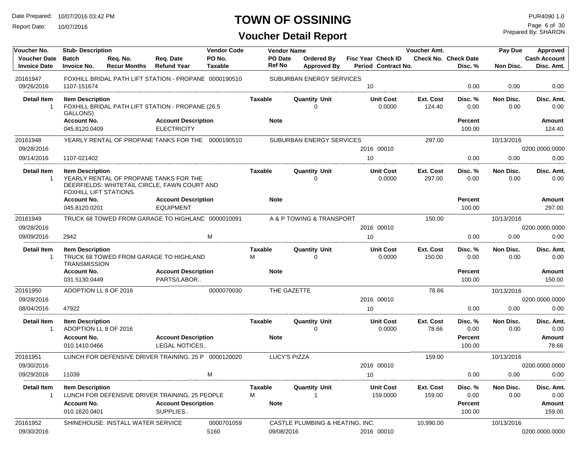Report Date: 10/07/2016

## **TOWN OF OSSINING**

Prepared By: SHARON Page 6 of 30

| Voucher No.                                | <b>Stub-Description</b>                                 |                                   |                                                                                        | <b>Vendor Code</b>       |                          | <b>Vendor Name</b>               |                                                  | <b>Voucher Amt.</b> |                                        | Pay Due           | Approved                          |
|--------------------------------------------|---------------------------------------------------------|-----------------------------------|----------------------------------------------------------------------------------------|--------------------------|--------------------------|----------------------------------|--------------------------------------------------|---------------------|----------------------------------------|-------------------|-----------------------------------|
| <b>Voucher Date</b><br><b>Invoice Date</b> | <b>Batch</b><br><b>Invoice No.</b>                      | Req. No.<br><b>Recur Months</b>   | Req. Date<br><b>Refund Year</b>                                                        | PO No.<br><b>Taxable</b> | <b>PO</b> Date<br>Ref No | Ordered By<br><b>Approved By</b> | <b>Fisc Year Check ID</b><br>Period Contract No. |                     | <b>Check No. Check Date</b><br>Disc. % | Non Disc.         | <b>Cash Account</b><br>Disc. Amt. |
| 20161947                                   |                                                         |                                   | FOXHILL BRIDAL PATH LIFT STATION - PROPANE 0000190510                                  |                          |                          | SUBURBAN ENERGY SERVICES         |                                                  |                     |                                        |                   |                                   |
| 09/26/2016                                 | 1107-151674                                             |                                   |                                                                                        |                          |                          |                                  | 10                                               |                     | 0.00                                   | 0.00              | 0.00                              |
| <b>Detail Item</b><br>-1                   | <b>Item Description</b><br>GALLONS)                     |                                   | FOXHILL BRIDAL PATH LIFT STATION - PROPANE (26.5                                       |                          | <b>Taxable</b>           | <b>Quantity Unit</b><br>O        | <b>Unit Cost</b><br>0.0000                       | Ext. Cost<br>124.40 | Disc. %<br>0.00                        | Non Disc.<br>0.00 | Disc. Amt.<br>0.00                |
|                                            | <b>Account No.</b><br>045.8120.0409                     |                                   | <b>Account Description</b><br><b>ELECTRICITY</b>                                       |                          | <b>Note</b>              |                                  |                                                  |                     | Percent<br>100.00                      |                   | <b>Amount</b><br>124.40           |
| 20161948<br>09/28/2016                     |                                                         |                                   | YEARLY RENTAL OF PROPANE TANKS FOR THE 0000190510                                      |                          |                          | SUBURBAN ENERGY SERVICES         | 2016 00010                                       | 297.00              |                                        | 10/13/2016        | 0200.0000.0000                    |
| 09/14/2016                                 | 1107-021402                                             |                                   |                                                                                        |                          |                          |                                  | 10                                               |                     | 0.00                                   | 0.00              | 0.00                              |
| <b>Detail Item</b><br>$\mathbf{1}$         | <b>Item Description</b><br><b>FOXHILL LIFT STATIONS</b> |                                   | YEARLY RENTAL OF PROPANE TANKS FOR THE<br>DEERFIELDS: WHITETAIL CIRCLE, FAWN COURT AND |                          | <b>Taxable</b>           | <b>Quantity Unit</b><br>U        | <b>Unit Cost</b><br>0.0000                       | Ext. Cost<br>297.00 | Disc. %<br>0.00                        | Non Disc.<br>0.00 | Disc. Amt.<br>0.00                |
|                                            | <b>Account No.</b><br>045.8120.0201                     |                                   | <b>Account Description</b><br><b>EQUIPMENT</b>                                         |                          | <b>Note</b>              |                                  |                                                  |                     | Percent<br>100.00                      |                   | Amount<br>297.00                  |
| 20161949                                   |                                                         |                                   | TRUCK 68 TOWED FROM GARAGE TO HIGHLAND 0000010091                                      |                          |                          | A & P TOWING & TRANSPORT         |                                                  | 150.00              |                                        | 10/13/2016        |                                   |
| 09/28/2016                                 |                                                         |                                   |                                                                                        |                          |                          |                                  | 2016 00010                                       |                     |                                        |                   | 0200.0000.0000                    |
| 09/09/2016                                 | 2942                                                    |                                   |                                                                                        | м                        |                          |                                  | 10                                               |                     | 0.00                                   | 0.00              | 0.00                              |
| <b>Detail Item</b><br>$\overline{1}$       | <b>Item Description</b><br><b>TRANSMISSION</b>          |                                   | TRUCK 68 TOWED FROM GARAGE TO HIGHLAND                                                 |                          | Taxable<br>м             | <b>Quantity Unit</b><br>$\Omega$ | <b>Unit Cost</b><br>0.0000                       | Ext. Cost<br>150.00 | Disc. %<br>0.00                        | Non Disc.<br>0.00 | Disc. Amt.<br>0.00                |
|                                            | <b>Account No.</b>                                      |                                   | <b>Account Description</b>                                                             |                          | <b>Note</b>              |                                  |                                                  |                     | Percent                                |                   | Amount                            |
|                                            | 031.5130.0449                                           |                                   | PARTS/LABOR                                                                            |                          |                          |                                  |                                                  |                     | 100.00                                 |                   | 150.00                            |
| 20161950                                   | ADOPTION LL 8 OF 2016                                   |                                   |                                                                                        | 0000070030               |                          | THE GAZETTE                      |                                                  | 78.66               |                                        | 10/13/2016        |                                   |
| 09/28/2016                                 |                                                         |                                   |                                                                                        |                          |                          |                                  | 2016 00010                                       |                     |                                        |                   | 0200.0000.0000                    |
| 08/04/2016                                 | 47922                                                   |                                   |                                                                                        |                          |                          |                                  | 10                                               |                     | 0.00                                   | 0.00              | 0.00                              |
| <b>Detail Item</b><br>$\overline{1}$       | <b>Item Description</b><br>ADOPTION LL 8 OF 2016        |                                   |                                                                                        |                          | <b>Taxable</b>           | <b>Quantity Unit</b><br>U        | <b>Unit Cost</b><br>0.0000                       | Ext. Cost<br>78.66  | Disc. %<br>0.00                        | Non Disc.<br>0.00 | Disc. Amt.<br>0.00                |
|                                            | <b>Account No.</b>                                      |                                   | <b>Account Description</b>                                                             |                          | <b>Note</b>              |                                  |                                                  |                     | Percent                                |                   | Amount                            |
|                                            | 010.1410.0466                                           |                                   | LEGAL NOTICES                                                                          |                          |                          |                                  |                                                  |                     | 100.00                                 |                   | 78.66                             |
| 20161951                                   |                                                         |                                   | LUNCH FOR DEFENSIVE DRIVER TRAINING, 25 P 0000120020                                   |                          |                          | <b>LUCY'S PIZZA</b>              |                                                  | 159.00              |                                        | 10/13/2016        |                                   |
| 09/30/2016                                 |                                                         |                                   |                                                                                        |                          |                          |                                  | 2016 00010                                       |                     |                                        |                   | 0200.0000.0000                    |
| 09/29/2016                                 | 11039                                                   |                                   |                                                                                        | M                        |                          |                                  | 10                                               |                     | 0.00                                   | 0.00              | 0.00                              |
| <b>Detail Item</b>                         | <b>Item Description</b>                                 |                                   | LUNCH FOR DEFENSIVE DRIVER TRAINING, 25 PEOPLE                                         |                          | Taxable<br>М             | <b>Quantity Unit</b>             | <b>Unit Cost</b><br>159.0000                     | Ext. Cost<br>159.00 | Disc. %<br>0.00                        | Non Disc.<br>0.00 | Disc. Amt.<br>0.00                |
|                                            | <b>Account No.</b><br>010.1620.0401                     |                                   | <b>Account Description</b><br>SUPPLIES                                                 |                          | <b>Note</b>              |                                  |                                                  |                     | Percent<br>100.00                      |                   | <b>Amount</b><br>159.00           |
|                                            |                                                         |                                   |                                                                                        |                          |                          |                                  |                                                  |                     |                                        |                   |                                   |
| 20161952<br>09/30/2016                     |                                                         | SHINEHOUSE: INSTALL WATER SERVICE |                                                                                        | 0000701059<br>5160       | 09/08/2016               | CASTLE PLUMBING & HEATING, INC.  | 2016 00010                                       | 10,990.00           |                                        | 10/13/2016        | 0200.0000.0000                    |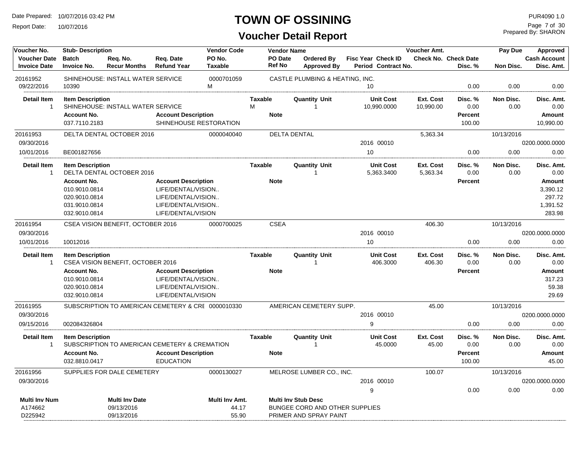Report Date: 10/07/2016

#### **TOWN OF OSSINING**

## **Voucher Detail Report**

Prepared By: SHARON Page 7 of 30

| Voucher No.                                | <b>Vendor Code</b><br><b>Stub-Description</b>                                          |                                                    |                                                                                                                    |                                  |                                    | <b>Vendor Name</b>                                                                     |                                                  | <b>Voucher Amt.</b>    |                                             | Pay Due           | Approved                                           |
|--------------------------------------------|----------------------------------------------------------------------------------------|----------------------------------------------------|--------------------------------------------------------------------------------------------------------------------|----------------------------------|------------------------------------|----------------------------------------------------------------------------------------|--------------------------------------------------|------------------------|---------------------------------------------|-------------------|----------------------------------------------------|
| <b>Voucher Date</b><br><b>Invoice Date</b> | <b>Batch</b><br><b>Invoice No.</b>                                                     | Req. No.<br><b>Recur Months</b>                    | Req. Date<br><b>Refund Year</b>                                                                                    | PO No.<br><b>Taxable</b>         | PO Date<br><b>Ref No</b>           | <b>Ordered By</b><br><b>Approved By</b>                                                | <b>Fisc Year Check ID</b><br>Period Contract No. |                        | Check No. Check Date<br>Disc. %             | Non Disc.         | <b>Cash Account</b><br>Disc. Amt.                  |
| 20161952<br>09/22/2016                     | 10390                                                                                  | SHINEHOUSE: INSTALL WATER SERVICE                  |                                                                                                                    | 0000701059<br>м                  |                                    | CASTLE PLUMBING & HEATING, INC.                                                        | 10                                               |                        | 0.00                                        | 0.00              | 0.00                                               |
| <b>Detail Item</b><br>$\overline{1}$       | <b>Item Description</b><br><b>Account No.</b><br>037.7110.2183                         | SHINEHOUSE: INSTALL WATER SERVICE                  | <b>Account Description</b><br>SHINEHOUSE RESTORATION                                                               |                                  | <b>Taxable</b><br>M<br><b>Note</b> | <b>Quantity Unit</b><br>$\overline{1}$                                                 | <b>Unit Cost</b><br>10,990.0000                  | Ext. Cost<br>10,990.00 | Disc. %<br>0.00<br>Percent<br>100.00        | Non Disc.<br>0.00 | Disc. Amt.<br>0.00<br>Amount<br>10,990.00          |
| 20161953                                   |                                                                                        | DELTA DENTAL OCTOBER 2016                          |                                                                                                                    | 0000040040                       |                                    | <b>DELTA DENTAL</b>                                                                    |                                                  | 5.363.34               |                                             | 10/13/2016        |                                                    |
| 09/30/2016                                 |                                                                                        |                                                    |                                                                                                                    |                                  |                                    |                                                                                        | 2016 00010                                       |                        |                                             |                   | 0200.0000.0000                                     |
| 10/01/2016                                 | BE001827656                                                                            |                                                    |                                                                                                                    |                                  |                                    |                                                                                        | 10                                               |                        | 0.00                                        | 0.00              | 0.00                                               |
| <b>Detail Item</b><br>$\overline{1}$       | <b>Item Description</b>                                                                | DELTA DENTAL OCTOBER 2016                          |                                                                                                                    |                                  | <b>Taxable</b>                     | <b>Quantity Unit</b>                                                                   | <b>Unit Cost</b><br>5,363.3400                   | Ext. Cost<br>5,363.34  | Disc. %<br>0.00                             | Non Disc.<br>0.00 | Disc. Amt.<br>0.00                                 |
|                                            | <b>Account No.</b><br>010.9010.0814<br>020.9010.0814<br>031.9010.0814<br>032.9010.0814 |                                                    | <b>Account Description</b><br>LIFE/DENTAL/VISION<br>LIFE/DENTAL/VISION<br>LIFE/DENTAL/VISION<br>LIFE/DENTAL/VISION |                                  | <b>Note</b>                        |                                                                                        |                                                  |                        | Percent                                     |                   | Amount<br>3,390.12<br>297.72<br>1,391.52<br>283.98 |
| 20161954                                   |                                                                                        | CSEA VISION BENEFIT, OCTOBER 2016                  |                                                                                                                    | 0000700025                       | <b>CSEA</b>                        |                                                                                        |                                                  | 406.30                 |                                             | 10/13/2016        |                                                    |
| 09/30/2016                                 |                                                                                        |                                                    |                                                                                                                    |                                  |                                    |                                                                                        | 2016 00010                                       |                        |                                             |                   | 0200.0000.0000                                     |
| 10/01/2016                                 | 10012016                                                                               |                                                    |                                                                                                                    |                                  |                                    |                                                                                        | 10                                               |                        | 0.00                                        | 0.00              | 0.00                                               |
| <b>Detail Item</b><br>$\overline{1}$       | <b>Item Description</b><br><b>Account No.</b><br>010.9010.0814<br>020.9010.0814        | CSEA VISION BENEFIT, OCTOBER 2016                  | <b>Account Description</b><br>LIFE/DENTAL/VISION<br>LIFE/DENTAL/VISION                                             |                                  | <b>Taxable</b><br><b>Note</b>      | <b>Quantity Unit</b><br>-1                                                             | <b>Unit Cost</b><br>406.3000                     | Ext. Cost<br>406.30    | Disc. %<br>0.00<br><b>Percent</b>           | Non Disc.<br>0.00 | Disc. Amt.<br>0.00<br>Amount<br>317.23<br>59.38    |
|                                            | 032.9010.0814                                                                          |                                                    | LIFE/DENTAL/VISION                                                                                                 |                                  |                                    |                                                                                        |                                                  |                        |                                             |                   | 29.69                                              |
| 20161955                                   |                                                                                        | SUBSCRIPTION TO AMERICAN CEMETERY & CRE 0000010330 |                                                                                                                    |                                  |                                    | AMERICAN CEMETERY SUPP.                                                                |                                                  | 45.00                  |                                             | 10/13/2016        |                                                    |
| 09/30/2016<br>09/15/2016                   | 002084326804                                                                           |                                                    |                                                                                                                    |                                  |                                    |                                                                                        | 2016 00010<br>9                                  |                        | 0.00                                        | 0.00              | 0200.0000.0000<br>0.00                             |
| <b>Detail Item</b><br>$\overline{1}$       | <b>Item Description</b><br><b>Account No.</b><br>032.8810.0417                         | SUBSCRIPTION TO AMERICAN CEMETERY & CREMATION      | <b>Account Description</b><br><b>EDUCATION</b>                                                                     |                                  | <b>Taxable</b><br><b>Note</b>      | <b>Quantity Unit</b><br>$\overline{1}$                                                 | <b>Unit Cost</b><br>45.0000                      | Ext. Cost<br>45.00     | Disc. %<br>0.00<br><b>Percent</b><br>100.00 | Non Disc.<br>0.00 | Disc. Amt.<br>0.00<br>Amount<br>45.00              |
| 20161956                                   |                                                                                        | SUPPLIES FOR DALE CEMETERY                         |                                                                                                                    | 0000130027                       |                                    | MELROSE LUMBER CO., INC.                                                               |                                                  | 100.07                 |                                             | 10/13/2016        |                                                    |
| 09/30/2016                                 |                                                                                        |                                                    |                                                                                                                    |                                  |                                    |                                                                                        | 2016 00010                                       |                        |                                             |                   | 0200.0000.0000                                     |
|                                            |                                                                                        |                                                    |                                                                                                                    |                                  |                                    |                                                                                        | 9                                                |                        | 0.00                                        | 0.00              | 0.00                                               |
| <b>Multi Inv Num</b><br>A174662<br>D225942 |                                                                                        | <b>Multi Inv Date</b><br>09/13/2016<br>09/13/2016  |                                                                                                                    | Multi Inv Amt.<br>44.17<br>55.90 |                                    | <b>Multi Inv Stub Desc</b><br>BUNGEE CORD AND OTHER SUPPLIES<br>PRIMER AND SPRAY PAINT |                                                  |                        |                                             |                   |                                                    |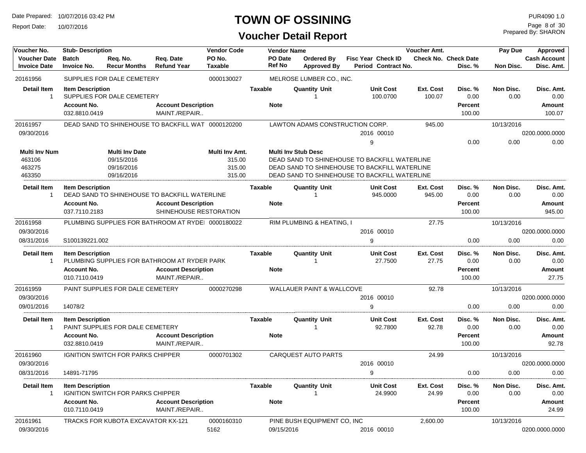Report Date: 10/07/2016

## **TOWN OF OSSINING**

## **Voucher Detail Report**

Prepared By: SHARON Page 8 of 30

| Voucher No.                                        | <b>Stub-Description</b>                                        |                                                                 |                                                    | <b>Vendor Code</b>                           |                | <b>Vendor Name</b>       |                                      |                                                                                                                                                 | <b>Voucher Amt.</b> |                                             | Pay Due           | <b>Approved</b>                        |
|----------------------------------------------------|----------------------------------------------------------------|-----------------------------------------------------------------|----------------------------------------------------|----------------------------------------------|----------------|--------------------------|--------------------------------------|-------------------------------------------------------------------------------------------------------------------------------------------------|---------------------|---------------------------------------------|-------------------|----------------------------------------|
| <b>Voucher Date</b><br><b>Invoice Date</b>         | <b>Batch</b><br><b>Invoice No.</b>                             | Req. No.<br><b>Recur Months</b>                                 | Req. Date<br><b>Refund Year</b>                    | PO No.<br><b>Taxable</b>                     |                | PO Date<br><b>Ref No</b> | Ordered By<br><b>Approved By</b>     | Fisc Year Check ID<br>Period Contract No.                                                                                                       |                     | <b>Check No. Check Date</b><br>Disc. %      | Non Disc.         | <b>Cash Account</b><br>Disc. Amt.      |
| 20161956                                           |                                                                | SUPPLIES FOR DALE CEMETERY                                      |                                                    | 0000130027                                   |                |                          | MELROSE LUMBER CO., INC.             |                                                                                                                                                 |                     |                                             |                   |                                        |
| <b>Detail Item</b><br>$\mathbf 1$                  | <b>Item Description</b><br><b>Account No.</b><br>032.8810.0419 | SUPPLIES FOR DALE CEMETERY                                      | <b>Account Description</b><br>MAINT./REPAIR        |                                              | <b>Taxable</b> | <b>Note</b>              | <b>Quantity Unit</b>                 | <b>Unit Cost</b><br>100.0700                                                                                                                    | Ext. Cost<br>100.07 | Disc. %<br>0.00<br>Percent<br>100.00        | Non Disc.<br>0.00 | Disc. Amt.<br>0.00<br>Amount<br>100.07 |
| 20161957                                           |                                                                |                                                                 | DEAD SAND TO SHINEHOUSE TO BACKFILL WAT 0000120200 |                                              |                |                          | LAWTON ADAMS CONSTRUCTION CORP.      |                                                                                                                                                 | 945.00              |                                             | 10/13/2016        |                                        |
| 09/30/2016                                         |                                                                |                                                                 |                                                    |                                              |                |                          |                                      | 2016 00010                                                                                                                                      |                     |                                             |                   | 0200.0000.0000                         |
|                                                    |                                                                |                                                                 |                                                    |                                              |                |                          |                                      | 9                                                                                                                                               |                     | 0.00                                        | 0.00              | 0.00                                   |
| <b>Multi Inv Num</b><br>463106<br>463275<br>463350 |                                                                | <b>Multi Inv Date</b><br>09/15/2016<br>09/16/2016<br>09/16/2016 |                                                    | Multi Inv Amt.<br>315.00<br>315.00<br>315.00 |                |                          | <b>Multi Inv Stub Desc</b>           | DEAD SAND TO SHINEHOUSE TO BACKFILL WATERLINE<br>DEAD SAND TO SHINEHOUSE TO BACKFILL WATERLINE<br>DEAD SAND TO SHINEHOUSE TO BACKFILL WATERLINE |                     |                                             |                   |                                        |
| <b>Detail Item</b>                                 | <b>Item Description</b>                                        |                                                                 |                                                    |                                              | Taxable        |                          | <b>Quantity Unit</b>                 | <b>Unit Cost</b>                                                                                                                                | Ext. Cost           | Disc. %                                     | Non Disc.         | Disc. Amt.                             |
| $\mathbf 1$                                        |                                                                |                                                                 | DEAD SAND TO SHINEHOUSE TO BACKFILL WATERLINE      |                                              |                |                          |                                      | 945.0000                                                                                                                                        | 945.00              | 0.00                                        | 0.00              | 0.00                                   |
|                                                    | <b>Account No.</b>                                             |                                                                 | <b>Account Description</b>                         |                                              |                | <b>Note</b>              |                                      |                                                                                                                                                 |                     | <b>Percent</b>                              |                   | Amount                                 |
|                                                    | 037.7110.2183                                                  |                                                                 | SHINEHOUSE RESTORATION                             |                                              |                |                          |                                      |                                                                                                                                                 |                     | 100.00                                      |                   | 945.00                                 |
| 20161958                                           |                                                                |                                                                 | PLUMBING SUPPLIES FOR BATHROOM AT RYDEI 0000180022 |                                              |                |                          | RIM PLUMBING & HEATING, I            |                                                                                                                                                 | 27.75               |                                             | 10/13/2016        |                                        |
| 09/30/2016                                         |                                                                |                                                                 |                                                    |                                              |                |                          |                                      | 2016 00010                                                                                                                                      |                     |                                             |                   | 0200.0000.0000                         |
| 08/31/2016                                         | S100139221.002                                                 |                                                                 |                                                    |                                              |                |                          |                                      | 9                                                                                                                                               |                     | 0.00                                        | 0.00              | 0.00                                   |
| <b>Detail Item</b><br>-1                           | <b>Item Description</b>                                        |                                                                 | PLUMBING SUPPLIES FOR BATHROOM AT RYDER PARK       |                                              | Taxable        |                          | <b>Quantity Unit</b>                 | <b>Unit Cost</b><br>27.7500                                                                                                                     | Ext. Cost<br>27.75  | Disc. %<br>0.00                             | Non Disc.<br>0.00 | Disc. Amt.<br>0.00                     |
|                                                    | <b>Account No.</b>                                             |                                                                 | <b>Account Description</b>                         |                                              |                | <b>Note</b>              |                                      |                                                                                                                                                 |                     | Percent                                     |                   | Amount                                 |
|                                                    | 010.7110.0419                                                  |                                                                 | MAINT./REPAIR                                      |                                              |                |                          |                                      |                                                                                                                                                 |                     | 100.00                                      |                   | 27.75                                  |
| 20161959                                           |                                                                | PAINT SUPPLIES FOR DALE CEMETERY                                |                                                    | 0000270298                                   |                |                          | <b>WALLAUER PAINT &amp; WALLCOVE</b> |                                                                                                                                                 | 92.78               |                                             | 10/13/2016        |                                        |
| 09/30/2016                                         |                                                                |                                                                 |                                                    |                                              |                |                          |                                      | 2016 00010                                                                                                                                      |                     |                                             |                   | 0200.0000.0000                         |
| 09/01/2016                                         | 14078/2                                                        |                                                                 |                                                    |                                              |                |                          |                                      | 9                                                                                                                                               |                     | 0.00                                        | 0.00              | 0.00                                   |
| <b>Detail Item</b><br>-1                           | <b>Item Description</b>                                        | PAINT SUPPLIES FOR DALE CEMETERY                                |                                                    |                                              | Taxable        |                          | <b>Quantity Unit</b>                 | <b>Unit Cost</b><br>92.7800                                                                                                                     | Ext. Cost<br>92.78  | Disc. %<br>0.00                             | Non Disc.<br>0.00 | Disc. Amt.<br>0.00                     |
|                                                    | <b>Account No.</b>                                             |                                                                 | <b>Account Description</b>                         |                                              |                | <b>Note</b>              |                                      |                                                                                                                                                 |                     | Percent                                     |                   | Amount                                 |
|                                                    | 032.8810.0419                                                  |                                                                 | MAINT./REPAIR                                      |                                              |                |                          |                                      |                                                                                                                                                 |                     | 100.00                                      |                   | 92.78                                  |
| 20161960                                           |                                                                | <b>IGNITION SWITCH FOR PARKS CHIPPER</b>                        |                                                    | 0000701302                                   |                |                          | <b>CARQUEST AUTO PARTS</b>           |                                                                                                                                                 | 24.99               |                                             | 10/13/2016        |                                        |
| 09/30/2016                                         |                                                                |                                                                 |                                                    |                                              |                |                          |                                      | 2016 00010                                                                                                                                      |                     |                                             |                   | 0200.0000.0000                         |
| 08/31/2016                                         | 14891-71795                                                    |                                                                 |                                                    |                                              |                |                          |                                      | 9                                                                                                                                               |                     | 0.00                                        | 0.00              | 0.00                                   |
| <b>Detail Item</b>                                 | <b>Item Description</b><br><b>Account No.</b><br>010.7110.0419 | IGNITION SWITCH FOR PARKS CHIPPER                               | <b>Account Description</b><br>MAINT./REPAIR        |                                              | <b>Taxable</b> | <b>Note</b>              | <b>Quantity Unit</b>                 | <b>Unit Cost</b><br>24.9900                                                                                                                     | Ext. Cost<br>24.99  | Disc. %<br>0.00<br><b>Percent</b><br>100.00 | Non Disc.<br>0.00 | Disc. Amt.<br>0.00<br>Amount<br>24.99  |
| 20161961                                           |                                                                | TRACKS FOR KUBOTA EXCAVATOR KX-121                              |                                                    | 0000160310                                   |                |                          | PINE BUSH EQUIPMENT CO, INC          |                                                                                                                                                 | 2,600.00            |                                             | 10/13/2016        |                                        |
| 09/30/2016                                         |                                                                |                                                                 |                                                    | 5162                                         |                | 09/15/2016               |                                      | 2016 00010                                                                                                                                      |                     |                                             |                   | 0200.0000.0000                         |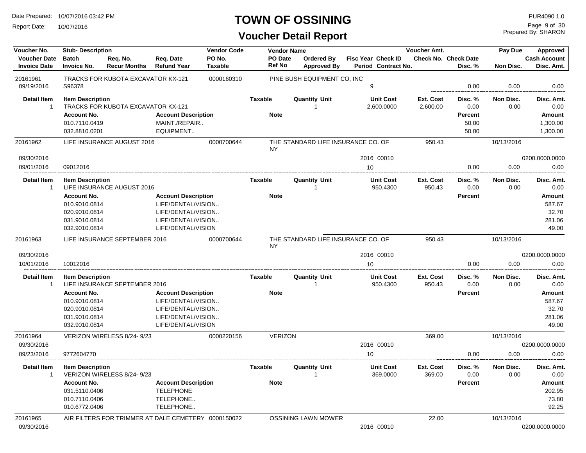Report Date: 10/07/2016

## **TOWN OF OSSINING**

Prepared By: SHARON Page 9 of 30

| Voucher No.                                | <b>Stub-Description</b>            |                                    |                                                     | <b>Vendor Code</b>       |                          | <b>Vendor Name</b>                      |                                           | <b>Voucher Amt.</b> |                                 | Pay Due    | <b>Approved</b>                   |
|--------------------------------------------|------------------------------------|------------------------------------|-----------------------------------------------------|--------------------------|--------------------------|-----------------------------------------|-------------------------------------------|---------------------|---------------------------------|------------|-----------------------------------|
| <b>Voucher Date</b><br><b>Invoice Date</b> | <b>Batch</b><br><b>Invoice No.</b> | Req. No.<br><b>Recur Months</b>    | Req. Date<br><b>Refund Year</b>                     | PO No.<br><b>Taxable</b> | PO Date<br><b>Ref No</b> | <b>Ordered By</b><br><b>Approved By</b> | Fisc Year Check ID<br>Period Contract No. |                     | Check No. Check Date<br>Disc. % | Non Disc.  | <b>Cash Account</b><br>Disc. Amt. |
| 20161961                                   |                                    | TRACKS FOR KUBOTA EXCAVATOR KX-121 |                                                     | 0000160310               |                          | PINE BUSH EQUIPMENT CO, INC             |                                           |                     |                                 |            |                                   |
| 09/19/2016                                 | S96378                             |                                    |                                                     |                          |                          |                                         | 9                                         |                     | 0.00                            | 0.00       | 0.00                              |
| <b>Detail Item</b>                         | <b>Item Description</b>            |                                    |                                                     |                          | Taxable                  | <b>Quantity Unit</b>                    | <b>Unit Cost</b>                          | Ext. Cost           | Disc. %                         | Non Disc.  | Disc. Amt.                        |
| $\overline{1}$                             |                                    | TRACKS FOR KUBOTA EXCAVATOR KX-121 |                                                     |                          |                          |                                         | 2,600.0000                                | 2,600.00            | 0.00                            | 0.00       | 0.00                              |
|                                            | <b>Account No.</b>                 |                                    | <b>Account Description</b>                          |                          | <b>Note</b>              |                                         |                                           |                     | Percent                         |            | <b>Amount</b>                     |
|                                            | 010.7110.0419                      |                                    | MAINT./REPAIR                                       |                          |                          |                                         |                                           |                     | 50.00                           |            | 1,300.00                          |
|                                            | 032.8810.0201                      |                                    | EQUIPMENT                                           |                          |                          |                                         |                                           |                     | 50.00                           |            | 1,300.00                          |
| 20161962                                   |                                    | LIFE INSURANCE AUGUST 2016         |                                                     | 0000700644               | <b>NY</b>                | THE STANDARD LIFE INSURANCE CO. OF      |                                           | 950.43              |                                 | 10/13/2016 |                                   |
| 09/30/2016                                 |                                    |                                    |                                                     |                          |                          |                                         | 2016 00010                                |                     |                                 |            | 0200.0000.0000                    |
| 09/01/2016                                 | 09012016                           |                                    |                                                     |                          |                          |                                         | 10                                        |                     | 0.00                            | 0.00       | 0.00                              |
| <b>Detail Item</b>                         | <b>Item Description</b>            |                                    |                                                     |                          | Taxable                  | <b>Quantity Unit</b>                    | <b>Unit Cost</b>                          | Ext. Cost           | Disc. %                         | Non Disc.  | Disc. Amt.                        |
| $\overline{1}$                             |                                    | LIFE INSURANCE AUGUST 2016         |                                                     |                          |                          | 1                                       | 950.4300                                  | 950.43              | 0.00                            | 0.00       | 0.00                              |
|                                            | <b>Account No.</b>                 |                                    | <b>Account Description</b>                          |                          | <b>Note</b>              |                                         |                                           |                     | Percent                         |            | Amount                            |
|                                            | 010.9010.0814                      |                                    | LIFE/DENTAL/VISION                                  |                          |                          |                                         |                                           |                     |                                 |            | 587.67                            |
|                                            | 020.9010.0814                      |                                    | LIFE/DENTAL/VISION                                  |                          |                          |                                         |                                           |                     |                                 |            | 32.70                             |
|                                            | 031.9010.0814                      |                                    | LIFE/DENTAL/VISION                                  |                          |                          |                                         |                                           |                     |                                 |            | 281.06                            |
|                                            | 032.9010.0814                      |                                    | LIFE/DENTAL/VISION                                  |                          |                          |                                         |                                           |                     |                                 |            | 49.00                             |
| 20161963                                   |                                    | LIFE INSURANCE SEPTEMBER 2016      |                                                     | 0000700644               | <b>NY</b>                | THE STANDARD LIFE INSURANCE CO. OF      |                                           | 950.43              |                                 | 10/13/2016 |                                   |
| 09/30/2016                                 |                                    |                                    |                                                     |                          |                          |                                         | 2016 00010                                |                     |                                 |            | 0200.0000.0000                    |
| 10/01/2016                                 | 10012016                           |                                    |                                                     |                          |                          |                                         | 10                                        |                     | 0.00                            | 0.00       | 0.00                              |
| <b>Detail Item</b>                         | <b>Item Description</b>            |                                    |                                                     |                          | <b>Taxable</b>           | <b>Quantity Unit</b>                    | <b>Unit Cost</b>                          | Ext. Cost           | Disc. %                         | Non Disc.  | Disc. Amt.                        |
| $\overline{1}$                             |                                    | LIFE INSURANCE SEPTEMBER 2016      |                                                     |                          |                          | 1                                       | 950.4300                                  | 950.43              | 0.00                            | 0.00       | 0.00                              |
|                                            | <b>Account No.</b>                 |                                    | <b>Account Description</b>                          |                          | <b>Note</b>              |                                         |                                           |                     | <b>Percent</b>                  |            | <b>Amount</b>                     |
|                                            | 010.9010.0814                      |                                    | LIFE/DENTAL/VISION                                  |                          |                          |                                         |                                           |                     |                                 |            | 587.67                            |
|                                            | 020.9010.0814                      |                                    | LIFE/DENTAL/VISION                                  |                          |                          |                                         |                                           |                     |                                 |            | 32.70                             |
|                                            | 031.9010.0814                      |                                    | LIFE/DENTAL/VISION                                  |                          |                          |                                         |                                           |                     |                                 |            | 281.06                            |
|                                            | 032.9010.0814                      |                                    | LIFE/DENTAL/VISION                                  |                          |                          |                                         |                                           |                     |                                 |            | 49.00                             |
| 20161964                                   |                                    | VERIZON WIRELESS 8/24-9/23         |                                                     | 0000220156               | <b>VERIZON</b>           |                                         |                                           | 369.00              |                                 | 10/13/2016 |                                   |
| 09/30/2016                                 |                                    |                                    |                                                     |                          |                          |                                         | 2016 00010                                |                     |                                 |            | 0200.0000.0000                    |
| 09/23/2016                                 | 9772604770                         |                                    |                                                     |                          |                          |                                         | 10                                        |                     | 0.00                            | 0.00       | 0.00                              |
| <b>Detail Item</b>                         | <b>Item Description</b>            |                                    |                                                     |                          | <b>Taxable</b>           | <b>Quantity Unit</b>                    | <b>Unit Cost</b>                          | Ext. Cost           | Disc. %                         | Non Disc.  | Disc. Amt.                        |
| $\overline{1}$                             |                                    | VERIZON WIRELESS 8/24-9/23         |                                                     |                          |                          |                                         | 369.0000                                  | 369.00              | 0.00                            | 0.00       | 0.00                              |
|                                            | <b>Account No.</b>                 |                                    | <b>Account Description</b>                          |                          | <b>Note</b>              |                                         |                                           |                     | Percent                         |            | <b>Amount</b>                     |
|                                            | 031.5110.0406                      |                                    | <b>TELEPHONE</b>                                    |                          |                          |                                         |                                           |                     |                                 |            | 202.95                            |
|                                            | 010.7110.0406                      |                                    | TELEPHONE                                           |                          |                          |                                         |                                           |                     |                                 |            | 73.80                             |
|                                            | 010.6772.0406                      |                                    | TELEPHONE                                           |                          |                          |                                         |                                           |                     |                                 |            | 92.25                             |
| 20161965                                   |                                    |                                    | AIR FILTERS FOR TRIMMER AT DALE CEMETERY 0000150022 |                          |                          | <b>OSSINING LAWN MOWER</b>              |                                           | 22.00               |                                 | 10/13/2016 |                                   |
| 09/30/2016                                 |                                    |                                    |                                                     |                          |                          |                                         | 2016 00010                                |                     |                                 |            | 0200.0000.0000                    |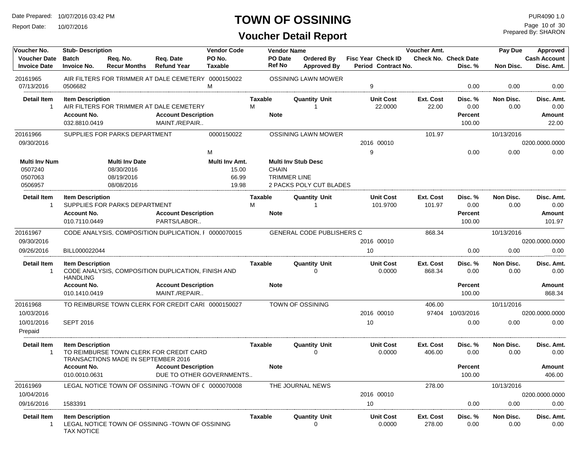Report Date: 10/07/2016

## **TOWN OF OSSINING**

Prepared By: SHARON Page 10 of 30

| Voucher No.                                | <b>Stub-Description</b>                      |                                                   |                                                        | <b>Vendor Code</b>               |              | <b>Vendor Name</b>                  |                                  |                                                  | Voucher Amt.               |                                 | Pay Due           | Approved                          |
|--------------------------------------------|----------------------------------------------|---------------------------------------------------|--------------------------------------------------------|----------------------------------|--------------|-------------------------------------|----------------------------------|--------------------------------------------------|----------------------------|---------------------------------|-------------------|-----------------------------------|
| <b>Voucher Date</b><br><b>Invoice Date</b> | <b>Batch</b><br><b>Invoice No.</b>           | Req. No.<br><b>Recur Months</b>                   | Req. Date<br><b>Refund Year</b>                        | PO No.<br><b>Taxable</b>         |              | PO Date<br><b>Ref No</b>            | Ordered By<br><b>Approved By</b> | <b>Fisc Year Check ID</b><br>Period Contract No. |                            | Check No. Check Date<br>Disc. % | Non Disc.         | <b>Cash Account</b><br>Disc. Amt. |
| 20161965<br>07/13/2016                     | 0506682                                      |                                                   | AIR FILTERS FOR TRIMMER AT DALE CEMETERY 0000150022    | M                                |              |                                     | <b>OSSINING LAWN MOWER</b>       | 9                                                |                            | 0.00                            | 0.00              | 0.00                              |
| <b>Detail Item</b><br>-1                   | <b>Item Description</b>                      |                                                   | AIR FILTERS FOR TRIMMER AT DALE CEMETERY               |                                  | Taxable<br>М |                                     | <b>Quantity Unit</b><br>-1       | <b>Unit Cost</b><br>22.0000                      | Ext. Cost<br>22.00         | Disc. %<br>0.00                 | Non Disc.<br>0.00 | Disc. Amt.<br>0.00                |
|                                            | <b>Account No.</b><br>032.8810.0419          |                                                   | <b>Account Description</b><br>MAINT./REPAIR            |                                  | <b>Note</b>  |                                     |                                  |                                                  |                            | <b>Percent</b><br>100.00        |                   | Amount<br>22.00                   |
| 20161966<br>09/30/2016                     |                                              | SUPPLIES FOR PARKS DEPARTMENT                     |                                                        | 0000150022                       |              |                                     | <b>OSSINING LAWN MOWER</b>       | 2016 00010                                       | 101.97                     |                                 | 10/13/2016        | 0200.0000.0000                    |
|                                            |                                              |                                                   |                                                        | M                                |              |                                     |                                  | 9                                                |                            | 0.00                            | 0.00              | 0.00                              |
| <b>Multi Inv Num</b><br>0507240<br>0507063 |                                              | <b>Multi Inv Date</b><br>08/30/2016<br>08/19/2016 |                                                        | Multi Inv Amt.<br>15.00<br>66.99 |              | <b>CHAIN</b><br><b>TRIMMER LINE</b> | <b>Multi Inv Stub Desc</b>       |                                                  |                            |                                 |                   |                                   |
| 0506957                                    |                                              | 08/08/2016                                        |                                                        | 19.98                            |              |                                     | 2 PACKS POLY CUT BLADES          |                                                  |                            |                                 |                   |                                   |
| <b>Detail Item</b><br>$\mathbf{1}$         | <b>Item Description</b>                      | SUPPLIES FOR PARKS DEPARTMENT                     |                                                        |                                  | Taxable<br>M |                                     | <b>Quantity Unit</b>             | <b>Unit Cost</b><br>101.9700                     | Ext. Cost<br>101.97        | Disc. %<br>0.00                 | Non Disc.<br>0.00 | Disc. Amt.<br>0.00                |
|                                            | <b>Account No.</b><br>010.7110.0449          |                                                   | <b>Account Description</b><br>PARTS/LABOR              |                                  | <b>Note</b>  |                                     |                                  |                                                  |                            | <b>Percent</b><br>100.00        |                   | Amount<br>101.97                  |
| 20161967                                   |                                              |                                                   | CODE ANALYSIS, COMPOSITION DUPLICATION, F 0000070015   |                                  |              |                                     | <b>GENERAL CODE PUBLISHERS C</b> |                                                  | 868.34                     |                                 | 10/13/2016        |                                   |
| 09/30/2016                                 |                                              |                                                   |                                                        |                                  |              |                                     |                                  | 2016 00010                                       |                            |                                 |                   | 0200.0000.0000                    |
| 09/26/2016                                 | BILL000022044                                |                                                   |                                                        |                                  |              |                                     |                                  | 10                                               |                            | 0.00                            | 0.00              | 0.00                              |
| <b>Detail Item</b><br>-1                   | <b>Item Description</b><br><b>HANDLING</b>   |                                                   | CODE ANALYSIS, COMPOSITION DUPLICATION, FINISH AND     |                                  | Taxable      |                                     | <b>Quantity Unit</b><br>0        | <b>Unit Cost</b><br>0.0000                       | <b>Ext. Cost</b><br>868.34 | Disc. %<br>0.00                 | Non Disc.<br>0.00 | Disc. Amt.<br>0.00                |
|                                            | <b>Account No.</b><br>010.1410.0419          |                                                   | <b>Account Description</b><br>MAINT./REPAIR            |                                  | <b>Note</b>  |                                     |                                  |                                                  |                            | <b>Percent</b><br>100.00        |                   | Amount<br>868.34                  |
| 20161968                                   |                                              |                                                   | TO REIMBURSE TOWN CLERK FOR CREDIT CARI 0000150027     |                                  |              |                                     | TOWN OF OSSINING                 |                                                  | 406.00                     |                                 | 10/11/2016        |                                   |
| 10/03/2016                                 |                                              |                                                   |                                                        |                                  |              |                                     |                                  | 2016 00010                                       | 97404                      | 10/03/2016                      |                   | 0200.0000.0000                    |
| 10/01/2016<br>Prepaid                      | <b>SEPT 2016</b>                             |                                                   |                                                        |                                  |              |                                     |                                  | 10                                               |                            | 0.00                            | 0.00              | 0.00                              |
| <b>Detail Item</b><br>-1                   | <b>Item Description</b>                      | TRANSACTIONS MADE IN SEPTEMBER 2016               | TO REIMBURSE TOWN CLERK FOR CREDIT CARD                |                                  | Taxable      |                                     | <b>Quantity Unit</b><br>$\Omega$ | <b>Unit Cost</b><br>0.0000                       | Ext. Cost<br>406.00        | Disc. %<br>0.00                 | Non Disc.<br>0.00 | Disc. Amt.<br>0.00                |
|                                            | <b>Account No.</b><br>010.0010.0631          |                                                   | <b>Account Description</b><br>DUE TO OTHER GOVERNMENTS |                                  | <b>Note</b>  |                                     |                                  |                                                  |                            | <b>Percent</b><br>100.00        |                   | Amount<br>406.00                  |
| 20161969                                   |                                              |                                                   | LEGAL NOTICE TOWN OF OSSINING -TOWN OF ( 0000070008    |                                  |              |                                     | THE JOURNAL NEWS                 |                                                  | 278.00                     |                                 | 10/13/2016        |                                   |
| 10/04/2016                                 |                                              |                                                   |                                                        |                                  |              |                                     |                                  | 2016 00010                                       |                            |                                 |                   | 0200.0000.0000                    |
| 09/16/2016                                 | 1583391                                      |                                                   |                                                        |                                  |              |                                     |                                  | 10                                               |                            | 0.00                            | 0.00              | 0.00                              |
| <b>Detail Item</b><br>-1                   | <b>Item Description</b><br><b>TAX NOTICE</b> |                                                   | LEGAL NOTICE TOWN OF OSSINING -TOWN OF OSSINING        |                                  | Taxable      |                                     | <b>Quantity Unit</b>             | <b>Unit Cost</b><br>0.0000                       | Ext. Cost<br>278.00        | Disc. %<br>0.00                 | Non Disc.<br>0.00 | Disc. Amt.<br>0.00                |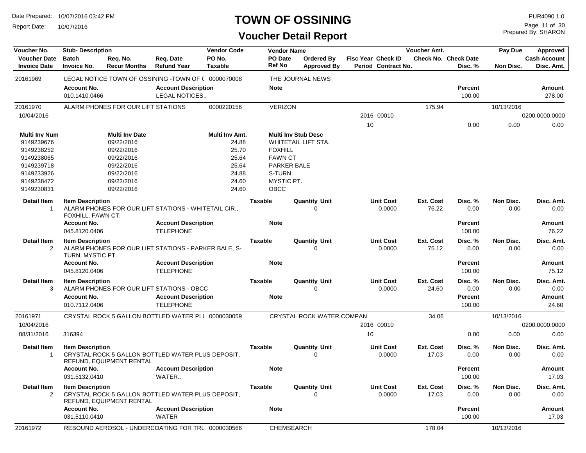Report Date: 10/07/2016

## **TOWN OF OSSINING**

Prepared By: SHARON Page 11 of 30

| Voucher No.                                | <b>Stub-Description</b>                      |                                                   |                                                      | <b>Vendor Code</b>       |                | <b>Vendor Name</b>       |                                         |    |                                           | Voucher Amt.              |                                        | Pay Due           | Approved                          |
|--------------------------------------------|----------------------------------------------|---------------------------------------------------|------------------------------------------------------|--------------------------|----------------|--------------------------|-----------------------------------------|----|-------------------------------------------|---------------------------|----------------------------------------|-------------------|-----------------------------------|
| <b>Voucher Date</b><br><b>Invoice Date</b> | <b>Batch</b><br><b>Invoice No.</b>           | Req. No.<br><b>Recur Months</b>                   | Req. Date<br><b>Refund Year</b>                      | PO No.<br><b>Taxable</b> |                | PO Date<br><b>Ref No</b> | <b>Ordered By</b><br><b>Approved By</b> |    | Fisc Year Check ID<br>Period Contract No. |                           | <b>Check No. Check Date</b><br>Disc. % | Non Disc.         | <b>Cash Account</b><br>Disc. Amt. |
| 20161969                                   |                                              |                                                   | LEGAL NOTICE TOWN OF OSSINING -TOWN OF ( 0000070008  |                          |                |                          | THE JOURNAL NEWS                        |    |                                           |                           |                                        |                   |                                   |
|                                            | <b>Account No.</b><br>010.1410.0466          |                                                   | <b>Account Description</b><br>LEGAL NOTICES          |                          |                | <b>Note</b>              |                                         |    |                                           |                           | <b>Percent</b><br>100.00               |                   | Amount<br>278.00                  |
| 20161970                                   |                                              | ALARM PHONES FOR OUR LIFT STATIONS                |                                                      | 0000220156               |                | <b>VERIZON</b>           |                                         |    |                                           | 175.94                    |                                        | 10/13/2016        |                                   |
| 10/04/2016                                 |                                              |                                                   |                                                      |                          |                |                          |                                         |    | 2016 00010                                |                           |                                        |                   | 0200.0000.0000                    |
|                                            |                                              |                                                   |                                                      |                          |                |                          |                                         | 10 |                                           |                           | 0.00                                   | 0.00              | 0.00                              |
| Multi Inv Num                              |                                              | <b>Multi Inv Date</b>                             |                                                      | Multi Inv Amt.           |                |                          | <b>Multi Inv Stub Desc</b>              |    |                                           |                           |                                        |                   |                                   |
| 9149239676                                 |                                              | 09/22/2016                                        |                                                      | 24.88                    |                |                          | WHITETAIL LIFT STA.                     |    |                                           |                           |                                        |                   |                                   |
| 9149238252                                 |                                              | 09/22/2016                                        |                                                      | 25.70                    |                | <b>FOXHILL</b>           |                                         |    |                                           |                           |                                        |                   |                                   |
| 9149238065                                 |                                              | 09/22/2016                                        |                                                      | 25.64                    |                | <b>FAWN CT</b>           |                                         |    |                                           |                           |                                        |                   |                                   |
| 9149239718                                 |                                              | 09/22/2016                                        |                                                      | 25.64                    |                | PARKER BALE              |                                         |    |                                           |                           |                                        |                   |                                   |
| 9149233926                                 |                                              | 09/22/2016                                        |                                                      | 24.88                    |                | S-TURN                   |                                         |    |                                           |                           |                                        |                   |                                   |
| 9149238472                                 |                                              | 09/22/2016                                        |                                                      | 24.60                    |                | MYSTIC PT.               |                                         |    |                                           |                           |                                        |                   |                                   |
| 9149230831                                 |                                              | 09/22/2016                                        |                                                      | 24.60                    |                | OBCC                     |                                         |    |                                           |                           |                                        |                   |                                   |
| <b>Detail Item</b><br>$\overline{1}$       | <b>Item Description</b><br>FOXHILL, FAWN CT. |                                                   | ALARM PHONES FOR OUR LIFT STATIONS - WHITETAIL CIR., |                          | <b>Taxable</b> |                          | <b>Quantity Unit</b><br>$\Omega$        |    | <b>Unit Cost</b><br>0.0000                | Ext. Cost<br>76.22        | Disc. %<br>0.00                        | Non Disc.<br>0.00 | Disc. Amt.<br>0.00                |
|                                            | <b>Account No.</b><br>045.8120.0406          |                                                   | <b>Account Description</b><br><b>TELEPHONE</b>       |                          |                | <b>Note</b>              |                                         |    |                                           |                           | <b>Percent</b><br>100.00               |                   | Amount<br>76.22                   |
|                                            |                                              |                                                   |                                                      |                          |                |                          |                                         |    |                                           |                           |                                        |                   |                                   |
| <b>Detail Item</b><br>$\overline{2}$       | <b>Item Description</b><br>TURN, MYSTIC PT.  |                                                   | ALARM PHONES FOR OUR LIFT STATIONS - PARKER BALE, S- |                          | <b>Taxable</b> |                          | <b>Quantity Unit</b><br>$\Omega$        |    | <b>Unit Cost</b><br>0.0000                | Ext. Cost<br>75.12        | Disc. %<br>0.00                        | Non Disc.<br>0.00 | Disc. Amt.<br>0.00                |
|                                            | <b>Account No.</b><br>045.8120.0406          |                                                   | <b>Account Description</b><br><b>TELEPHONE</b>       |                          |                | <b>Note</b>              |                                         |    |                                           |                           | <b>Percent</b><br>100.00               |                   | Amount<br>75.12                   |
| <b>Detail Item</b><br>3                    | <b>Item Description</b>                      |                                                   | ALARM PHONES FOR OUR LIFT STATIONS - OBCC            |                          | <b>Taxable</b> |                          | <b>Quantity Unit</b><br>$\Omega$        |    | <b>Unit Cost</b><br>0.0000                | Ext. Cost<br>24.60        | Disc. %<br>0.00                        | Non Disc.<br>0.00 | Disc. Amt.<br>0.00                |
|                                            | <b>Account No.</b><br>010.7112.0406          |                                                   | <b>Account Description</b><br><b>TELEPHONE</b>       |                          |                | <b>Note</b>              |                                         |    |                                           |                           | <b>Percent</b><br>100.00               |                   | <b>Amount</b><br>24.60            |
| 20161971                                   |                                              |                                                   | CRYSTAL ROCK 5 GALLON BOTTLED WATER PLI 0000030059   |                          |                |                          | CRYSTAL ROCK WATER COMPAN               |    |                                           | 34.06                     |                                        | 10/13/2016        |                                   |
| 10/04/2016                                 |                                              |                                                   |                                                      |                          |                |                          |                                         |    | 2016 00010                                |                           |                                        |                   | 0200.0000.0000                    |
| 08/31/2016                                 | 316394                                       |                                                   |                                                      |                          |                |                          |                                         | 10 |                                           |                           | 0.00                                   | 0.00              | 0.00                              |
| <b>Detail Item</b><br>$\overline{1}$       | <b>Item Description</b>                      | REFUND, EQUIPMENT RENTAL                          | CRYSTAL ROCK 5 GALLON BOTTLED WATER PLUS DEPOSIT.    |                          | <b>Taxable</b> |                          | <b>Quantity Unit</b><br>0               |    | <b>Unit Cost</b><br>0.0000                | <b>Ext. Cost</b><br>17.03 | Disc. %<br>0.00                        | Non Disc.<br>0.00 | Disc. Amt.<br>0.00                |
|                                            | <b>Account No.</b><br>031.5132.0410          |                                                   | <b>Account Description</b><br>WATER                  |                          |                | <b>Note</b>              |                                         |    |                                           |                           | <b>Percent</b><br>100.00               |                   | Amount<br>17.03                   |
| <b>Detail Item</b><br>2                    | <b>Item Description</b>                      | REFUND, EQUIPMENT RENTAL                          | CRYSTAL ROCK 5 GALLON BOTTLED WATER PLUS DEPOSIT,    |                          | <b>Taxable</b> |                          | <b>Quantity Unit</b><br>$\Omega$        |    | <b>Unit Cost</b><br>0.0000                | Ext. Cost<br>17.03        | Disc. %<br>0.00                        | Non Disc.<br>0.00 | Disc. Amt.<br>0.00                |
|                                            | <b>Account No.</b>                           |                                                   | <b>Account Description</b>                           |                          |                | <b>Note</b>              |                                         |    |                                           |                           | <b>Percent</b>                         |                   | Amount                            |
|                                            | 031.5110.0410                                |                                                   | <b>WATER</b>                                         |                          |                |                          |                                         |    |                                           |                           | 100.00                                 |                   | 17.03                             |
| 20161972                                   |                                              | REBOUND AEROSOL - UNDERCOATING FOR TRL 0000030566 |                                                      |                          |                | <b>CHEMSEARCH</b>        |                                         |    |                                           | 178.04                    |                                        | 10/13/2016        |                                   |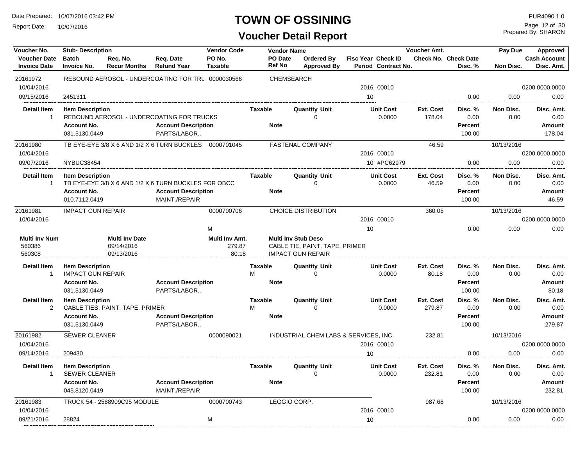Report Date: 10/07/2016

#### **TOWN OF OSSINING**

Prepared By: SHARON Page 12 of 30

| Voucher No.                                | <b>Stub-Description</b>                             |                                 |                                                                                    | <b>Vendor Code</b>       |                                 | <b>Vendor Name</b> |                                     |                                                  | Voucher Amt.              |                                        | Pay Due           | Approved                          |
|--------------------------------------------|-----------------------------------------------------|---------------------------------|------------------------------------------------------------------------------------|--------------------------|---------------------------------|--------------------|-------------------------------------|--------------------------------------------------|---------------------------|----------------------------------------|-------------------|-----------------------------------|
| <b>Voucher Date</b><br><b>Invoice Date</b> | <b>Batch</b><br><b>Invoice No.</b>                  | Req. No.<br><b>Recur Months</b> | Req. Date<br><b>Refund Year</b>                                                    | PO No.<br><b>Taxable</b> | <b>PO</b> Date<br><b>Ref No</b> |                    | Ordered By<br><b>Approved By</b>    | <b>Fisc Year Check ID</b><br>Period Contract No. |                           | <b>Check No. Check Date</b><br>Disc. % | <b>Non Disc.</b>  | <b>Cash Account</b><br>Disc. Amt. |
| 20161972                                   |                                                     |                                 | REBOUND AEROSOL - UNDERCOATING FOR TRL 0000030566                                  |                          |                                 | <b>CHEMSEARCH</b>  |                                     |                                                  |                           |                                        |                   |                                   |
| 10/04/2016                                 |                                                     |                                 |                                                                                    |                          |                                 |                    |                                     | 2016 00010                                       |                           |                                        |                   | 0200.0000.0000                    |
| 09/15/2016                                 | 2451311                                             |                                 |                                                                                    |                          |                                 |                    |                                     | 10                                               |                           | 0.00                                   | 0.00              | 0.00                              |
| <b>Detail Item</b><br>$\overline{1}$       | <b>Item Description</b>                             |                                 | REBOUND AEROSOL - UNDERCOATING FOR TRUCKS                                          |                          | <b>Taxable</b>                  |                    | <b>Quantity Unit</b><br>$\mathbf 0$ | <b>Unit Cost</b><br>0.0000                       | Ext. Cost<br>178.04       | Disc. %<br>0.00                        | Non Disc.<br>0.00 | Disc. Amt.<br>0.00                |
|                                            | <b>Account No.</b><br>031.5130.0449                 |                                 | <b>Account Description</b><br>PARTS/LABOR                                          |                          | <b>Note</b>                     |                    |                                     |                                                  |                           | Percent<br>100.00                      |                   | <b>Amount</b><br>178.04           |
| 20161980                                   |                                                     |                                 | TB EYE-EYE 3/8 X 6 AND 1/2 X 6 TURN BUCKLES   0000701045                           |                          |                                 |                    | <b>FASTENAL COMPANY</b>             |                                                  | 46.59                     |                                        | 10/13/2016        |                                   |
| 10/04/2016                                 |                                                     |                                 |                                                                                    |                          |                                 |                    |                                     | 2016 00010                                       |                           |                                        |                   | 0200.0000.0000                    |
| 09/07/2016                                 | NYBUC38454                                          |                                 |                                                                                    |                          |                                 |                    |                                     | 10 #PC62979                                      |                           | 0.00                                   | 0.00              | 0.00                              |
| <b>Detail Item</b>                         | <b>Item Description</b>                             |                                 |                                                                                    |                          | <b>Taxable</b>                  |                    | <b>Quantity Unit</b>                | <b>Unit Cost</b>                                 | Ext. Cost                 | Disc. %                                | Non Disc.         | Disc. Amt.                        |
| $\overline{1}$                             | <b>Account No.</b>                                  |                                 | TB EYE-EYE 3/8 X 6 AND 1/2 X 6 TURN BUCKLES FOR OBCC<br><b>Account Description</b> |                          | <b>Note</b>                     |                    | 0                                   | 0.0000                                           | 46.59                     | 0.00<br>Percent                        | 0.00              | 0.00<br><b>Amount</b>             |
|                                            | 010.7112.0419                                       |                                 | MAINT./REPAIR                                                                      |                          |                                 |                    |                                     |                                                  |                           | 100.00                                 |                   | 46.59                             |
| 20161981                                   | <b>IMPACT GUN REPAIR</b>                            |                                 |                                                                                    | 0000700706               |                                 |                    | <b>CHOICE DISTRIBUTION</b>          |                                                  | 360.05                    |                                        | 10/13/2016        |                                   |
| 10/04/2016                                 |                                                     |                                 |                                                                                    |                          |                                 |                    |                                     | 2016 00010                                       |                           |                                        |                   | 0200.0000.0000                    |
|                                            |                                                     |                                 |                                                                                    | M                        |                                 |                    |                                     | 10                                               |                           | 0.00                                   | 0.00              | 0.00                              |
| <b>Multi Inv Num</b>                       |                                                     | <b>Multi Inv Date</b>           |                                                                                    | Multi Inv Amt.           |                                 |                    | <b>Multi Inv Stub Desc</b>          |                                                  |                           |                                        |                   |                                   |
| 560386                                     |                                                     | 09/14/2016                      |                                                                                    | 279.87                   |                                 |                    | CABLE TIE, PAINT, TAPE, PRIMER      |                                                  |                           |                                        |                   |                                   |
| 560308                                     |                                                     | 09/13/2016                      |                                                                                    | 80.18                    |                                 |                    | <b>IMPACT GUN REPAIR</b>            |                                                  |                           |                                        |                   |                                   |
| <b>Detail Item</b><br>$\overline{1}$       | <b>Item Description</b><br><b>IMPACT GUN REPAIR</b> |                                 |                                                                                    |                          | Taxable<br>M                    |                    | <b>Quantity Unit</b><br>$\Omega$    | <b>Unit Cost</b><br>0.0000                       | <b>Ext. Cost</b><br>80.18 | Disc. %<br>0.00                        | Non Disc.<br>0.00 | Disc. Amt.<br>0.00                |
|                                            | <b>Account No.</b>                                  |                                 | <b>Account Description</b>                                                         |                          | <b>Note</b>                     |                    |                                     |                                                  |                           | Percent                                |                   | Amount                            |
|                                            | 031.5130.0449                                       |                                 | PARTS/LABOR                                                                        |                          |                                 |                    |                                     |                                                  |                           | 100.00                                 |                   | 80.18                             |
| <b>Detail Item</b><br>$\overline{2}$       | <b>Item Description</b>                             | CABLE TIES, PAINT, TAPE, PRIMER |                                                                                    |                          | <b>Taxable</b><br>M             |                    | <b>Quantity Unit</b><br>$\Omega$    | <b>Unit Cost</b><br>0.0000                       | Ext. Cost<br>279.87       | Disc. %<br>0.00                        | Non Disc.<br>0.00 | Disc. Amt.<br>0.00                |
|                                            | <b>Account No.</b><br>031.5130.0449                 |                                 | <b>Account Description</b><br>PARTS/LABOR                                          |                          | <b>Note</b>                     |                    |                                     |                                                  |                           | <b>Percent</b><br>100.00               |                   | Amount<br>279.87                  |
| 20161982                                   | <b>SEWER CLEANER</b>                                |                                 |                                                                                    | 0000090021               |                                 |                    |                                     | INDUSTRIAL CHEM LABS & SERVICES, INC.            | 232.81                    |                                        | 10/13/2016        |                                   |
| 10/04/2016                                 |                                                     |                                 |                                                                                    |                          |                                 |                    |                                     | 2016 00010                                       |                           |                                        |                   | 0200.0000.0000                    |
| 09/14/2016                                 | 209430                                              |                                 |                                                                                    |                          |                                 |                    |                                     | 10                                               |                           | 0.00                                   | 0.00              | 0.00                              |
| <b>Detail Item</b>                         | <b>Item Description</b>                             |                                 |                                                                                    |                          | Taxable                         |                    | <b>Quantity Unit</b>                | <b>Unit Cost</b>                                 | Ext. Cost                 | Disc. %                                | Non Disc.         | Disc. Amt.                        |
| $\overline{\mathbf{1}}$                    | <b>SEWER CLEANER</b>                                |                                 |                                                                                    |                          |                                 |                    | $\Omega$                            | 0.0000                                           | 232.81                    | 0.00                                   | 0.00              | 0.00                              |
|                                            | <b>Account No.</b>                                  |                                 | <b>Account Description</b>                                                         |                          | <b>Note</b>                     |                    |                                     |                                                  |                           | <b>Percent</b>                         |                   | Amount                            |
|                                            | 045.8120.0419                                       |                                 | MAINT./REPAIR                                                                      |                          |                                 |                    |                                     |                                                  |                           | 100.00                                 |                   | 232.81                            |
| 20161983                                   |                                                     | TRUCK 54 - 2588909C95 MODULE    |                                                                                    | 0000700743               |                                 | LEGGIO CORP.       |                                     |                                                  | 987.68                    |                                        | 10/13/2016        |                                   |
| 10/04/2016                                 |                                                     |                                 |                                                                                    |                          |                                 |                    |                                     | 2016 00010                                       |                           |                                        |                   | 0200.0000.0000                    |
| 09/21/2016                                 | 28824                                               |                                 |                                                                                    | M                        |                                 |                    |                                     | 10                                               |                           | 0.00                                   | 0.00              | 0.00                              |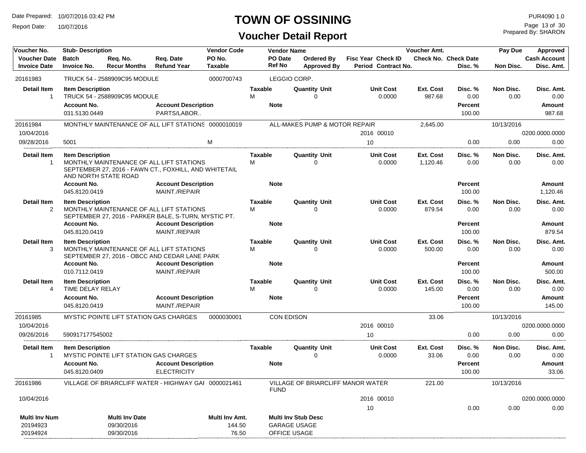Report Date: 10/07/2016

## **TOWN OF OSSINING**

## **Voucher Detail Report**

Prepared By: SHARON Page 13 of 30

| Voucher No.                                  | <b>Stub- Description</b>                                       |                                                                                                                           |                                                  | <b>Vendor Code</b>                |                     | <b>Vendor Name</b>                  |                                         |                                           | Voucher Amt.          |                                             | Pay Due           | Approved                               |
|----------------------------------------------|----------------------------------------------------------------|---------------------------------------------------------------------------------------------------------------------------|--------------------------------------------------|-----------------------------------|---------------------|-------------------------------------|-----------------------------------------|-------------------------------------------|-----------------------|---------------------------------------------|-------------------|----------------------------------------|
| <b>Voucher Date</b><br><b>Invoice Date</b>   | <b>Batch</b><br><b>Invoice No.</b>                             | Req. No.<br><b>Recur Months</b>                                                                                           | Req. Date<br><b>Refund Year</b>                  | PO No.<br><b>Taxable</b>          |                     | PO Date<br><b>Ref No</b>            | <b>Ordered By</b><br><b>Approved By</b> | Fisc Year Check ID<br>Period Contract No. |                       | <b>Check No. Check Date</b><br>Disc. %      | Non Disc.         | <b>Cash Account</b><br>Disc. Amt.      |
| 20161983                                     |                                                                | TRUCK 54 - 2588909C95 MODULE                                                                                              |                                                  | 0000700743                        |                     | LEGGIO CORP.                        |                                         |                                           |                       |                                             |                   |                                        |
| <b>Detail Item</b><br>$\overline{1}$         | <b>Item Description</b><br><b>Account No.</b><br>031.5130.0449 | TRUCK 54 - 2588909C95 MODULE                                                                                              | <b>Account Description</b><br>PARTS/LABOR        |                                   | <b>Taxable</b><br>М | <b>Note</b>                         | <b>Quantity Unit</b><br>0               | <b>Unit Cost</b><br>0.0000                | Ext. Cost<br>987.68   | Disc. %<br>0.00<br><b>Percent</b><br>100.00 | Non Disc.<br>0.00 | Disc. Amt.<br>0.00<br>Amount<br>987.68 |
| 20161984                                     |                                                                | MONTHLY MAINTENANCE OF ALL LIFT STATIONS 0000010019                                                                       |                                                  |                                   |                     |                                     | ALL-MAKES PUMP & MOTOR REPAIR           |                                           | 2,645.00              |                                             | 10/13/2016        |                                        |
| 10/04/2016                                   |                                                                |                                                                                                                           |                                                  |                                   |                     |                                     |                                         | 2016 00010                                |                       |                                             |                   | 0200.0000.0000                         |
| 09/28/2016                                   | 5001                                                           |                                                                                                                           |                                                  | M                                 |                     |                                     |                                         | 10                                        |                       | 0.00                                        | 0.00              | 0.00                                   |
| <b>Detail Item</b><br>-1                     | <b>Item Description</b><br><b>Account No.</b>                  | MONTHLY MAINTENANCE OF ALL LIFT STATIONS<br>SEPTEMBER 27, 2016 - FAWN CT., FOXHILL, AND WHITETAIL<br>AND NORTH STATE ROAD | <b>Account Description</b>                       |                                   | <b>Taxable</b><br>м | <b>Note</b>                         | <b>Quantity Unit</b><br>0               | <b>Unit Cost</b><br>0.0000                | Ext. Cost<br>1,120.46 | Disc.%<br>0.00<br>Percent                   | Non Disc.<br>0.00 | Disc. Amt.<br>0.00<br>Amount           |
|                                              | 045.8120.0419                                                  |                                                                                                                           | MAINT./REPAIR                                    |                                   |                     |                                     |                                         |                                           |                       | 100.00                                      |                   | 1,120.46                               |
| <b>Detail Item</b><br>2                      | <b>Item Description</b>                                        | MONTHLY MAINTENANCE OF ALL LIFT STATIONS<br>SEPTEMBER 27, 2016 - PARKER BALE, S-TURN, MYSTIC PT.                          |                                                  |                                   | <b>Taxable</b><br>M |                                     | <b>Quantity Unit</b><br>$\Omega$        | <b>Unit Cost</b><br>0.0000                | Ext. Cost<br>879.54   | Disc. %<br>0.00                             | Non Disc.<br>0.00 | Disc. Amt.<br>0.00                     |
|                                              | <b>Account No.</b><br>045.8120.0419                            |                                                                                                                           | <b>Account Description</b><br>MAINT./REPAIR      |                                   |                     | <b>Note</b>                         |                                         |                                           |                       | <b>Percent</b><br>100.00                    |                   | <b>Amount</b><br>879.54                |
| <b>Detail Item</b><br>3                      | <b>Item Description</b><br><b>Account No.</b>                  | MONTHLY MAINTENANCE OF ALL LIFT STATIONS<br>SEPTEMBER 27, 2016 - OBCC AND CEDAR LANE PARK                                 | <b>Account Description</b>                       |                                   | <b>Taxable</b><br>М | <b>Note</b>                         | <b>Quantity Unit</b><br>0               | <b>Unit Cost</b><br>0.0000                | Ext. Cost<br>500.00   | Disc.%<br>0.00<br><b>Percent</b>            | Non Disc.<br>0.00 | Disc. Amt.<br>0.00<br>Amount           |
|                                              | 010.7112.0419                                                  |                                                                                                                           | MAINT./REPAIR                                    |                                   |                     |                                     |                                         |                                           |                       | 100.00                                      |                   | 500.00                                 |
| <b>Detail Item</b><br>4                      | <b>Item Description</b><br>TIME DELAY RELAY                    |                                                                                                                           |                                                  |                                   | <b>Taxable</b><br>M |                                     | <b>Quantity Unit</b><br>0               | <b>Unit Cost</b><br>0.0000                | Ext. Cost<br>145.00   | Disc. %<br>0.00                             | Non Disc.<br>0.00 | Disc. Amt.<br>0.00                     |
|                                              | <b>Account No.</b><br>045.8120.0419                            |                                                                                                                           | <b>Account Description</b><br>MAINT./REPAIR      |                                   |                     | <b>Note</b>                         |                                         |                                           |                       | Percent<br>100.00                           |                   | Amount<br>145.00                       |
| 20161985                                     |                                                                | MYSTIC POINTE LIFT STATION GAS CHARGES                                                                                    |                                                  | 0000030001                        |                     | <b>CON EDISON</b>                   |                                         |                                           | 33.06                 |                                             | 10/13/2016        |                                        |
| 10/04/2016                                   |                                                                |                                                                                                                           |                                                  |                                   |                     |                                     |                                         | 2016 00010                                |                       |                                             |                   | 0200.0000.0000                         |
| 09/26/2016                                   | 590917177545002                                                |                                                                                                                           |                                                  |                                   |                     |                                     |                                         | 10                                        |                       | 0.00                                        | 0.00              | 0.00                                   |
| <b>Detail Item</b><br>$\mathbf{1}$           | <b>Item Description</b>                                        | MYSTIC POINTE LIFT STATION GAS CHARGES                                                                                    |                                                  |                                   | Taxable             |                                     | <b>Quantity Unit</b><br>0               | <b>Unit Cost</b><br>0.0000                | Ext. Cost<br>33.06    | Disc. %<br>0.00                             | Non Disc.<br>0.00 | Disc. Amt.<br>0.00                     |
|                                              | <b>Account No.</b><br>045.8120.0409                            |                                                                                                                           | <b>Account Description</b><br><b>ELECTRICITY</b> |                                   |                     | <b>Note</b>                         |                                         |                                           |                       | <b>Percent</b><br>100.00                    |                   | Amount<br>33.06                        |
| 20161986                                     |                                                                | VILLAGE OF BRIARCLIFF WATER - HIGHWAY GAI 0000021461                                                                      |                                                  |                                   |                     | <b>FUND</b>                         | VILLAGE OF BRIARCLIFF MANOR WATER       |                                           | 221.00                |                                             | 10/13/2016        |                                        |
| 10/04/2016                                   |                                                                |                                                                                                                           |                                                  |                                   |                     |                                     |                                         | 2016 00010                                |                       |                                             |                   | 0200.0000.0000                         |
|                                              |                                                                |                                                                                                                           |                                                  |                                   |                     |                                     |                                         | 10                                        |                       | 0.00                                        | 0.00              | 0.00                                   |
| <b>Multi Inv Num</b><br>20194923<br>20194924 |                                                                | <b>Multi Inv Date</b><br>09/30/2016<br>09/30/2016                                                                         |                                                  | Multi Inv Amt.<br>144.50<br>76.50 |                     | <b>GARAGE USAGE</b><br>OFFICE USAGE | <b>Multi Inv Stub Desc</b>              |                                           |                       |                                             |                   |                                        |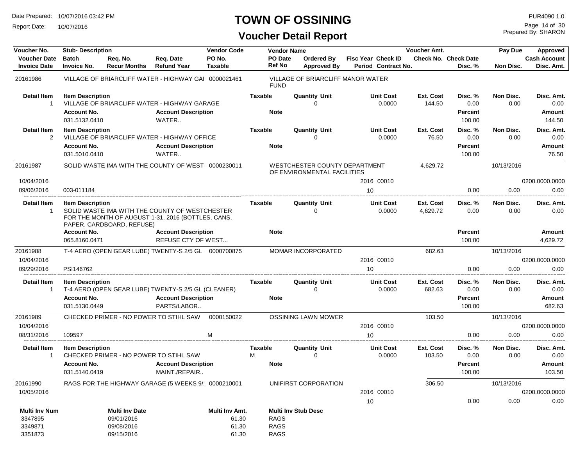Report Date: 10/07/2016

## **TOWN OF OSSINING**

Prepared By: SHARON Page 14 of 30

| Voucher No.                                | <b>Stub- Description</b>            |                                 |                                                                                                      | <b>Vendor Code</b> |                     | <b>Vendor Name</b> |                                                              |                                                  | <b>Voucher Amt.</b>   |                                        | Pay Due           | Approved                          |
|--------------------------------------------|-------------------------------------|---------------------------------|------------------------------------------------------------------------------------------------------|--------------------|---------------------|--------------------|--------------------------------------------------------------|--------------------------------------------------|-----------------------|----------------------------------------|-------------------|-----------------------------------|
| <b>Voucher Date</b><br><b>Invoice Date</b> | <b>Batch</b><br><b>Invoice No.</b>  | Req. No.<br><b>Recur Months</b> | Req. Date<br><b>Refund Year</b>                                                                      | PO No.<br>Taxable  | <b>Ref No</b>       | PO Date            | Ordered By<br><b>Approved By</b>                             | <b>Fisc Year Check ID</b><br>Period Contract No. |                       | <b>Check No. Check Date</b><br>Disc. % | Non Disc.         | <b>Cash Account</b><br>Disc. Amt. |
| 20161986                                   |                                     |                                 | VILLAGE OF BRIARCLIFF WATER - HIGHWAY GAI 0000021461                                                 |                    | <b>FUND</b>         |                    | VILLAGE OF BRIARCLIFF MANOR WATER                            |                                                  |                       |                                        |                   |                                   |
| <b>Detail Item</b><br>$\mathbf{1}$         | <b>Item Description</b>             |                                 | VILLAGE OF BRIARCLIFF WATER - HIGHWAY GARAGE                                                         |                    | <b>Taxable</b>      |                    | <b>Quantity Unit</b>                                         | <b>Unit Cost</b><br>0.0000                       | Ext. Cost<br>144.50   | Disc. %<br>0.00                        | Non Disc.<br>0.00 | Disc. Amt.<br>0.00                |
|                                            | <b>Account No.</b><br>031.5132.0410 |                                 | <b>Account Description</b><br>WATER                                                                  |                    | <b>Note</b>         |                    |                                                              |                                                  |                       | Percent<br>100.00                      |                   | Amount<br>144.50                  |
| <b>Detail Item</b><br>2                    | <b>Item Description</b>             |                                 | VILLAGE OF BRIARCLIFF WATER - HIGHWAY OFFICE                                                         |                    | <b>Taxable</b>      |                    | <b>Quantity Unit</b><br>0                                    | <b>Unit Cost</b><br>0.0000                       | Ext. Cost<br>76.50    | Disc. %<br>0.00                        | Non Disc.<br>0.00 | Disc. Amt.<br>0.00                |
|                                            | <b>Account No.</b><br>031.5010.0410 |                                 | <b>Account Description</b><br>WATER                                                                  |                    | <b>Note</b>         |                    |                                                              |                                                  |                       | <b>Percent</b><br>100.00               |                   | Amount<br>76.50                   |
| 20161987                                   |                                     |                                 | SOLID WASTE IMA WITH THE COUNTY OF WEST 0000230011                                                   |                    |                     |                    | WESTCHESTER COUNTY DEPARTMENT<br>OF ENVIRONMENTAL FACILITIES |                                                  | 4,629.72              |                                        | 10/13/2016        |                                   |
| 10/04/2016                                 |                                     |                                 |                                                                                                      |                    |                     |                    |                                                              | 2016 00010                                       |                       |                                        |                   | 0200.0000.0000                    |
| 09/06/2016                                 | 003-011184                          |                                 |                                                                                                      |                    |                     |                    |                                                              | 10                                               |                       | 0.00                                   | 0.00              | 0.00                              |
| <b>Detail Item</b><br>-1                   | <b>Item Description</b>             | PAPER, CARDBOARD, REFUSE)       | SOLID WASTE IMA WITH THE COUNTY OF WESTCHESTER<br>FOR THE MONTH OF AUGUST 1-31, 2016 (BOTTLES, CANS, |                    | Taxable             |                    | <b>Quantity Unit</b><br>0                                    | <b>Unit Cost</b><br>0.0000                       | Ext. Cost<br>4,629.72 | Disc. %<br>0.00                        | Non Disc.<br>0.00 | Disc. Amt.<br>0.00                |
|                                            | <b>Account No.</b><br>065.8160.0471 |                                 | <b>Account Description</b><br><b>REFUSE CTY OF WEST</b>                                              |                    | <b>Note</b>         |                    |                                                              |                                                  |                       | Percent<br>100.00                      |                   | Amount<br>4,629.72                |
| 20161988                                   |                                     |                                 | T-4 AERO (OPEN GEAR LUBE) TWENTY-S 2/5 GL  0000700875                                                |                    |                     |                    | MOMAR INCORPORATED                                           |                                                  | 682.63                |                                        | 10/13/2016        |                                   |
| 10/04/2016                                 |                                     |                                 |                                                                                                      |                    |                     |                    |                                                              | 2016 00010                                       |                       |                                        |                   | 0200.0000.0000                    |
| 09/29/2016                                 | PSI146762                           |                                 |                                                                                                      |                    |                     |                    |                                                              | 10                                               |                       | 0.00                                   | 0.00              | 0.00                              |
| <b>Detail Item</b>                         | <b>Item Description</b>             |                                 |                                                                                                      |                    | <b>Taxable</b>      |                    | <b>Quantity Unit</b>                                         | <b>Unit Cost</b>                                 | Ext. Cost             | Disc. %                                | Non Disc.         | Disc. Amt.                        |
| -1                                         |                                     |                                 | T-4 AERO (OPEN GEAR LUBE) TWENTY-S 2/5 GL (CLEANER)                                                  |                    |                     |                    | $\Omega$                                                     | 0.0000                                           | 682.63                | 0.00                                   | 0.00              | 0.00                              |
|                                            | <b>Account No.</b><br>031.5130.0449 |                                 | <b>Account Description</b><br>PARTS/LABOR                                                            |                    | <b>Note</b>         |                    |                                                              |                                                  |                       | Percent<br>100.00                      |                   | Amount<br>682.63                  |
| 20161989                                   |                                     |                                 | CHECKED PRIMER - NO POWER TO STIHL SAW                                                               | 0000150022         |                     |                    | <b>OSSINING LAWN MOWER</b>                                   |                                                  | 103.50                |                                        | 10/13/2016        |                                   |
| 10/04/2016                                 |                                     |                                 |                                                                                                      |                    |                     |                    |                                                              | 2016 00010                                       |                       |                                        |                   | 0200.0000.0000                    |
| 08/31/2016                                 | 109597                              |                                 |                                                                                                      | M                  |                     |                    |                                                              | 10                                               |                       | 0.00                                   | 0.00              | 0.00                              |
| <b>Detail Item</b><br>$\mathbf{1}$         | <b>Item Description</b>             |                                 | CHECKED PRIMER - NO POWER TO STIHL SAW                                                               |                    | <b>Taxable</b><br>м |                    | <b>Quantity Unit</b><br>$\Omega$                             | <b>Unit Cost</b><br>0.0000                       | Ext. Cost<br>103.50   | Disc. %<br>0.00                        | Non Disc.<br>0.00 | Disc. Amt.<br>0.00                |
|                                            | <b>Account No.</b><br>031.5140.0419 |                                 | <b>Account Description</b><br>MAINT./REPAIR                                                          |                    | <b>Note</b>         |                    |                                                              |                                                  |                       | Percent<br>100.00                      |                   | <b>Amount</b><br>103.50           |
| 20161990                                   |                                     |                                 | RAGS FOR THE HIGHWAY GARAGE (5 WEEKS 9/ 0000210001                                                   |                    |                     |                    | UNIFIRST CORPORATION                                         |                                                  | 306.50                |                                        | 10/13/2016        |                                   |
| 10/05/2016                                 |                                     |                                 |                                                                                                      |                    |                     |                    |                                                              | 2016 00010                                       |                       |                                        |                   | 0200.0000.0000                    |
|                                            |                                     |                                 |                                                                                                      |                    |                     |                    |                                                              | 10                                               |                       | 0.00                                   | 0.00              | 0.00                              |
| <b>Multi Inv Num</b>                       |                                     | Multi Inv Date                  |                                                                                                      | Multi Inv Amt.     |                     |                    | <b>Multi Inv Stub Desc</b>                                   |                                                  |                       |                                        |                   |                                   |
| 3347895                                    |                                     | 09/01/2016                      |                                                                                                      | 61.30              | <b>RAGS</b>         |                    |                                                              |                                                  |                       |                                        |                   |                                   |
| 3349871                                    |                                     | 09/08/2016                      |                                                                                                      | 61.30              | <b>RAGS</b>         |                    |                                                              |                                                  |                       |                                        |                   |                                   |
| 3351873                                    |                                     | 09/15/2016                      |                                                                                                      | 61.30              | <b>RAGS</b>         |                    |                                                              |                                                  |                       |                                        |                   |                                   |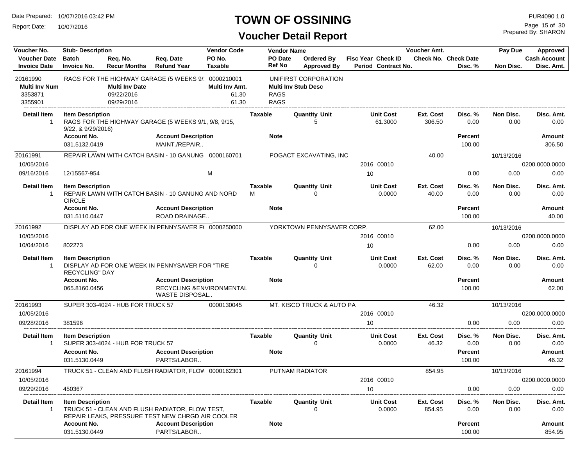Report Date: 10/07/2016

#### **TOWN OF OSSINING**

Prepared By: SHARON Page 15 of 30

| <b>Voucher Date</b><br>PO No.<br>PO Date<br><b>Check No. Check Date</b><br><b>Cash Account</b><br><b>Batch</b><br>Req. No.<br>Req. Date<br>Ordered By<br><b>Fisc Year Check ID</b><br><b>Ref No</b><br><b>Invoice Date</b><br><b>Invoice No.</b><br><b>Recur Months</b><br><b>Refund Year</b><br><b>Taxable</b><br>Period Contract No.<br>Disc. Amt.<br><b>Approved By</b><br>Disc. %<br>Non Disc.<br>20161990<br>RAGS FOR THE HIGHWAY GARAGE (5 WEEKS 9/ 0000210001<br>UNIFIRST CORPORATION<br><b>Multi Inv Num</b><br><b>Multi Inv Stub Desc</b><br><b>Multi Inv Date</b><br>Multi Inv Amt.<br>61.30<br><b>RAGS</b><br>3353871<br>09/22/2016<br><b>RAGS</b><br>3355901<br>09/29/2016<br>61.30<br><b>Quantity Unit</b><br>Non Disc.<br>Detail Item<br><b>Item Description</b><br>Taxable<br><b>Unit Cost</b><br>Ext. Cost<br>Disc. %<br>Disc. Amt.<br>RAGS FOR THE HIGHWAY GARAGE (5 WEEKS 9/1, 9/8, 9/15,<br>61.3000<br>306.50<br>0.00<br>0.00<br>-1<br>5<br>0.00<br>9/22, 8.9/29/2016<br><b>Account No.</b><br><b>Account Description</b><br><b>Note</b><br><b>Percent</b><br>Amount<br>MAINT./REPAIR<br>031.5132.0419<br>100.00<br>306.50<br>REPAIR LAWN WITH CATCH BASIN - 10 GANUNG 0000160701<br>POGACT EXCAVATING, INC<br>20161991<br>40.00<br>10/13/2016<br>10/05/2016<br>2016 00010<br>0200.0000.0000<br>09/16/2016<br>12/15567-954<br>м<br>0.00<br>0.00<br>10<br>0.00<br><b>Quantity Unit</b><br><b>Detail Item</b><br><b>Unit Cost</b><br>Ext. Cost<br>Non Disc.<br><b>Item Description</b><br><b>Taxable</b><br>Disc. %<br>Disc. Amt.<br>0.0000<br>40.00<br>0.00<br>$\overline{1}$<br>REPAIR LAWN WITH CATCH BASIN - 10 GANUNG AND NORD<br>м<br>$\Omega$<br>0.00<br>0.00<br><b>CIRCLE</b><br><b>Account No.</b><br><b>Account Description</b><br><b>Note</b><br><b>Percent</b><br><b>Amount</b><br>031.5110.0447<br>ROAD DRAINAGE<br>100.00<br>40.00<br>YORKTOWN PENNYSAVER CORP.<br>DISPLAY AD FOR ONE WEEK IN PENNYSAVER F( 0000250000<br>20161992<br>62.00<br>10/13/2016<br>0200.0000.0000<br>10/05/2016<br>2016 00010<br>10/04/2016<br>802273<br>0.00<br>10<br>0.00<br>0.00<br><b>Detail Item</b><br><b>Quantity Unit</b><br><b>Unit Cost</b><br>Ext. Cost<br>Disc. %<br>Non Disc.<br><b>Item Description</b><br><b>Taxable</b><br>Disc. Amt.<br>DISPLAY AD FOR ONE WEEK IN PENNYSAVER FOR "TIRE<br>0.0000<br>62.00<br>0.00<br>0.00<br>0.00<br>-1<br>0<br><b>RECYCLING" DAY</b><br><b>Account No.</b><br><b>Account Description</b><br><b>Note</b><br><b>Percent</b><br><b>Amount</b><br>RECYCLING & ENVIRONMENTAL<br>065.8160.0456<br>100.00<br>62.00<br>WASTE DISPOSAL<br>MT. KISCO TRUCK & AUTO PA<br>20161993<br>SUPER 303-4024 - HUB FOR TRUCK 57<br>0000130045<br>46.32<br>10/13/2016<br>10/05/2016<br>2016 00010<br>0200.0000.0000<br>09/28/2016<br>0.00<br>0.00<br>381596<br>10<br>0.00<br>Non Disc.<br><b>Detail Item</b><br><b>Item Description</b><br><b>Quantity Unit</b><br><b>Unit Cost</b><br>Ext. Cost<br>Disc. %<br>Disc. Amt.<br>Taxable<br>SUPER 303-4024 - HUB FOR TRUCK 57<br>0.0000<br>46.32<br>0.00<br>0.00<br>0.00<br>0<br>-1<br><b>Account No.</b><br><b>Account Description</b><br><b>Note</b><br><b>Percent</b><br>Amount<br>031.5130.0449<br>PARTS/LABOR<br>100.00<br>46.32<br>TRUCK 51 - CLEAN AND FLUSH RADIATOR, FLOW 0000162301<br>PUTNAM RADIATOR<br>10/13/2016<br>20161994<br>854.95<br>10/05/2016<br>2016 00010<br>0200.0000.0000<br>09/29/2016<br>0.00<br>0.00<br>450367<br>0.00<br>10<br><b>Detail Item</b><br><b>Item Description</b><br>Taxable<br><b>Unit Cost</b><br>Ext. Cost<br>Disc. %<br>Non Disc.<br><b>Quantity Unit</b><br>Disc. Amt.<br>854.95<br>TRUCK 51 - CLEAN AND FLUSH RADIATOR, FLOW TEST,<br>0.0000<br>0.00<br>0.00<br>0.00<br>-1<br>0<br>REPAIR LEAKS, PRESSURE TEST NEW CHRGD AIR COOLER<br><b>Account No.</b><br><b>Account Description</b><br><b>Note</b><br><b>Percent</b><br>Amount<br>031.5130.0449<br>PARTS/LABOR<br>100.00<br>854.95 | Voucher No. | <b>Stub-Description</b> |  | <b>Vendor Code</b> | <b>Vendor Name</b> | Voucher Amt. | Pay Due | Approved |
|-------------------------------------------------------------------------------------------------------------------------------------------------------------------------------------------------------------------------------------------------------------------------------------------------------------------------------------------------------------------------------------------------------------------------------------------------------------------------------------------------------------------------------------------------------------------------------------------------------------------------------------------------------------------------------------------------------------------------------------------------------------------------------------------------------------------------------------------------------------------------------------------------------------------------------------------------------------------------------------------------------------------------------------------------------------------------------------------------------------------------------------------------------------------------------------------------------------------------------------------------------------------------------------------------------------------------------------------------------------------------------------------------------------------------------------------------------------------------------------------------------------------------------------------------------------------------------------------------------------------------------------------------------------------------------------------------------------------------------------------------------------------------------------------------------------------------------------------------------------------------------------------------------------------------------------------------------------------------------------------------------------------------------------------------------------------------------------------------------------------------------------------------------------------------------------------------------------------------------------------------------------------------------------------------------------------------------------------------------------------------------------------------------------------------------------------------------------------------------------------------------------------------------------------------------------------------------------------------------------------------------------------------------------------------------------------------------------------------------------------------------------------------------------------------------------------------------------------------------------------------------------------------------------------------------------------------------------------------------------------------------------------------------------------------------------------------------------------------------------------------------------------------------------------------------------------------------------------------------------------------------------------------------------------------------------------------------------------------------------------------------------------------------------------------------------------------------------------------------------------------------------------------------------------------------------------------------------------------------------------------------------------------------------------------------------------------------------------------------------------------------------------------------------------------------------------------------------------------------------------------------------------------------------------------|-------------|-------------------------|--|--------------------|--------------------|--------------|---------|----------|
|                                                                                                                                                                                                                                                                                                                                                                                                                                                                                                                                                                                                                                                                                                                                                                                                                                                                                                                                                                                                                                                                                                                                                                                                                                                                                                                                                                                                                                                                                                                                                                                                                                                                                                                                                                                                                                                                                                                                                                                                                                                                                                                                                                                                                                                                                                                                                                                                                                                                                                                                                                                                                                                                                                                                                                                                                                                                                                                                                                                                                                                                                                                                                                                                                                                                                                                                                                                                                                                                                                                                                                                                                                                                                                                                                                                                                                                                                                                         |             |                         |  |                    |                    |              |         |          |
|                                                                                                                                                                                                                                                                                                                                                                                                                                                                                                                                                                                                                                                                                                                                                                                                                                                                                                                                                                                                                                                                                                                                                                                                                                                                                                                                                                                                                                                                                                                                                                                                                                                                                                                                                                                                                                                                                                                                                                                                                                                                                                                                                                                                                                                                                                                                                                                                                                                                                                                                                                                                                                                                                                                                                                                                                                                                                                                                                                                                                                                                                                                                                                                                                                                                                                                                                                                                                                                                                                                                                                                                                                                                                                                                                                                                                                                                                                                         |             |                         |  |                    |                    |              |         |          |
|                                                                                                                                                                                                                                                                                                                                                                                                                                                                                                                                                                                                                                                                                                                                                                                                                                                                                                                                                                                                                                                                                                                                                                                                                                                                                                                                                                                                                                                                                                                                                                                                                                                                                                                                                                                                                                                                                                                                                                                                                                                                                                                                                                                                                                                                                                                                                                                                                                                                                                                                                                                                                                                                                                                                                                                                                                                                                                                                                                                                                                                                                                                                                                                                                                                                                                                                                                                                                                                                                                                                                                                                                                                                                                                                                                                                                                                                                                                         |             |                         |  |                    |                    |              |         |          |
|                                                                                                                                                                                                                                                                                                                                                                                                                                                                                                                                                                                                                                                                                                                                                                                                                                                                                                                                                                                                                                                                                                                                                                                                                                                                                                                                                                                                                                                                                                                                                                                                                                                                                                                                                                                                                                                                                                                                                                                                                                                                                                                                                                                                                                                                                                                                                                                                                                                                                                                                                                                                                                                                                                                                                                                                                                                                                                                                                                                                                                                                                                                                                                                                                                                                                                                                                                                                                                                                                                                                                                                                                                                                                                                                                                                                                                                                                                                         |             |                         |  |                    |                    |              |         |          |
|                                                                                                                                                                                                                                                                                                                                                                                                                                                                                                                                                                                                                                                                                                                                                                                                                                                                                                                                                                                                                                                                                                                                                                                                                                                                                                                                                                                                                                                                                                                                                                                                                                                                                                                                                                                                                                                                                                                                                                                                                                                                                                                                                                                                                                                                                                                                                                                                                                                                                                                                                                                                                                                                                                                                                                                                                                                                                                                                                                                                                                                                                                                                                                                                                                                                                                                                                                                                                                                                                                                                                                                                                                                                                                                                                                                                                                                                                                                         |             |                         |  |                    |                    |              |         |          |
|                                                                                                                                                                                                                                                                                                                                                                                                                                                                                                                                                                                                                                                                                                                                                                                                                                                                                                                                                                                                                                                                                                                                                                                                                                                                                                                                                                                                                                                                                                                                                                                                                                                                                                                                                                                                                                                                                                                                                                                                                                                                                                                                                                                                                                                                                                                                                                                                                                                                                                                                                                                                                                                                                                                                                                                                                                                                                                                                                                                                                                                                                                                                                                                                                                                                                                                                                                                                                                                                                                                                                                                                                                                                                                                                                                                                                                                                                                                         |             |                         |  |                    |                    |              |         |          |
|                                                                                                                                                                                                                                                                                                                                                                                                                                                                                                                                                                                                                                                                                                                                                                                                                                                                                                                                                                                                                                                                                                                                                                                                                                                                                                                                                                                                                                                                                                                                                                                                                                                                                                                                                                                                                                                                                                                                                                                                                                                                                                                                                                                                                                                                                                                                                                                                                                                                                                                                                                                                                                                                                                                                                                                                                                                                                                                                                                                                                                                                                                                                                                                                                                                                                                                                                                                                                                                                                                                                                                                                                                                                                                                                                                                                                                                                                                                         |             |                         |  |                    |                    |              |         |          |
|                                                                                                                                                                                                                                                                                                                                                                                                                                                                                                                                                                                                                                                                                                                                                                                                                                                                                                                                                                                                                                                                                                                                                                                                                                                                                                                                                                                                                                                                                                                                                                                                                                                                                                                                                                                                                                                                                                                                                                                                                                                                                                                                                                                                                                                                                                                                                                                                                                                                                                                                                                                                                                                                                                                                                                                                                                                                                                                                                                                                                                                                                                                                                                                                                                                                                                                                                                                                                                                                                                                                                                                                                                                                                                                                                                                                                                                                                                                         |             |                         |  |                    |                    |              |         |          |
|                                                                                                                                                                                                                                                                                                                                                                                                                                                                                                                                                                                                                                                                                                                                                                                                                                                                                                                                                                                                                                                                                                                                                                                                                                                                                                                                                                                                                                                                                                                                                                                                                                                                                                                                                                                                                                                                                                                                                                                                                                                                                                                                                                                                                                                                                                                                                                                                                                                                                                                                                                                                                                                                                                                                                                                                                                                                                                                                                                                                                                                                                                                                                                                                                                                                                                                                                                                                                                                                                                                                                                                                                                                                                                                                                                                                                                                                                                                         |             |                         |  |                    |                    |              |         |          |
|                                                                                                                                                                                                                                                                                                                                                                                                                                                                                                                                                                                                                                                                                                                                                                                                                                                                                                                                                                                                                                                                                                                                                                                                                                                                                                                                                                                                                                                                                                                                                                                                                                                                                                                                                                                                                                                                                                                                                                                                                                                                                                                                                                                                                                                                                                                                                                                                                                                                                                                                                                                                                                                                                                                                                                                                                                                                                                                                                                                                                                                                                                                                                                                                                                                                                                                                                                                                                                                                                                                                                                                                                                                                                                                                                                                                                                                                                                                         |             |                         |  |                    |                    |              |         |          |
|                                                                                                                                                                                                                                                                                                                                                                                                                                                                                                                                                                                                                                                                                                                                                                                                                                                                                                                                                                                                                                                                                                                                                                                                                                                                                                                                                                                                                                                                                                                                                                                                                                                                                                                                                                                                                                                                                                                                                                                                                                                                                                                                                                                                                                                                                                                                                                                                                                                                                                                                                                                                                                                                                                                                                                                                                                                                                                                                                                                                                                                                                                                                                                                                                                                                                                                                                                                                                                                                                                                                                                                                                                                                                                                                                                                                                                                                                                                         |             |                         |  |                    |                    |              |         |          |
|                                                                                                                                                                                                                                                                                                                                                                                                                                                                                                                                                                                                                                                                                                                                                                                                                                                                                                                                                                                                                                                                                                                                                                                                                                                                                                                                                                                                                                                                                                                                                                                                                                                                                                                                                                                                                                                                                                                                                                                                                                                                                                                                                                                                                                                                                                                                                                                                                                                                                                                                                                                                                                                                                                                                                                                                                                                                                                                                                                                                                                                                                                                                                                                                                                                                                                                                                                                                                                                                                                                                                                                                                                                                                                                                                                                                                                                                                                                         |             |                         |  |                    |                    |              |         |          |
|                                                                                                                                                                                                                                                                                                                                                                                                                                                                                                                                                                                                                                                                                                                                                                                                                                                                                                                                                                                                                                                                                                                                                                                                                                                                                                                                                                                                                                                                                                                                                                                                                                                                                                                                                                                                                                                                                                                                                                                                                                                                                                                                                                                                                                                                                                                                                                                                                                                                                                                                                                                                                                                                                                                                                                                                                                                                                                                                                                                                                                                                                                                                                                                                                                                                                                                                                                                                                                                                                                                                                                                                                                                                                                                                                                                                                                                                                                                         |             |                         |  |                    |                    |              |         |          |
|                                                                                                                                                                                                                                                                                                                                                                                                                                                                                                                                                                                                                                                                                                                                                                                                                                                                                                                                                                                                                                                                                                                                                                                                                                                                                                                                                                                                                                                                                                                                                                                                                                                                                                                                                                                                                                                                                                                                                                                                                                                                                                                                                                                                                                                                                                                                                                                                                                                                                                                                                                                                                                                                                                                                                                                                                                                                                                                                                                                                                                                                                                                                                                                                                                                                                                                                                                                                                                                                                                                                                                                                                                                                                                                                                                                                                                                                                                                         |             |                         |  |                    |                    |              |         |          |
|                                                                                                                                                                                                                                                                                                                                                                                                                                                                                                                                                                                                                                                                                                                                                                                                                                                                                                                                                                                                                                                                                                                                                                                                                                                                                                                                                                                                                                                                                                                                                                                                                                                                                                                                                                                                                                                                                                                                                                                                                                                                                                                                                                                                                                                                                                                                                                                                                                                                                                                                                                                                                                                                                                                                                                                                                                                                                                                                                                                                                                                                                                                                                                                                                                                                                                                                                                                                                                                                                                                                                                                                                                                                                                                                                                                                                                                                                                                         |             |                         |  |                    |                    |              |         |          |
|                                                                                                                                                                                                                                                                                                                                                                                                                                                                                                                                                                                                                                                                                                                                                                                                                                                                                                                                                                                                                                                                                                                                                                                                                                                                                                                                                                                                                                                                                                                                                                                                                                                                                                                                                                                                                                                                                                                                                                                                                                                                                                                                                                                                                                                                                                                                                                                                                                                                                                                                                                                                                                                                                                                                                                                                                                                                                                                                                                                                                                                                                                                                                                                                                                                                                                                                                                                                                                                                                                                                                                                                                                                                                                                                                                                                                                                                                                                         |             |                         |  |                    |                    |              |         |          |
|                                                                                                                                                                                                                                                                                                                                                                                                                                                                                                                                                                                                                                                                                                                                                                                                                                                                                                                                                                                                                                                                                                                                                                                                                                                                                                                                                                                                                                                                                                                                                                                                                                                                                                                                                                                                                                                                                                                                                                                                                                                                                                                                                                                                                                                                                                                                                                                                                                                                                                                                                                                                                                                                                                                                                                                                                                                                                                                                                                                                                                                                                                                                                                                                                                                                                                                                                                                                                                                                                                                                                                                                                                                                                                                                                                                                                                                                                                                         |             |                         |  |                    |                    |              |         |          |
|                                                                                                                                                                                                                                                                                                                                                                                                                                                                                                                                                                                                                                                                                                                                                                                                                                                                                                                                                                                                                                                                                                                                                                                                                                                                                                                                                                                                                                                                                                                                                                                                                                                                                                                                                                                                                                                                                                                                                                                                                                                                                                                                                                                                                                                                                                                                                                                                                                                                                                                                                                                                                                                                                                                                                                                                                                                                                                                                                                                                                                                                                                                                                                                                                                                                                                                                                                                                                                                                                                                                                                                                                                                                                                                                                                                                                                                                                                                         |             |                         |  |                    |                    |              |         |          |
|                                                                                                                                                                                                                                                                                                                                                                                                                                                                                                                                                                                                                                                                                                                                                                                                                                                                                                                                                                                                                                                                                                                                                                                                                                                                                                                                                                                                                                                                                                                                                                                                                                                                                                                                                                                                                                                                                                                                                                                                                                                                                                                                                                                                                                                                                                                                                                                                                                                                                                                                                                                                                                                                                                                                                                                                                                                                                                                                                                                                                                                                                                                                                                                                                                                                                                                                                                                                                                                                                                                                                                                                                                                                                                                                                                                                                                                                                                                         |             |                         |  |                    |                    |              |         |          |
|                                                                                                                                                                                                                                                                                                                                                                                                                                                                                                                                                                                                                                                                                                                                                                                                                                                                                                                                                                                                                                                                                                                                                                                                                                                                                                                                                                                                                                                                                                                                                                                                                                                                                                                                                                                                                                                                                                                                                                                                                                                                                                                                                                                                                                                                                                                                                                                                                                                                                                                                                                                                                                                                                                                                                                                                                                                                                                                                                                                                                                                                                                                                                                                                                                                                                                                                                                                                                                                                                                                                                                                                                                                                                                                                                                                                                                                                                                                         |             |                         |  |                    |                    |              |         |          |
|                                                                                                                                                                                                                                                                                                                                                                                                                                                                                                                                                                                                                                                                                                                                                                                                                                                                                                                                                                                                                                                                                                                                                                                                                                                                                                                                                                                                                                                                                                                                                                                                                                                                                                                                                                                                                                                                                                                                                                                                                                                                                                                                                                                                                                                                                                                                                                                                                                                                                                                                                                                                                                                                                                                                                                                                                                                                                                                                                                                                                                                                                                                                                                                                                                                                                                                                                                                                                                                                                                                                                                                                                                                                                                                                                                                                                                                                                                                         |             |                         |  |                    |                    |              |         |          |
|                                                                                                                                                                                                                                                                                                                                                                                                                                                                                                                                                                                                                                                                                                                                                                                                                                                                                                                                                                                                                                                                                                                                                                                                                                                                                                                                                                                                                                                                                                                                                                                                                                                                                                                                                                                                                                                                                                                                                                                                                                                                                                                                                                                                                                                                                                                                                                                                                                                                                                                                                                                                                                                                                                                                                                                                                                                                                                                                                                                                                                                                                                                                                                                                                                                                                                                                                                                                                                                                                                                                                                                                                                                                                                                                                                                                                                                                                                                         |             |                         |  |                    |                    |              |         |          |
|                                                                                                                                                                                                                                                                                                                                                                                                                                                                                                                                                                                                                                                                                                                                                                                                                                                                                                                                                                                                                                                                                                                                                                                                                                                                                                                                                                                                                                                                                                                                                                                                                                                                                                                                                                                                                                                                                                                                                                                                                                                                                                                                                                                                                                                                                                                                                                                                                                                                                                                                                                                                                                                                                                                                                                                                                                                                                                                                                                                                                                                                                                                                                                                                                                                                                                                                                                                                                                                                                                                                                                                                                                                                                                                                                                                                                                                                                                                         |             |                         |  |                    |                    |              |         |          |
|                                                                                                                                                                                                                                                                                                                                                                                                                                                                                                                                                                                                                                                                                                                                                                                                                                                                                                                                                                                                                                                                                                                                                                                                                                                                                                                                                                                                                                                                                                                                                                                                                                                                                                                                                                                                                                                                                                                                                                                                                                                                                                                                                                                                                                                                                                                                                                                                                                                                                                                                                                                                                                                                                                                                                                                                                                                                                                                                                                                                                                                                                                                                                                                                                                                                                                                                                                                                                                                                                                                                                                                                                                                                                                                                                                                                                                                                                                                         |             |                         |  |                    |                    |              |         |          |
|                                                                                                                                                                                                                                                                                                                                                                                                                                                                                                                                                                                                                                                                                                                                                                                                                                                                                                                                                                                                                                                                                                                                                                                                                                                                                                                                                                                                                                                                                                                                                                                                                                                                                                                                                                                                                                                                                                                                                                                                                                                                                                                                                                                                                                                                                                                                                                                                                                                                                                                                                                                                                                                                                                                                                                                                                                                                                                                                                                                                                                                                                                                                                                                                                                                                                                                                                                                                                                                                                                                                                                                                                                                                                                                                                                                                                                                                                                                         |             |                         |  |                    |                    |              |         |          |
|                                                                                                                                                                                                                                                                                                                                                                                                                                                                                                                                                                                                                                                                                                                                                                                                                                                                                                                                                                                                                                                                                                                                                                                                                                                                                                                                                                                                                                                                                                                                                                                                                                                                                                                                                                                                                                                                                                                                                                                                                                                                                                                                                                                                                                                                                                                                                                                                                                                                                                                                                                                                                                                                                                                                                                                                                                                                                                                                                                                                                                                                                                                                                                                                                                                                                                                                                                                                                                                                                                                                                                                                                                                                                                                                                                                                                                                                                                                         |             |                         |  |                    |                    |              |         |          |
|                                                                                                                                                                                                                                                                                                                                                                                                                                                                                                                                                                                                                                                                                                                                                                                                                                                                                                                                                                                                                                                                                                                                                                                                                                                                                                                                                                                                                                                                                                                                                                                                                                                                                                                                                                                                                                                                                                                                                                                                                                                                                                                                                                                                                                                                                                                                                                                                                                                                                                                                                                                                                                                                                                                                                                                                                                                                                                                                                                                                                                                                                                                                                                                                                                                                                                                                                                                                                                                                                                                                                                                                                                                                                                                                                                                                                                                                                                                         |             |                         |  |                    |                    |              |         |          |
|                                                                                                                                                                                                                                                                                                                                                                                                                                                                                                                                                                                                                                                                                                                                                                                                                                                                                                                                                                                                                                                                                                                                                                                                                                                                                                                                                                                                                                                                                                                                                                                                                                                                                                                                                                                                                                                                                                                                                                                                                                                                                                                                                                                                                                                                                                                                                                                                                                                                                                                                                                                                                                                                                                                                                                                                                                                                                                                                                                                                                                                                                                                                                                                                                                                                                                                                                                                                                                                                                                                                                                                                                                                                                                                                                                                                                                                                                                                         |             |                         |  |                    |                    |              |         |          |
|                                                                                                                                                                                                                                                                                                                                                                                                                                                                                                                                                                                                                                                                                                                                                                                                                                                                                                                                                                                                                                                                                                                                                                                                                                                                                                                                                                                                                                                                                                                                                                                                                                                                                                                                                                                                                                                                                                                                                                                                                                                                                                                                                                                                                                                                                                                                                                                                                                                                                                                                                                                                                                                                                                                                                                                                                                                                                                                                                                                                                                                                                                                                                                                                                                                                                                                                                                                                                                                                                                                                                                                                                                                                                                                                                                                                                                                                                                                         |             |                         |  |                    |                    |              |         |          |
|                                                                                                                                                                                                                                                                                                                                                                                                                                                                                                                                                                                                                                                                                                                                                                                                                                                                                                                                                                                                                                                                                                                                                                                                                                                                                                                                                                                                                                                                                                                                                                                                                                                                                                                                                                                                                                                                                                                                                                                                                                                                                                                                                                                                                                                                                                                                                                                                                                                                                                                                                                                                                                                                                                                                                                                                                                                                                                                                                                                                                                                                                                                                                                                                                                                                                                                                                                                                                                                                                                                                                                                                                                                                                                                                                                                                                                                                                                                         |             |                         |  |                    |                    |              |         |          |
|                                                                                                                                                                                                                                                                                                                                                                                                                                                                                                                                                                                                                                                                                                                                                                                                                                                                                                                                                                                                                                                                                                                                                                                                                                                                                                                                                                                                                                                                                                                                                                                                                                                                                                                                                                                                                                                                                                                                                                                                                                                                                                                                                                                                                                                                                                                                                                                                                                                                                                                                                                                                                                                                                                                                                                                                                                                                                                                                                                                                                                                                                                                                                                                                                                                                                                                                                                                                                                                                                                                                                                                                                                                                                                                                                                                                                                                                                                                         |             |                         |  |                    |                    |              |         |          |
|                                                                                                                                                                                                                                                                                                                                                                                                                                                                                                                                                                                                                                                                                                                                                                                                                                                                                                                                                                                                                                                                                                                                                                                                                                                                                                                                                                                                                                                                                                                                                                                                                                                                                                                                                                                                                                                                                                                                                                                                                                                                                                                                                                                                                                                                                                                                                                                                                                                                                                                                                                                                                                                                                                                                                                                                                                                                                                                                                                                                                                                                                                                                                                                                                                                                                                                                                                                                                                                                                                                                                                                                                                                                                                                                                                                                                                                                                                                         |             |                         |  |                    |                    |              |         |          |
|                                                                                                                                                                                                                                                                                                                                                                                                                                                                                                                                                                                                                                                                                                                                                                                                                                                                                                                                                                                                                                                                                                                                                                                                                                                                                                                                                                                                                                                                                                                                                                                                                                                                                                                                                                                                                                                                                                                                                                                                                                                                                                                                                                                                                                                                                                                                                                                                                                                                                                                                                                                                                                                                                                                                                                                                                                                                                                                                                                                                                                                                                                                                                                                                                                                                                                                                                                                                                                                                                                                                                                                                                                                                                                                                                                                                                                                                                                                         |             |                         |  |                    |                    |              |         |          |
|                                                                                                                                                                                                                                                                                                                                                                                                                                                                                                                                                                                                                                                                                                                                                                                                                                                                                                                                                                                                                                                                                                                                                                                                                                                                                                                                                                                                                                                                                                                                                                                                                                                                                                                                                                                                                                                                                                                                                                                                                                                                                                                                                                                                                                                                                                                                                                                                                                                                                                                                                                                                                                                                                                                                                                                                                                                                                                                                                                                                                                                                                                                                                                                                                                                                                                                                                                                                                                                                                                                                                                                                                                                                                                                                                                                                                                                                                                                         |             |                         |  |                    |                    |              |         |          |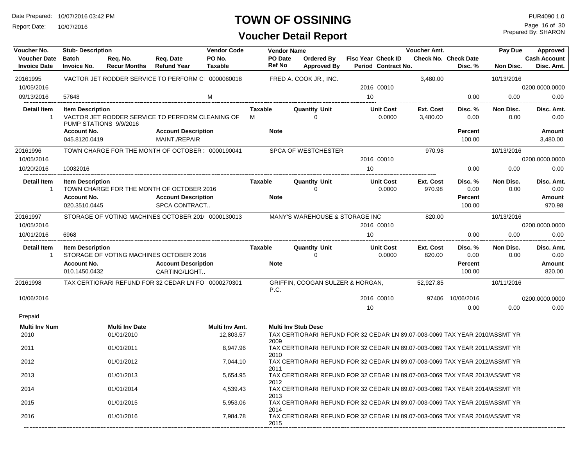Report Date: 10/07/2016

#### **TOWN OF OSSINING**

## **Voucher Detail Report**

Prepared By: SHARON Page 16 of 30

| Voucher No.                                | <b>Stub-Description</b>                                        |                                     |                                                                                          | <b>Vendor Code</b>          |                               | <b>Vendor Name</b> |                                     |                                                                             | Voucher Amt.               |                                        | Pay Due           | Approved                               |
|--------------------------------------------|----------------------------------------------------------------|-------------------------------------|------------------------------------------------------------------------------------------|-----------------------------|-------------------------------|--------------------|-------------------------------------|-----------------------------------------------------------------------------|----------------------------|----------------------------------------|-------------------|----------------------------------------|
| <b>Voucher Date</b><br><b>Invoice Date</b> | <b>Batch</b><br><b>Invoice No.</b>                             | Reg. No.<br><b>Recur Months</b>     | Reg. Date<br><b>Refund Year</b>                                                          | PO No.<br><b>Taxable</b>    | PO Date<br><b>Ref No</b>      |                    | Ordered By<br><b>Approved By</b>    | Fisc Year Check ID<br>Period Contract No.                                   |                            | <b>Check No. Check Date</b><br>Disc. % | <b>Non Disc.</b>  | <b>Cash Account</b><br>Disc. Amt.      |
| 20161995                                   |                                                                |                                     | VACTOR JET RODDER SERVICE TO PERFORM CI 0000060018                                       |                             |                               |                    | FRED A. COOK JR., INC.              |                                                                             | 3,480.00                   |                                        | 10/13/2016        |                                        |
| 10/05/2016                                 |                                                                |                                     |                                                                                          |                             |                               |                    |                                     | 2016 00010                                                                  |                            |                                        |                   | 0200.0000.0000                         |
| 09/13/2016                                 | 57648                                                          |                                     |                                                                                          | M                           |                               |                    |                                     | 10                                                                          |                            | 0.00                                   | 0.00              | 0.00                                   |
| <b>Detail Item</b><br>1                    | <b>Item Description</b><br>PUMP STATIONS 9/9/2016              |                                     | VACTOR JET RODDER SERVICE TO PERFORM CLEANING OF                                         |                             | <b>Taxable</b><br>M           |                    | <b>Quantity Unit</b><br>$\Omega$    | <b>Unit Cost</b><br>0.0000                                                  | Ext. Cost<br>3,480.00      | Disc. %<br>0.00                        | Non Disc.<br>0.00 | Disc. Amt.<br>0.00                     |
|                                            | <b>Account No.</b><br>045.8120.0419                            |                                     | <b>Account Description</b><br>MAINT./REPAIR                                              |                             | <b>Note</b>                   |                    |                                     |                                                                             |                            | <b>Percent</b><br>100.00               |                   | Amount<br>3,480.00                     |
|                                            |                                                                |                                     |                                                                                          |                             |                               |                    |                                     |                                                                             |                            |                                        |                   |                                        |
| 20161996<br>10/05/2016                     |                                                                |                                     | TOWN CHARGE FOR THE MONTH OF OCTOBER: 0000190041                                         |                             |                               |                    | <b>SPCA OF WESTCHESTER</b>          | 2016 00010                                                                  | 970.98                     |                                        | 10/13/2016        | 0200.0000.0000                         |
| 10/20/2016                                 | 10032016                                                       |                                     |                                                                                          |                             |                               |                    |                                     | 10                                                                          |                            | 0.00                                   | 0.00              | 0.00                                   |
| <b>Detail Item</b><br>$\mathbf{1}$         | <b>Item Description</b><br><b>Account No.</b><br>020.3510.0445 |                                     | TOWN CHARGE FOR THE MONTH OF OCTOBER 2016<br><b>Account Description</b><br>SPCA CONTRACT |                             | <b>Taxable</b><br><b>Note</b> |                    | <b>Quantity Unit</b><br>$\mathbf 0$ | <b>Unit Cost</b><br>0.0000                                                  | <b>Ext. Cost</b><br>970.98 | Disc. %<br>0.00<br>Percent<br>100.00   | Non Disc.<br>0.00 | Disc. Amt.<br>0.00<br>Amount<br>970.98 |
| 20161997                                   |                                                                |                                     | STORAGE OF VOTING MACHINES OCTOBER 201( 0000130013                                       |                             |                               |                    | MANY'S WAREHOUSE & STORAGE INC      |                                                                             | 820.00                     |                                        | 10/13/2016        |                                        |
| 10/05/2016                                 |                                                                |                                     |                                                                                          |                             |                               |                    |                                     | 2016 00010                                                                  |                            |                                        |                   | 0200.0000.0000                         |
| 10/01/2016                                 | 6968                                                           |                                     |                                                                                          |                             |                               |                    |                                     | 10                                                                          |                            | 0.00                                   | 0.00              | 0.00                                   |
| <b>Detail Item</b><br>$\mathbf{1}$         | <b>Item Description</b>                                        |                                     | STORAGE OF VOTING MACHINES OCTOBER 2016                                                  |                             | <b>Taxable</b>                |                    | <b>Quantity Unit</b><br>$\Omega$    | <b>Unit Cost</b><br>0.0000                                                  | Ext. Cost<br>820.00        | Disc. %<br>0.00                        | Non Disc.<br>0.00 | Disc. Amt.<br>0.00                     |
|                                            | Account No.<br>010.1450.0432                                   |                                     | <b>Account Description</b><br>CARTING/LIGHT                                              |                             | <b>Note</b>                   |                    |                                     |                                                                             |                            | Percent<br>100.00                      |                   | <b>Amount</b><br>820.00                |
| 20161998                                   |                                                                |                                     | TAX CERTIORARI REFUND FOR 32 CEDAR LN FO 0000270301                                      |                             | P.C.                          |                    | GRIFFIN, COOGAN SULZER & HORGAN,    |                                                                             | 52,927.85                  |                                        | 10/11/2016        |                                        |
| 10/06/2016                                 |                                                                |                                     |                                                                                          |                             |                               |                    |                                     | 2016 00010                                                                  |                            | 97406 10/06/2016                       |                   | 0200.0000.0000                         |
|                                            |                                                                |                                     |                                                                                          |                             |                               |                    |                                     | 10                                                                          |                            | 0.00                                   | 0.00              | 0.00                                   |
| Prepaid                                    |                                                                |                                     |                                                                                          |                             |                               |                    |                                     |                                                                             |                            |                                        |                   |                                        |
| <b>Multi Inv Num</b><br>2010               |                                                                | <b>Multi Inv Date</b><br>01/01/2010 |                                                                                          | Multi Inv Amt.<br>12,803.57 | 2009                          |                    | <b>Multi Inv Stub Desc</b>          | TAX CERTIORARI REFUND FOR 32 CEDAR LN 89.07-003-0069 TAX YEAR 2010/ASSMT YR |                            |                                        |                   |                                        |
| 2011                                       |                                                                | 01/01/2011                          |                                                                                          | 8,947.96                    |                               |                    |                                     | TAX CERTIORARI REFUND FOR 32 CEDAR LN 89.07-003-0069 TAX YEAR 2011/ASSMT YR |                            |                                        |                   |                                        |
| 2012                                       |                                                                | 01/01/2012                          |                                                                                          | 7,044.10                    | 2010                          |                    |                                     | TAX CERTIORARI REFUND FOR 32 CEDAR LN 89.07-003-0069 TAX YEAR 2012/ASSMT YR |                            |                                        |                   |                                        |
| 2013                                       |                                                                | 01/01/2013                          |                                                                                          | 5,654.95                    | 2011<br>2012                  |                    |                                     | TAX CERTIORARI REFUND FOR 32 CEDAR LN 89.07-003-0069 TAX YEAR 2013/ASSMT YR |                            |                                        |                   |                                        |
| 2014                                       |                                                                | 01/01/2014                          |                                                                                          | 4,539.43                    | 2013                          |                    |                                     | TAX CERTIORARI REFUND FOR 32 CEDAR LN 89.07-003-0069 TAX YEAR 2014/ASSMT YR |                            |                                        |                   |                                        |
| 2015                                       |                                                                | 01/01/2015                          |                                                                                          | 5,953.06                    | 2014                          |                    |                                     | TAX CERTIORARI REFUND FOR 32 CEDAR LN 89.07-003-0069 TAX YEAR 2015/ASSMT YR |                            |                                        |                   |                                        |
| 2016                                       |                                                                | 01/01/2016                          |                                                                                          | 7,984.78                    | 2015                          |                    |                                     | TAX CERTIORARI REFUND FOR 32 CEDAR LN 89.07-003-0069 TAX YEAR 2016/ASSMT YR |                            |                                        |                   |                                        |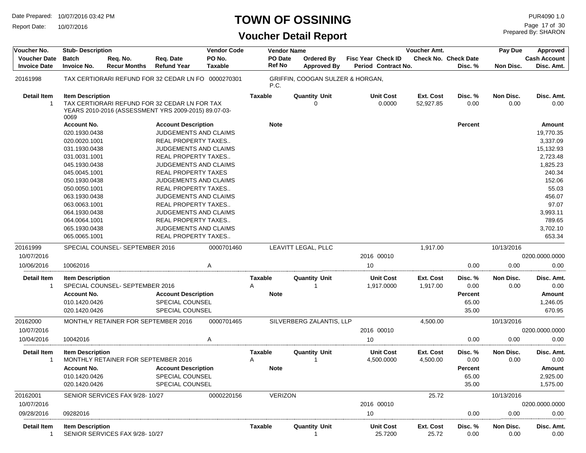Report Date: 10/07/2016

## **TOWN OF OSSINING**

Prepared By: SHARON Page 17 of 30

| Voucher No.                                | <b>Stub-Description</b>            |                                     |                                                                                                       | <b>Vendor Code</b>       |                          | <b>Vendor Name</b>                      |                    |                                | Voucher Amt.           |                                        | Pay Due           | Approved                   |
|--------------------------------------------|------------------------------------|-------------------------------------|-------------------------------------------------------------------------------------------------------|--------------------------|--------------------------|-----------------------------------------|--------------------|--------------------------------|------------------------|----------------------------------------|-------------------|----------------------------|
| <b>Voucher Date</b><br><b>Invoice Date</b> | <b>Batch</b><br><b>Invoice No.</b> | Req. No.<br><b>Recur Months</b>     | Req. Date<br><b>Refund Year</b>                                                                       | PO No.<br><b>Taxable</b> | PO Date<br><b>Ref No</b> | <b>Ordered By</b><br><b>Approved By</b> | Fisc Year Check ID | Period Contract No.            |                        | <b>Check No. Check Date</b><br>Disc. % | Non Disc.         | Cash Account<br>Disc. Amt. |
| 20161998                                   |                                    |                                     | TAX CERTIORARI REFUND FOR 32 CEDAR LN FO 0000270301                                                   |                          | P.C.                     | GRIFFIN, COOGAN SULZER & HORGAN,        |                    |                                |                        |                                        |                   |                            |
| <b>Detail Item</b><br>-1                   | <b>Item Description</b><br>0069    |                                     | TAX CERTIORARI REFUND FOR 32 CEDAR LN FOR TAX<br>YEARS 2010-2016 (ASSESSMENT YRS 2009-2015) 89.07-03- |                          | <b>Taxable</b>           | <b>Quantity Unit</b><br>$\Omega$        |                    | <b>Unit Cost</b><br>0.0000     | Ext. Cost<br>52,927.85 | Disc. %<br>0.00                        | Non Disc.<br>0.00 | Disc. Amt.<br>0.00         |
|                                            | <b>Account No.</b>                 |                                     | <b>Account Description</b>                                                                            |                          | <b>Note</b>              |                                         |                    |                                |                        | <b>Percent</b>                         |                   | Amount                     |
|                                            | 020.1930.0438                      |                                     | <b>JUDGEMENTS AND CLAIMS</b>                                                                          |                          |                          |                                         |                    |                                |                        |                                        |                   | 19,770.35                  |
|                                            | 020.0020.1001                      |                                     | REAL PROPERTY TAXES                                                                                   |                          |                          |                                         |                    |                                |                        |                                        |                   | 3,337.09                   |
|                                            | 031.1930.0438                      |                                     | JUDGEMENTS AND CLAIMS                                                                                 |                          |                          |                                         |                    |                                |                        |                                        |                   | 15,132.93                  |
|                                            | 031.0031.1001                      |                                     | REAL PROPERTY TAXES                                                                                   |                          |                          |                                         |                    |                                |                        |                                        |                   | 2,723.48                   |
|                                            | 045.1930.0438                      |                                     | JUDGEMENTS AND CLAIMS                                                                                 |                          |                          |                                         |                    |                                |                        |                                        |                   | 1,825.23                   |
|                                            | 045.0045.1001                      |                                     | <b>REAL PROPERTY TAXES</b>                                                                            |                          |                          |                                         |                    |                                |                        |                                        |                   | 240.34                     |
|                                            | 050.1930.0438                      |                                     | <b>JUDGEMENTS AND CLAIMS</b>                                                                          |                          |                          |                                         |                    |                                |                        |                                        |                   | 152.06                     |
|                                            | 050.0050.1001                      |                                     | REAL PROPERTY TAXES                                                                                   |                          |                          |                                         |                    |                                |                        |                                        |                   | 55.03                      |
|                                            | 063.1930.0438                      |                                     | JUDGEMENTS AND CLAIMS                                                                                 |                          |                          |                                         |                    |                                |                        |                                        |                   | 456.07                     |
|                                            | 063.0063.1001<br>064.1930.0438     |                                     | REAL PROPERTY TAXES<br><b>JUDGEMENTS AND CLAIMS</b>                                                   |                          |                          |                                         |                    |                                |                        |                                        |                   | 97.07<br>3,993.11          |
|                                            | 064.0064.1001                      |                                     | <b>REAL PROPERTY TAXES</b>                                                                            |                          |                          |                                         |                    |                                |                        |                                        |                   | 789.65                     |
|                                            | 065.1930.0438                      |                                     | JUDGEMENTS AND CLAIMS                                                                                 |                          |                          |                                         |                    |                                |                        |                                        |                   | 3,702.10                   |
|                                            | 065.0065.1001                      |                                     | <b>REAL PROPERTY TAXES</b>                                                                            |                          |                          |                                         |                    |                                |                        |                                        |                   | 653.34                     |
| 20161999                                   |                                    | SPECIAL COUNSEL-SEPTEMBER 2016      |                                                                                                       | 0000701460               |                          | LEAVITT LEGAL, PLLC                     |                    |                                | 1,917.00               |                                        | 10/13/2016        |                            |
| 10/07/2016                                 |                                    |                                     |                                                                                                       |                          |                          |                                         |                    | 2016 00010                     |                        |                                        |                   | 0200.0000.0000             |
| 10/06/2016                                 | 10062016                           |                                     |                                                                                                       | A                        |                          |                                         | 10                 |                                |                        | 0.00                                   | 0.00              | 0.00                       |
| <b>Detail Item</b><br>-1                   | <b>Item Description</b>            | SPECIAL COUNSEL-SEPTEMBER 2016      |                                                                                                       |                          | Taxable<br>Α             | <b>Quantity Unit</b>                    |                    | <b>Unit Cost</b><br>1,917.0000 | Ext. Cost<br>1,917.00  | Disc. %<br>0.00                        | Non Disc.<br>0.00 | Disc. Amt.<br>0.00         |
|                                            | <b>Account No.</b>                 |                                     | <b>Account Description</b>                                                                            |                          | <b>Note</b>              |                                         |                    |                                |                        | <b>Percent</b>                         |                   | Amount                     |
|                                            | 010.1420.0426                      |                                     | <b>SPECIAL COUNSEL</b>                                                                                |                          |                          |                                         |                    |                                |                        | 65.00                                  |                   | 1,246.05                   |
|                                            | 020.1420.0426                      |                                     | SPECIAL COUNSEL                                                                                       |                          |                          |                                         |                    |                                |                        | 35.00                                  |                   | 670.95                     |
| 20162000                                   |                                    | MONTHLY RETAINER FOR SEPTEMBER 2016 |                                                                                                       | 0000701465               |                          | SILVERBERG ZALANTIS, LLP                |                    |                                | 4,500.00               |                                        | 10/13/2016        |                            |
| 10/07/2016                                 |                                    |                                     |                                                                                                       |                          |                          |                                         |                    | 2016 00010                     |                        |                                        |                   | 0200.0000.0000             |
| 10/04/2016                                 | 10042016                           |                                     |                                                                                                       | A                        |                          |                                         | 10                 |                                |                        | 0.00                                   | 0.00              | 0.00                       |
| <b>Detail Item</b><br>-1                   | <b>Item Description</b>            | MONTHLY RETAINER FOR SEPTEMBER 2016 |                                                                                                       |                          | Taxable<br>Α             | <b>Quantity Unit</b>                    |                    | <b>Unit Cost</b><br>4,500.0000 | Ext. Cost<br>4,500.00  | Disc. %<br>0.00                        | Non Disc.<br>0.00 | Disc. Amt.<br>0.00         |
|                                            | <b>Account No.</b>                 |                                     | <b>Account Description</b>                                                                            |                          | <b>Note</b>              |                                         |                    |                                |                        | Percent                                |                   | Amount                     |
|                                            | 010.1420.0426                      |                                     | SPECIAL COUNSEL                                                                                       |                          |                          |                                         |                    |                                |                        | 65.00                                  |                   | 2.925.00                   |
|                                            | 020.1420.0426                      |                                     | SPECIAL COUNSEL                                                                                       |                          |                          |                                         |                    |                                |                        | 35.00                                  |                   | 1,575.00                   |
| 20162001                                   |                                    | SENIOR SERVICES FAX 9/28-10/27      |                                                                                                       | 0000220156               | <b>VERIZON</b>           |                                         |                    |                                | 25.72                  |                                        | 10/13/2016        |                            |
| 10/07/2016                                 |                                    |                                     |                                                                                                       |                          |                          |                                         |                    | 2016 00010                     |                        |                                        |                   | 0200.0000.0000             |
| 09/28/2016                                 | 09282016                           |                                     |                                                                                                       |                          |                          |                                         | 10                 |                                |                        | 0.00                                   | 0.00              | 0.00                       |
| Detail Item<br>$\mathbf 1$                 | <b>Item Description</b>            | SENIOR SERVICES FAX 9/28-10/27      |                                                                                                       |                          | Taxable                  | <b>Quantity Unit</b>                    |                    | <b>Unit Cost</b><br>25.7200    | Ext. Cost<br>25.72     | Disc. %<br>0.00                        | Non Disc.<br>0.00 | Disc. Amt.<br>0.00         |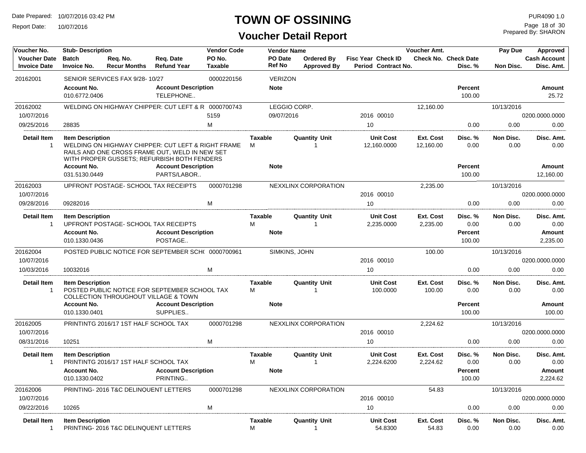Report Date: 10/07/2016

## **TOWN OF OSSINING**

Prepared By: SHARON Page 18 of 30

| Voucher No.                                   | <b>Stub-Description</b>             |                                       |                                                                                                                                                     | <b>Vendor Code</b>       |                     | <b>Vendor Name</b>       |                                         |                                           | <b>Voucher Amt.</b>    |                                        | Pay Due           | Approved                          |
|-----------------------------------------------|-------------------------------------|---------------------------------------|-----------------------------------------------------------------------------------------------------------------------------------------------------|--------------------------|---------------------|--------------------------|-----------------------------------------|-------------------------------------------|------------------------|----------------------------------------|-------------------|-----------------------------------|
| <b>Voucher Date</b><br><b>Invoice Date</b>    | <b>Batch</b><br><b>Invoice No.</b>  | Rea. No.<br><b>Recur Months</b>       | Req. Date<br><b>Refund Year</b>                                                                                                                     | PO No.<br><b>Taxable</b> |                     | PO Date<br><b>Ref No</b> | <b>Ordered By</b><br><b>Approved By</b> | Fisc Year Check ID<br>Period Contract No. |                        | <b>Check No. Check Date</b><br>Disc. % | Non Disc.         | <b>Cash Account</b><br>Disc. Amt. |
| 20162001                                      |                                     | SENIOR SERVICES FAX 9/28-10/27        |                                                                                                                                                     | 0000220156               |                     | <b>VERIZON</b>           |                                         |                                           |                        |                                        |                   |                                   |
|                                               | <b>Account No.</b><br>010.6772.0406 |                                       | <b>Account Description</b><br>TELEPHONE                                                                                                             |                          |                     | <b>Note</b>              |                                         |                                           |                        | <b>Percent</b><br>100.00               |                   | Amount<br>25.72                   |
| 20162002                                      |                                     |                                       | WELDING ON HIGHWAY CHIPPER: CUT LEFT & R 0000700743                                                                                                 |                          |                     | LEGGIO CORP.             |                                         |                                           | 12,160.00              |                                        | 10/13/2016        |                                   |
| 10/07/2016                                    |                                     |                                       |                                                                                                                                                     | 5159                     |                     | 09/07/2016               |                                         | 2016 00010                                |                        |                                        |                   | 0200.0000.0000                    |
| 09/25/2016                                    | 28835                               |                                       |                                                                                                                                                     | M                        |                     |                          |                                         | 10                                        |                        | 0.00                                   | 0.00              | 0.00                              |
| <b>Detail Item</b><br>-1                      | <b>Item Description</b>             |                                       | WELDING ON HIGHWAY CHIPPER: CUT LEFT & RIGHT FRAME<br>RAILS AND ONE CROSS FRAME OUT, WELD IN NEW SET<br>WITH PROPER GUSSETS; REFURBISH BOTH FENDERS |                          | <b>Taxable</b><br>M |                          | <b>Quantity Unit</b><br>1               | <b>Unit Cost</b><br>12,160.0000           | Ext. Cost<br>12,160.00 | Disc.%<br>0.00                         | Non Disc.<br>0.00 | Disc. Amt.<br>0.00                |
|                                               | <b>Account No.</b><br>031.5130.0449 |                                       | <b>Account Description</b><br>PARTS/LABOR                                                                                                           |                          |                     | <b>Note</b>              |                                         |                                           |                        | Percent<br>100.00                      |                   | Amount<br>12,160.00               |
| 20162003                                      |                                     | UPFRONT POSTAGE- SCHOOL TAX RECEIPTS  |                                                                                                                                                     | 0000701298               |                     |                          | NEXXLINX CORPORATION                    |                                           | 2,235.00               |                                        |                   |                                   |
| 10/07/2016                                    |                                     |                                       |                                                                                                                                                     |                          |                     |                          |                                         | 2016 00010                                |                        |                                        | 10/13/2016        | 0200.0000.0000                    |
| 09/28/2016                                    | 09282016                            |                                       |                                                                                                                                                     | M                        |                     |                          |                                         | 10                                        |                        | 0.00                                   | 0.00              | 0.00                              |
| <b>Detail Item</b><br>$\overline{1}$          | <b>Item Description</b>             | UPFRONT POSTAGE- SCHOOL TAX RECEIPTS  |                                                                                                                                                     |                          | Taxable<br>M        |                          | <b>Quantity Unit</b><br>$\mathbf{1}$    | <b>Unit Cost</b><br>2,235.0000            | Ext. Cost<br>2,235.00  | Disc. %<br>0.00                        | Non Disc.<br>0.00 | Disc. Amt.<br>0.00                |
|                                               | <b>Account No.</b><br>010.1330.0436 |                                       | <b>Account Description</b><br>POSTAGE                                                                                                               |                          |                     | <b>Note</b>              |                                         |                                           |                        | <b>Percent</b><br>100.00               |                   | Amount<br>2,235.00                |
| 20162004                                      |                                     |                                       | POSTED PUBLIC NOTICE FOR SEPTEMBER SCH( 0000700961                                                                                                  |                          |                     | SIMKINS, JOHN            |                                         |                                           | 100.00                 |                                        | 10/13/2016        |                                   |
| 10/07/2016                                    |                                     |                                       |                                                                                                                                                     |                          |                     |                          |                                         | 2016 00010                                |                        |                                        |                   | 0200.0000.0000                    |
| 10/03/2016                                    | 10032016                            |                                       |                                                                                                                                                     | M                        |                     |                          |                                         | 10                                        |                        | 0.00                                   | 0.00              | 0.00                              |
| <b>Detail Item</b><br>$\overline{\mathbf{1}}$ | <b>Item Description</b>             |                                       | POSTED PUBLIC NOTICE FOR SEPTEMBER SCHOOL TAX<br><b>COLLECTION THROUGHOUT VILLAGE &amp; TOWN</b>                                                    |                          | <b>Taxable</b><br>M |                          | <b>Quantity Unit</b><br>1               | <b>Unit Cost</b><br>100.0000              | Ext. Cost<br>100.00    | Disc. %<br>0.00                        | Non Disc.<br>0.00 | Disc. Amt.<br>0.00                |
|                                               | <b>Account No.</b><br>010.1330.0401 |                                       | <b>Account Description</b><br>SUPPLIES                                                                                                              |                          |                     | <b>Note</b>              |                                         |                                           |                        | <b>Percent</b><br>100.00               |                   | Amount<br>100.00                  |
| 20162005<br>10/07/2016                        |                                     | PRINTINTG 2016/17 1ST HALF SCHOOL TAX |                                                                                                                                                     | 0000701298               |                     |                          | NEXXLINX CORPORATION                    | 2016 00010                                | 2,224.62               |                                        | 10/13/2016        | 0200.0000.0000                    |
| 08/31/2016                                    | 10251                               |                                       |                                                                                                                                                     | M                        |                     |                          |                                         | 10                                        |                        | 0.00                                   | 0.00              | 0.00                              |
| <b>Detail Item</b><br>$\overline{1}$          | <b>Item Description</b>             | PRINTINTG 2016/17 1ST HALF SCHOOL TAX |                                                                                                                                                     |                          | <b>Taxable</b><br>M |                          | <b>Quantity Unit</b><br>$\overline{1}$  | <b>Unit Cost</b><br>2,224.6200            | Ext. Cost<br>2,224.62  | Disc. %<br>0.00                        | Non Disc.<br>0.00 | Disc. Amt.<br>0.00                |
|                                               | <b>Account No.</b><br>010.1330.0402 |                                       | <b>Account Description</b><br>PRINTING                                                                                                              |                          |                     | <b>Note</b>              |                                         |                                           |                        | <b>Percent</b><br>100.00               |                   | Amount<br>2,224.62                |
| 20162006                                      |                                     | PRINTING-2016 T&C DELINQUENT LETTERS  |                                                                                                                                                     | 0000701298               |                     |                          | NEXXLINX CORPORATION                    |                                           | 54.83                  |                                        | 10/13/2016        |                                   |
| 10/07/2016                                    |                                     |                                       |                                                                                                                                                     |                          |                     |                          |                                         | 2016 00010                                |                        |                                        |                   | 0200.0000.0000                    |
| 09/22/2016                                    | 10265                               |                                       |                                                                                                                                                     | M                        |                     |                          |                                         | 10                                        |                        | 0.00                                   | 0.00              | 0.00                              |
| <b>Detail Item</b><br>$\overline{1}$          | <b>Item Description</b>             | PRINTING-2016 T&C DELINQUENT LETTERS  |                                                                                                                                                     |                          | <b>Taxable</b><br>M |                          | <b>Quantity Unit</b><br>$\mathbf{1}$    | <b>Unit Cost</b><br>54.8300               | Ext. Cost<br>54.83     | Disc. %<br>0.00                        | Non Disc.<br>0.00 | Disc. Amt.<br>0.00                |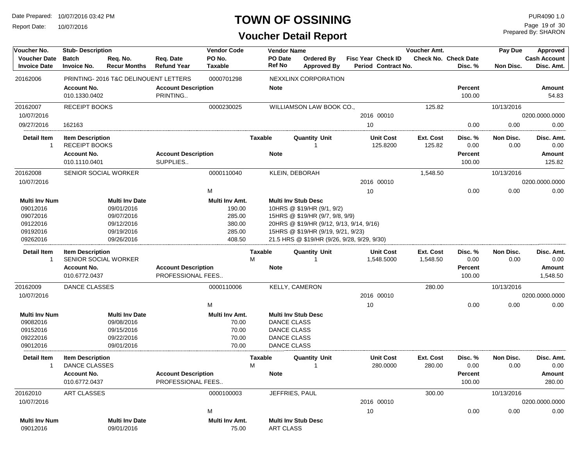Report Date: 10/07/2016

## **TOWN OF OSSINING**

Prepared By: SHARON Page 19 of 30

| Voucher No.                                                                      | <b>Stub-Description</b>                         |                                                                                             |                                                 | <b>Vendor Code</b>                                               |                | <b>Vendor Name</b>                                                                   |                                                                                                                                                                                                                              |    |                                                  | <b>Voucher Amt.</b> |                                        | Pay Due           | <b>Approved</b>                   |
|----------------------------------------------------------------------------------|-------------------------------------------------|---------------------------------------------------------------------------------------------|-------------------------------------------------|------------------------------------------------------------------|----------------|--------------------------------------------------------------------------------------|------------------------------------------------------------------------------------------------------------------------------------------------------------------------------------------------------------------------------|----|--------------------------------------------------|---------------------|----------------------------------------|-------------------|-----------------------------------|
| <b>Voucher Date</b><br><b>Invoice Date</b>                                       | <b>Batch</b><br><b>Invoice No.</b>              | Reg. No.<br><b>Recur Months</b>                                                             | Reg. Date<br><b>Refund Year</b>                 | PO No.<br><b>Taxable</b>                                         | Ref No         | PO Date                                                                              | Ordered By<br><b>Approved By</b>                                                                                                                                                                                             |    | <b>Fisc Year Check ID</b><br>Period Contract No. |                     | <b>Check No. Check Date</b><br>Disc. % | Non Disc.         | <b>Cash Account</b><br>Disc. Amt. |
| 20162006                                                                         |                                                 | PRINTING-2016 T&C DELINQUENT LETTERS                                                        |                                                 | 0000701298                                                       |                |                                                                                      | NEXXLINX CORPORATION                                                                                                                                                                                                         |    |                                                  |                     |                                        |                   |                                   |
|                                                                                  | <b>Account No.</b><br>010.1330.0402             |                                                                                             | <b>Account Description</b><br>PRINTING          |                                                                  | <b>Note</b>    |                                                                                      |                                                                                                                                                                                                                              |    |                                                  |                     | Percent<br>100.00                      |                   | <b>Amount</b><br>54.83            |
| 20162007                                                                         | <b>RECEIPT BOOKS</b>                            |                                                                                             |                                                 | 0000230025                                                       |                |                                                                                      | WILLIAMSON LAW BOOK CO.,                                                                                                                                                                                                     |    |                                                  | 125.82              |                                        | 10/13/2016        |                                   |
| 10/07/2016                                                                       |                                                 |                                                                                             |                                                 |                                                                  |                |                                                                                      |                                                                                                                                                                                                                              |    | 2016 00010                                       |                     |                                        |                   | 0200.0000.0000                    |
| 09/27/2016                                                                       | 162163                                          |                                                                                             |                                                 |                                                                  |                |                                                                                      |                                                                                                                                                                                                                              | 10 |                                                  |                     | 0.00                                   | 0.00              | 0.00                              |
| <b>Detail Item</b><br>$\mathbf{1}$                                               | <b>Item Description</b><br><b>RECEIPT BOOKS</b> |                                                                                             |                                                 |                                                                  | <b>Taxable</b> |                                                                                      | <b>Quantity Unit</b>                                                                                                                                                                                                         |    | <b>Unit Cost</b><br>125.8200                     | Ext. Cost<br>125.82 | Disc. %<br>0.00                        | Non Disc.<br>0.00 | Disc. Amt.<br>0.00                |
|                                                                                  | <b>Account No.</b>                              |                                                                                             | <b>Account Description</b>                      |                                                                  | <b>Note</b>    |                                                                                      |                                                                                                                                                                                                                              |    |                                                  |                     | Percent                                |                   | Amount                            |
|                                                                                  | 010.1110.0401                                   |                                                                                             | SUPPLIES                                        |                                                                  |                |                                                                                      |                                                                                                                                                                                                                              |    |                                                  |                     | 100.00                                 |                   | 125.82                            |
| 20162008                                                                         | SENIOR SOCIAL WORKER                            |                                                                                             |                                                 | 0000110040                                                       |                |                                                                                      | KLEIN, DEBORAH                                                                                                                                                                                                               |    |                                                  | 1,548.50            |                                        | 10/13/2016        |                                   |
| 10/07/2016                                                                       |                                                 |                                                                                             |                                                 |                                                                  |                |                                                                                      |                                                                                                                                                                                                                              |    | 2016 00010                                       |                     |                                        |                   | 0200.0000.0000                    |
|                                                                                  |                                                 |                                                                                             |                                                 | M                                                                |                |                                                                                      |                                                                                                                                                                                                                              | 10 |                                                  |                     | 0.00                                   | 0.00              | 0.00                              |
| <b>Multi Inv Num</b><br>09012016<br>09072016<br>09122016<br>09192016<br>09262016 |                                                 | <b>Multi Inv Date</b><br>09/01/2016<br>09/07/2016<br>09/12/2016<br>09/19/2016<br>09/26/2016 |                                                 | Multi Inv Amt.<br>190.00<br>285.00<br>380.00<br>285.00<br>408.50 |                |                                                                                      | <b>Multi Inv Stub Desc</b><br>10HRS @ \$19/HR (9/1, 9/2)<br>15HRS @ \$19/HR (9/7, 9/8, 9/9)<br>20HRS @ \$19/HR (9/12, 9/13, 9/14, 9/16)<br>15HRS @ \$19/HR (9/19, 9/21, 9/23)<br>21.5 HRS @ \$19/HR (9/26, 9/28, 9/29, 9/30) |    |                                                  |                     |                                        |                   |                                   |
| <b>Detail Item</b>                                                               | <b>Item Description</b>                         |                                                                                             |                                                 |                                                                  | Taxable        |                                                                                      | <b>Quantity Unit</b>                                                                                                                                                                                                         |    | <b>Unit Cost</b>                                 | Ext. Cost           | Disc. %                                | Non Disc.         | Disc. Amt.                        |
| $\overline{1}$                                                                   | SENIOR SOCIAL WORKER                            |                                                                                             |                                                 |                                                                  | M              |                                                                                      |                                                                                                                                                                                                                              |    | 1,548.5000                                       | 1,548.50            | 0.00                                   | 0.00              | 0.00                              |
|                                                                                  | <b>Account No.</b>                              |                                                                                             | <b>Account Description</b>                      |                                                                  | <b>Note</b>    |                                                                                      |                                                                                                                                                                                                                              |    |                                                  |                     | Percent                                |                   | Amount                            |
|                                                                                  | 010.6772.0437                                   |                                                                                             | PROFESSIONAL FEES                               |                                                                  |                |                                                                                      |                                                                                                                                                                                                                              |    |                                                  |                     | 100.00                                 |                   | 1,548.50                          |
| 20162009                                                                         | <b>DANCE CLASSES</b>                            |                                                                                             |                                                 | 0000110006                                                       |                |                                                                                      | KELLY, CAMERON                                                                                                                                                                                                               |    |                                                  | 280.00              |                                        | 10/13/2016        |                                   |
| 10/07/2016                                                                       |                                                 |                                                                                             |                                                 |                                                                  |                |                                                                                      |                                                                                                                                                                                                                              |    | 2016 00010                                       |                     |                                        |                   | 0200.0000.0000                    |
|                                                                                  |                                                 |                                                                                             |                                                 | M                                                                |                |                                                                                      |                                                                                                                                                                                                                              | 10 |                                                  |                     | 0.00                                   | 0.00              | 0.00                              |
| <b>Multi Inv Num</b><br>09082016<br>09152016<br>09222016<br>09012016             |                                                 | <b>Multi Inv Date</b><br>09/08/2016<br>09/15/2016<br>09/22/2016<br>09/01/2016               |                                                 | Multi Inv Amt.<br>70.00<br>70.00<br>70.00<br>70.00               |                | <b>DANCE CLASS</b><br><b>DANCE CLASS</b><br><b>DANCE CLASS</b><br><b>DANCE CLASS</b> | <b>Multi Inv Stub Desc</b>                                                                                                                                                                                                   |    |                                                  |                     |                                        |                   |                                   |
| <b>Detail Item</b>                                                               | <b>Item Description</b>                         |                                                                                             |                                                 |                                                                  | <b>Taxable</b> |                                                                                      | <b>Quantity Unit</b>                                                                                                                                                                                                         |    | <b>Unit Cost</b>                                 | Ext. Cost           | Disc. %                                | Non Disc.         | Disc. Amt.                        |
| $\mathbf{1}$                                                                     | <b>DANCE CLASSES</b>                            |                                                                                             |                                                 |                                                                  | M              |                                                                                      | 1                                                                                                                                                                                                                            |    | 280.0000                                         | 280.00              | 0.00                                   | 0.00              | 0.00                              |
|                                                                                  | <b>Account No.</b><br>010.6772.0437             |                                                                                             | <b>Account Description</b><br>PROFESSIONAL FEES |                                                                  | <b>Note</b>    |                                                                                      |                                                                                                                                                                                                                              |    |                                                  |                     | <b>Percent</b><br>100.00               |                   | <b>Amount</b><br>280.00           |
| 20162010                                                                         | <b>ART CLASSES</b>                              |                                                                                             |                                                 | 0000100003                                                       |                |                                                                                      | JEFFRIES, PAUL                                                                                                                                                                                                               |    |                                                  | 300.00              |                                        | 10/13/2016        |                                   |
| 10/07/2016                                                                       |                                                 |                                                                                             |                                                 |                                                                  |                |                                                                                      |                                                                                                                                                                                                                              |    | 2016 00010                                       |                     |                                        |                   | 0200.0000.0000                    |
|                                                                                  |                                                 |                                                                                             |                                                 | M                                                                |                |                                                                                      |                                                                                                                                                                                                                              | 10 |                                                  |                     | 0.00                                   | 0.00              | 0.00                              |
| <b>Multi Inv Num</b><br>09012016                                                 |                                                 | <b>Multi Inv Date</b><br>09/01/2016                                                         |                                                 | Multi Inv Amt.<br>75.00                                          |                | <b>ART CLASS</b>                                                                     | <b>Multi Inv Stub Desc</b>                                                                                                                                                                                                   |    |                                                  |                     |                                        |                   |                                   |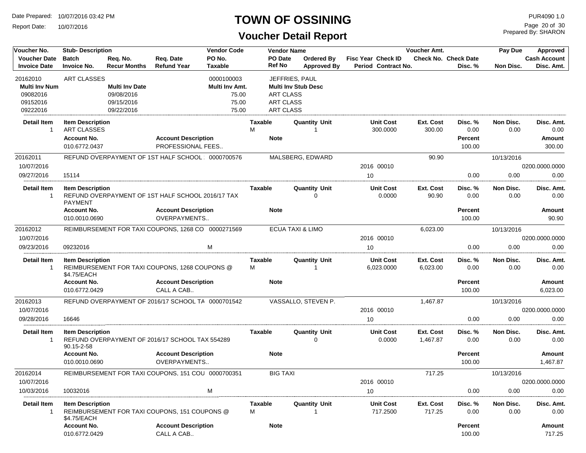Report Date: 10/07/2016

## **TOWN OF OSSINING**

## **Voucher Detail Report**

Prepared By: SHARON Page 20 of 30

| Voucher No.                                | <b>Stub-Description</b>                       |                                 |                                                    | <b>Vendor Code</b>       | <b>Vendor Name</b>       |                                  |                                           | Voucher Amt.          |                                        | Pay Due           | Approved                          |
|--------------------------------------------|-----------------------------------------------|---------------------------------|----------------------------------------------------|--------------------------|--------------------------|----------------------------------|-------------------------------------------|-----------------------|----------------------------------------|-------------------|-----------------------------------|
| <b>Voucher Date</b><br><b>Invoice Date</b> | <b>Batch</b><br><b>Invoice No.</b>            | Req. No.<br><b>Recur Months</b> | Req. Date<br><b>Refund Year</b>                    | PO No.<br><b>Taxable</b> | PO Date<br><b>Ref No</b> | Ordered By<br><b>Approved By</b> | Fisc Year Check ID<br>Period Contract No. |                       | <b>Check No. Check Date</b><br>Disc. % | Non Disc.         | <b>Cash Account</b><br>Disc. Amt. |
| 20162010                                   | <b>ART CLASSES</b>                            |                                 |                                                    | 0000100003               |                          | JEFFRIES, PAUL                   |                                           |                       |                                        |                   |                                   |
| <b>Multi Inv Num</b>                       |                                               | <b>Multi Inv Date</b>           |                                                    | Multi Inv Amt.           |                          | <b>Multi Inv Stub Desc</b>       |                                           |                       |                                        |                   |                                   |
| 09082016                                   |                                               | 09/08/2016                      |                                                    | 75.00                    | <b>ART CLASS</b>         |                                  |                                           |                       |                                        |                   |                                   |
| 09152016                                   |                                               | 09/15/2016                      |                                                    | 75.00                    | <b>ART CLASS</b>         |                                  |                                           |                       |                                        |                   |                                   |
| 09222016                                   |                                               | 09/22/2016                      |                                                    | 75.00                    | <b>ART CLASS</b>         |                                  |                                           |                       |                                        |                   |                                   |
| Detail Item<br>-1                          | <b>Item Description</b><br><b>ART CLASSES</b> |                                 |                                                    |                          | Taxable<br>M             | <b>Quantity Unit</b><br>1        | Unit Cost<br>300.0000                     | Ext. Cost<br>300.00   | Disc. %<br>0.00                        | Non Disc.<br>0.00 | Disc. Amt.<br>0.00                |
|                                            | <b>Account No.</b>                            |                                 | <b>Account Description</b>                         |                          | <b>Note</b>              |                                  |                                           |                       | <b>Percent</b>                         |                   | Amount                            |
|                                            | 010.6772.0437                                 |                                 | PROFESSIONAL FEES                                  |                          |                          |                                  |                                           |                       | 100.00                                 |                   | 300.00                            |
| 20162011                                   |                                               |                                 | REFUND OVERPAYMENT OF 1ST HALF SCHOOL: 0000700576  |                          |                          | MALSBERG, EDWARD                 |                                           | 90.90                 |                                        | 10/13/2016        |                                   |
| 10/07/2016                                 |                                               |                                 |                                                    |                          |                          |                                  | 2016 00010                                |                       |                                        |                   | 0200.0000.0000                    |
| 09/27/2016                                 | 15114                                         |                                 |                                                    |                          |                          |                                  | 10                                        |                       | 0.00                                   | 0.00              | 0.00                              |
|                                            |                                               |                                 |                                                    |                          |                          |                                  |                                           |                       |                                        |                   |                                   |
| <b>Detail Item</b><br>$\mathbf{1}$         | <b>Item Description</b><br><b>PAYMENT</b>     |                                 | REFUND OVERPAYMENT OF 1ST HALF SCHOOL 2016/17 TAX  |                          | Taxable                  | <b>Quantity Unit</b><br>U        | <b>Unit Cost</b><br>0.0000                | Ext. Cost<br>90.90    | Disc. %<br>0.00                        | Non Disc.<br>0.00 | Disc. Amt.<br>0.00                |
|                                            | <b>Account No.</b><br>010.0010.0690           |                                 | <b>Account Description</b><br>OVERPAYMENTS         |                          | <b>Note</b>              |                                  |                                           |                       | <b>Percent</b><br>100.00               |                   | <b>Amount</b><br>90.90            |
| 20162012                                   |                                               |                                 | REIMBURSEMENT FOR TAXI COUPONS, 1268 CO 0000271569 |                          |                          | <b>ECUA TAXI &amp; LIMO</b>      |                                           | 6,023.00              |                                        | 10/13/2016        |                                   |
| 10/07/2016                                 |                                               |                                 |                                                    |                          |                          |                                  | 2016 00010                                |                       |                                        |                   | 0200.0000.0000                    |
| 09/23/2016                                 | 09232016                                      |                                 |                                                    | M                        |                          |                                  | 10                                        |                       | 0.00                                   | 0.00              | 0.00                              |
| <b>Detail Item</b><br>$\mathbf{1}$         | <b>Item Description</b><br>\$4.75/EACH        |                                 | REIMBURSEMENT FOR TAXI COUPONS, 1268 COUPONS @     |                          | Taxable<br>М             | <b>Quantity Unit</b>             | <b>Unit Cost</b><br>6,023.0000            | Ext. Cost<br>6,023.00 | Disc. %<br>0.00                        | Non Disc.<br>0.00 | Disc. Amt.<br>0.00                |
|                                            | <b>Account No.</b>                            |                                 | <b>Account Description</b>                         |                          | <b>Note</b>              |                                  |                                           |                       | <b>Percent</b>                         |                   | Amount                            |
|                                            | 010.6772.0429                                 |                                 | CALL A CAB                                         |                          |                          |                                  |                                           |                       | 100.00                                 |                   | 6,023.00                          |
| 20162013                                   |                                               |                                 | REFUND OVERPAYMENT OF 2016/17 SCHOOL TA 0000701542 |                          |                          | VASSALLO, STEVEN P.              |                                           | 1,467.87              |                                        | 10/13/2016        |                                   |
| 10/07/2016                                 |                                               |                                 |                                                    |                          |                          |                                  | 2016 00010                                |                       |                                        |                   | 0200.0000.0000                    |
| 09/28/2016                                 | 16646                                         |                                 |                                                    |                          |                          |                                  | 10                                        |                       | 0.00                                   | 0.00              | 0.00                              |
| <b>Detail Item</b><br>$\overline{1}$       | <b>Item Description</b><br>90.15-2-58         |                                 | REFUND OVERPAYMENT OF 2016/17 SCHOOL TAX 554289    |                          | Taxable                  | <b>Quantity Unit</b><br>0        | <b>Unit Cost</b><br>0.0000                | Ext. Cost<br>1,467.87 | Disc. %<br>0.00                        | Non Disc.<br>0.00 | Disc. Amt.<br>0.00                |
|                                            | <b>Account No.</b>                            |                                 | <b>Account Description</b>                         |                          | <b>Note</b>              |                                  |                                           |                       | <b>Percent</b>                         |                   | Amount                            |
|                                            | 010.0010.0690                                 |                                 | OVERPAYMENTS                                       |                          |                          |                                  |                                           |                       | 100.00                                 |                   | 1,467.87                          |
| 20162014<br>10/07/2016                     |                                               |                                 | REIMBURSEMENT FOR TAXI COUPONS, 151 COU 0000700351 |                          | <b>BIG TAXI</b>          |                                  | 2016 00010                                | 717.25                |                                        | 10/13/2016        | 0200.0000.0000                    |
| 10/03/2016                                 | 10032016                                      |                                 |                                                    | M                        |                          |                                  | 10                                        |                       | 0.00                                   | 0.00              | 0.00                              |
|                                            |                                               |                                 |                                                    |                          |                          |                                  |                                           |                       |                                        |                   |                                   |
| <b>Detail Item</b><br>$\mathbf{1}$         | <b>Item Description</b><br>\$4.75/EACH        |                                 | REIMBURSEMENT FOR TAXI COUPONS, 151 COUPONS @      |                          | Taxable<br>М             | Quantity Unit                    | <b>Unit Cost</b><br>717.2500              | Ext. Cost<br>717.25   | Disc.%<br>0.00                         | Non Disc.<br>0.00 | Disc. Amt.<br>0.00                |
|                                            | <b>Account No.</b><br>010.6772.0429           |                                 | <b>Account Description</b><br>CALL A CAB           |                          | <b>Note</b>              |                                  |                                           |                       | <b>Percent</b><br>100.00               |                   | Amount<br>717.25                  |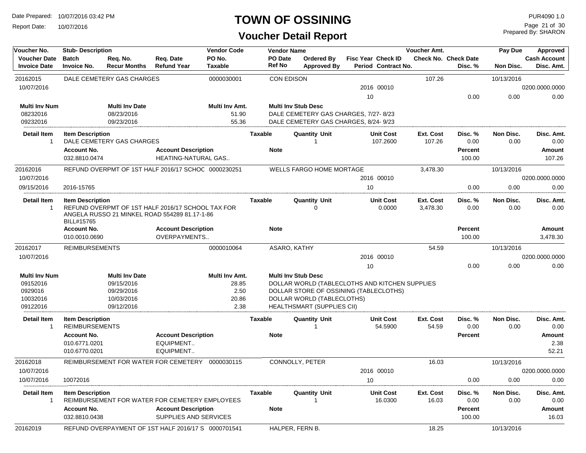Report Date: 10/07/2016

#### **TOWN OF OSSINING**

| Voucher No.                                | <b>Stub-Description</b>                          |                                 |                                                     | <b>Vendor Code</b>       |                   | <b>Vendor Name</b>                   |                                                  | Voucher Amt.                 |                                        | Pay Due           | Approved                          |
|--------------------------------------------|--------------------------------------------------|---------------------------------|-----------------------------------------------------|--------------------------|-------------------|--------------------------------------|--------------------------------------------------|------------------------------|----------------------------------------|-------------------|-----------------------------------|
| <b>Voucher Date</b><br><b>Invoice Date</b> | <b>Batch</b><br><b>Invoice No.</b>               | Req. No.<br><b>Recur Months</b> | Req. Date<br><b>Refund Year</b>                     | PO No.<br><b>Taxable</b> | PO Date<br>Ref No | Ordered By<br><b>Approved By</b>     | <b>Fisc Year Check ID</b><br>Period Contract No. |                              | <b>Check No. Check Date</b><br>Disc. % | Non Disc.         | <b>Cash Account</b><br>Disc. Amt. |
| 20162015                                   |                                                  | DALE CEMETERY GAS CHARGES       |                                                     | 0000030001               |                   | <b>CON EDISON</b>                    |                                                  | 107.26                       |                                        | 10/13/2016        |                                   |
| 10/07/2016                                 |                                                  |                                 |                                                     |                          |                   |                                      | 2016 00010                                       |                              |                                        |                   | 0200.0000.0000                    |
|                                            |                                                  |                                 |                                                     |                          |                   |                                      | 10                                               |                              | 0.00                                   | 0.00              | 0.00                              |
| <b>Multi Inv Num</b>                       |                                                  | <b>Multi Inv Date</b>           |                                                     | Multi Inv Amt.           |                   | <b>Multi Inv Stub Desc</b>           |                                                  |                              |                                        |                   |                                   |
| 08232016                                   |                                                  | 08/23/2016                      |                                                     | 51.90                    |                   | DALE CEMETERY GAS CHARGES, 7/27-8/23 |                                                  |                              |                                        |                   |                                   |
| 09232016                                   |                                                  | 09/23/2016                      |                                                     | 55.36                    |                   | DALE CEMETERY GAS CHARGES, 8/24-9/23 |                                                  |                              |                                        |                   |                                   |
| <b>Detail Item</b><br>-1                   | <b>Item Description</b>                          | DALE CEMETERY GAS CHARGES       |                                                     |                          | Taxable           | <b>Quantity Unit</b><br>1            | <b>Unit Cost</b><br>107.2600                     | Ext. Cost<br>107.26          | Disc. %<br>0.00                        | Non Disc.<br>0.00 | Disc. Amt.<br>0.00                |
|                                            | <b>Account No.</b>                               |                                 | <b>Account Description</b>                          |                          | <b>Note</b>       |                                      |                                                  |                              | <b>Percent</b>                         |                   | Amount                            |
|                                            | 032.8810.0474                                    |                                 | HEATING-NATURAL GAS                                 |                          |                   |                                      |                                                  |                              | 100.00                                 |                   | 107.26                            |
| 20162016                                   |                                                  |                                 | REFUND OVERPMT OF 1ST HALF 2016/17 SCHOC 0000230251 |                          |                   | <b>WELLS FARGO HOME MORTAGE</b>      |                                                  | 3,478.30                     |                                        | 10/13/2016        |                                   |
| 10/07/2016                                 |                                                  |                                 |                                                     |                          |                   |                                      | 2016 00010                                       |                              |                                        |                   | 0200.0000.0000                    |
| 09/15/2016                                 | 2016-15765                                       |                                 |                                                     |                          |                   |                                      | 10                                               |                              | 0.00                                   | 0.00              | 0.00                              |
| <b>Detail Item</b><br>-1                   | <b>Item Description</b>                          |                                 | REFUND OVERPMT OF 1ST HALF 2016/17 SCHOOL TAX FOR   |                          | Taxable           | <b>Quantity Unit</b><br>0            | <b>Unit Cost</b><br>0.0000                       | <b>Ext. Cost</b><br>3,478.30 | Disc. %<br>0.00                        | Non Disc.<br>0.00 | Disc. Amt.<br>0.00                |
|                                            | BILL#15765                                       |                                 | ANGELA RUSSO 21 MINKEL ROAD 554289 81.17-1-86       |                          |                   |                                      |                                                  |                              |                                        |                   |                                   |
|                                            | <b>Account No.</b>                               |                                 | <b>Account Description</b>                          |                          | <b>Note</b>       |                                      |                                                  |                              | <b>Percent</b>                         |                   | Amount                            |
|                                            | 010.0010.0690                                    |                                 | OVERPAYMENTS                                        |                          |                   |                                      |                                                  |                              | 100.00                                 |                   | 3,478.30                          |
| 20162017                                   | <b>REIMBURSEMENTS</b>                            |                                 |                                                     | 0000010064               |                   | ASARO, KATHY                         |                                                  | 54.59                        |                                        | 10/13/2016        |                                   |
| 10/07/2016                                 |                                                  |                                 |                                                     |                          |                   |                                      | 2016 00010                                       |                              |                                        |                   | 0200.0000.0000                    |
|                                            |                                                  |                                 |                                                     |                          |                   |                                      | 10                                               |                              | 0.00                                   | 0.00              | 0.00                              |
| <b>Multi Inv Num</b>                       |                                                  | <b>Multi Inv Date</b>           |                                                     | Multi Inv Amt.           |                   | <b>Multi Inv Stub Desc</b>           |                                                  |                              |                                        |                   |                                   |
| 09152016                                   |                                                  | 09/15/2016                      |                                                     | 28.85                    |                   |                                      | DOLLAR WORLD (TABLECLOTHS AND KITCHEN SUPPLIES   |                              |                                        |                   |                                   |
| 0929016                                    |                                                  | 09/29/2016                      |                                                     | 2.50                     |                   |                                      | DOLLAR STORE OF OSSINING (TABLECLOTHS)           |                              |                                        |                   |                                   |
| 10032016                                   |                                                  | 10/03/2016                      |                                                     | 20.86                    |                   | DOLLAR WORLD (TABLECLOTHS)           |                                                  |                              |                                        |                   |                                   |
| 09122016                                   |                                                  | 09/12/2016                      |                                                     | 2.38                     |                   | HEALTHSMART (SUPPLIES CII)           |                                                  |                              |                                        |                   |                                   |
| <b>Detail Item</b><br>$\mathbf 1$          | <b>Item Description</b><br><b>REIMBURSEMENTS</b> |                                 |                                                     |                          | <b>Taxable</b>    | <b>Quantity Unit</b><br>1            | <b>Unit Cost</b><br>54.5900                      | Ext. Cost<br>54.59           | Disc. %<br>0.00                        | Non Disc.<br>0.00 | Disc. Amt.<br>0.00                |
|                                            | <b>Account No.</b>                               |                                 | <b>Account Description</b>                          |                          | <b>Note</b>       |                                      |                                                  |                              | <b>Percent</b>                         |                   | Amount                            |
|                                            | 010.6771.0201                                    |                                 | EQUIPMENT                                           |                          |                   |                                      |                                                  |                              |                                        |                   | 2.38                              |
|                                            | 010.6770.0201                                    |                                 | EQUIPMENT                                           |                          |                   |                                      |                                                  |                              |                                        |                   | 52.21                             |
| 20162018                                   |                                                  |                                 | REIMBURSEMENT FOR WATER FOR CEMETERY                | 0000030115               |                   | CONNOLLY, PETER                      |                                                  | 16.03                        |                                        | 10/13/2016        |                                   |
| 10/07/2016                                 |                                                  |                                 |                                                     |                          |                   |                                      | 2016 00010                                       |                              |                                        |                   | 0200.0000.0000                    |
| 10/07/2016                                 | 10072016                                         |                                 |                                                     |                          |                   |                                      | 10                                               |                              | 0.00                                   | 0.00              | 0.00                              |
| Detail Item                                | <b>Item Description</b>                          |                                 |                                                     |                          | Taxable           | Quantity Unit                        | <b>Unit Cost</b>                                 | Ext. Cost                    | Disc. %                                | Non Disc.         | Disc. Amt.                        |
|                                            |                                                  |                                 | REIMBURSEMENT FOR WATER FOR CEMETERY EMPLOYEES      |                          |                   |                                      | 16.0300                                          | 16.03                        | 0.00                                   | 0.00              | 0.00                              |
|                                            | <b>Account No.</b>                               |                                 | <b>Account Description</b>                          |                          | <b>Note</b>       |                                      |                                                  |                              | <b>Percent</b>                         |                   | Amount                            |
|                                            | 032.8810.0438                                    |                                 | SUPPLIES AND SERVICES                               |                          |                   |                                      |                                                  |                              | 100.00                                 |                   | 16.03                             |
| 20162019                                   |                                                  |                                 | REFUND OVERPAYMENT OF 1ST HALF 2016/17 S 0000701541 |                          |                   | HALPER, FERN B.                      |                                                  | 18.25                        |                                        | 10/13/2016        |                                   |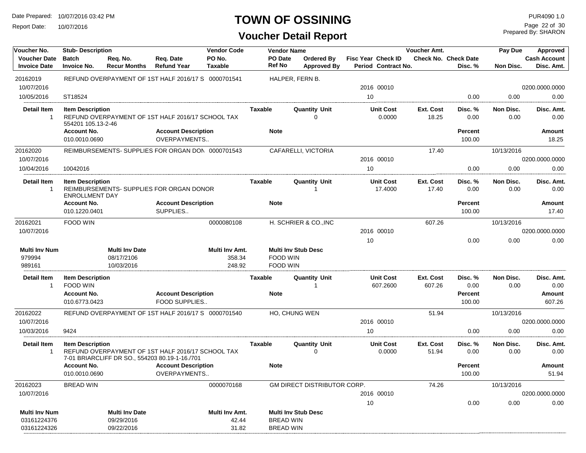Report Date: 10/07/2016

## **TOWN OF OSSINING**

Prepared By: SHARON Page 22 of 30

| <b>Cash Account</b><br>Disc. Amt.<br>0200.0000.0000<br>0.00<br>Disc. Amt.<br>0.00<br><b>Amount</b><br>18.25<br>0200.0000.0000<br>0.00 |
|---------------------------------------------------------------------------------------------------------------------------------------|
|                                                                                                                                       |
|                                                                                                                                       |
|                                                                                                                                       |
|                                                                                                                                       |
|                                                                                                                                       |
|                                                                                                                                       |
|                                                                                                                                       |
|                                                                                                                                       |
|                                                                                                                                       |
| Disc. Amt.<br>0.00                                                                                                                    |
| Amount<br>17.40                                                                                                                       |
|                                                                                                                                       |
| 0200.0000.0000                                                                                                                        |
| 0.00                                                                                                                                  |
|                                                                                                                                       |
| Disc. Amt.<br>0.00                                                                                                                    |
| <b>Amount</b><br>607.26                                                                                                               |
|                                                                                                                                       |
| 0200.0000.0000                                                                                                                        |
| 0.00                                                                                                                                  |
| Disc. Amt.<br>0.00                                                                                                                    |
| Amount<br>51.94                                                                                                                       |
|                                                                                                                                       |
| 0200.0000.0000                                                                                                                        |
| 0.00                                                                                                                                  |
|                                                                                                                                       |
|                                                                                                                                       |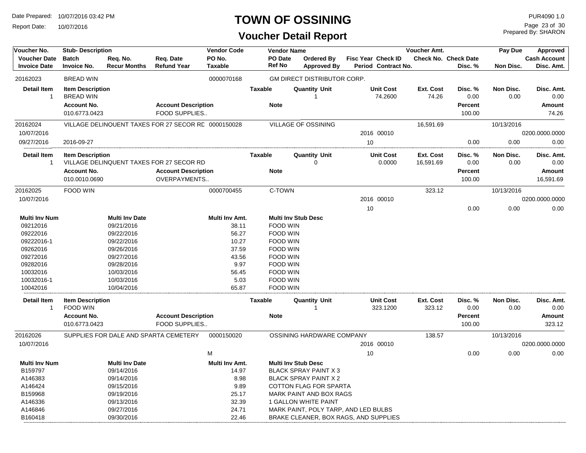Report Date: 10/07/2016

#### **TOWN OF OSSINING**

## **Voucher Detail Report**

Prepared By: SHARON Page 23 of 30

| PO No.<br><b>Voucher Date</b><br><b>Batch</b><br>Req. Date<br><b>PO</b> Date<br>Fisc Year Check ID<br>Check No. Check Date<br>Reg. No.<br><b>Ordered By</b><br><b>Ref No</b><br><b>Refund Year</b><br><b>Invoice Date</b><br><b>Invoice No.</b><br><b>Taxable</b><br>Period Contract No.<br><b>Recur Months</b><br><b>Approved By</b><br>Disc. %<br>Non Disc.<br>20162023<br><b>BREAD WIN</b><br>0000070168<br><b>GM DIRECT DISTRIBUTOR CORP.</b><br><b>Unit Cost</b><br><b>Detail Item</b><br><b>Taxable</b><br><b>Quantity Unit</b><br>Ext. Cost<br>Disc. %<br>Non Disc.<br><b>Item Description</b><br>Disc. Amt.<br><b>BREAD WIN</b><br>74.2600<br>74.26<br>0.00<br>0.00<br>0.00<br>$\mathbf{1}$<br><b>Account No.</b><br><b>Account Description</b><br><b>Note</b><br><b>Percent</b><br>Amount<br>010.6773.0423<br>FOOD SUPPLIES<br>100.00<br>74.26<br>VILLAGE OF OSSINING<br>16,591.69<br>20162024<br>VILLAGE DELINQUENT TAXES FOR 27 SECOR RE 0000150028<br>10/13/2016<br>10/07/2016<br>2016 00010<br>0200.0000.0000<br>09/27/2016<br>10<br>0.00<br>0.00<br>0.00<br>2016-09-27<br><b>Unit Cost</b><br><b>Detail Item</b><br><b>Item Description</b><br>Taxable<br><b>Quantity Unit</b><br>Ext. Cost<br>Disc. %<br>Non Disc.<br>VILLAGE DELINQUENT TAXES FOR 27 SECOR RD<br>0.0000<br>16,591.69<br>0.00<br>0.00<br>$\mathbf{1}$<br>O<br><b>Account No.</b><br><b>Account Description</b><br><b>Note</b><br><b>Percent</b><br>010.0010.0690<br>OVERPAYMENTS<br>100.00<br>16,591.69<br>C-TOWN<br>323.12<br>20162025<br>FOOD WIN<br>0000700455<br>10/13/2016<br>10/07/2016<br>2016 00010<br>0200.0000.0000<br>10<br>0.00<br>0.00<br>0.00<br>Multi Inv Amt.<br><b>Multi Inv Stub Desc</b><br><b>Multi Inv Num</b><br><b>Multi Inv Date</b><br>38.11<br><b>FOOD WIN</b><br>09212016<br>09/21/2016<br>09222016<br>09/22/2016<br>56.27<br>FOOD WIN<br>09222016-1<br>09/22/2016<br>10.27<br>FOOD WIN<br>09262016<br>09/26/2016<br>37.59<br>FOOD WIN | Voucher No. | <b>Stub-Description</b> |  | <b>Vendor Code</b> | <b>Vendor Name</b> |  | Voucher Amt. | Pay Due | Approved                          |
|--------------------------------------------------------------------------------------------------------------------------------------------------------------------------------------------------------------------------------------------------------------------------------------------------------------------------------------------------------------------------------------------------------------------------------------------------------------------------------------------------------------------------------------------------------------------------------------------------------------------------------------------------------------------------------------------------------------------------------------------------------------------------------------------------------------------------------------------------------------------------------------------------------------------------------------------------------------------------------------------------------------------------------------------------------------------------------------------------------------------------------------------------------------------------------------------------------------------------------------------------------------------------------------------------------------------------------------------------------------------------------------------------------------------------------------------------------------------------------------------------------------------------------------------------------------------------------------------------------------------------------------------------------------------------------------------------------------------------------------------------------------------------------------------------------------------------------------------------------------------------------------------------------------------------------------------------|-------------|-------------------------|--|--------------------|--------------------|--|--------------|---------|-----------------------------------|
|                                                                                                                                                                                                                                                                                                                                                                                                                                                                                                                                                                                                                                                                                                                                                                                                                                                                                                                                                                                                                                                                                                                                                                                                                                                                                                                                                                                                                                                                                                                                                                                                                                                                                                                                                                                                                                                                                                                                                  |             |                         |  |                    |                    |  |              |         | <b>Cash Account</b><br>Disc. Amt. |
|                                                                                                                                                                                                                                                                                                                                                                                                                                                                                                                                                                                                                                                                                                                                                                                                                                                                                                                                                                                                                                                                                                                                                                                                                                                                                                                                                                                                                                                                                                                                                                                                                                                                                                                                                                                                                                                                                                                                                  |             |                         |  |                    |                    |  |              |         |                                   |
|                                                                                                                                                                                                                                                                                                                                                                                                                                                                                                                                                                                                                                                                                                                                                                                                                                                                                                                                                                                                                                                                                                                                                                                                                                                                                                                                                                                                                                                                                                                                                                                                                                                                                                                                                                                                                                                                                                                                                  |             |                         |  |                    |                    |  |              |         |                                   |
|                                                                                                                                                                                                                                                                                                                                                                                                                                                                                                                                                                                                                                                                                                                                                                                                                                                                                                                                                                                                                                                                                                                                                                                                                                                                                                                                                                                                                                                                                                                                                                                                                                                                                                                                                                                                                                                                                                                                                  |             |                         |  |                    |                    |  |              |         |                                   |
|                                                                                                                                                                                                                                                                                                                                                                                                                                                                                                                                                                                                                                                                                                                                                                                                                                                                                                                                                                                                                                                                                                                                                                                                                                                                                                                                                                                                                                                                                                                                                                                                                                                                                                                                                                                                                                                                                                                                                  |             |                         |  |                    |                    |  |              |         |                                   |
|                                                                                                                                                                                                                                                                                                                                                                                                                                                                                                                                                                                                                                                                                                                                                                                                                                                                                                                                                                                                                                                                                                                                                                                                                                                                                                                                                                                                                                                                                                                                                                                                                                                                                                                                                                                                                                                                                                                                                  |             |                         |  |                    |                    |  |              |         |                                   |
|                                                                                                                                                                                                                                                                                                                                                                                                                                                                                                                                                                                                                                                                                                                                                                                                                                                                                                                                                                                                                                                                                                                                                                                                                                                                                                                                                                                                                                                                                                                                                                                                                                                                                                                                                                                                                                                                                                                                                  |             |                         |  |                    |                    |  |              |         |                                   |
|                                                                                                                                                                                                                                                                                                                                                                                                                                                                                                                                                                                                                                                                                                                                                                                                                                                                                                                                                                                                                                                                                                                                                                                                                                                                                                                                                                                                                                                                                                                                                                                                                                                                                                                                                                                                                                                                                                                                                  |             |                         |  |                    |                    |  |              |         |                                   |
|                                                                                                                                                                                                                                                                                                                                                                                                                                                                                                                                                                                                                                                                                                                                                                                                                                                                                                                                                                                                                                                                                                                                                                                                                                                                                                                                                                                                                                                                                                                                                                                                                                                                                                                                                                                                                                                                                                                                                  |             |                         |  |                    |                    |  |              |         |                                   |
|                                                                                                                                                                                                                                                                                                                                                                                                                                                                                                                                                                                                                                                                                                                                                                                                                                                                                                                                                                                                                                                                                                                                                                                                                                                                                                                                                                                                                                                                                                                                                                                                                                                                                                                                                                                                                                                                                                                                                  |             |                         |  |                    |                    |  |              |         |                                   |
|                                                                                                                                                                                                                                                                                                                                                                                                                                                                                                                                                                                                                                                                                                                                                                                                                                                                                                                                                                                                                                                                                                                                                                                                                                                                                                                                                                                                                                                                                                                                                                                                                                                                                                                                                                                                                                                                                                                                                  |             |                         |  |                    |                    |  |              |         | Disc. Amt.<br>0.00                |
|                                                                                                                                                                                                                                                                                                                                                                                                                                                                                                                                                                                                                                                                                                                                                                                                                                                                                                                                                                                                                                                                                                                                                                                                                                                                                                                                                                                                                                                                                                                                                                                                                                                                                                                                                                                                                                                                                                                                                  |             |                         |  |                    |                    |  |              |         | Amount                            |
|                                                                                                                                                                                                                                                                                                                                                                                                                                                                                                                                                                                                                                                                                                                                                                                                                                                                                                                                                                                                                                                                                                                                                                                                                                                                                                                                                                                                                                                                                                                                                                                                                                                                                                                                                                                                                                                                                                                                                  |             |                         |  |                    |                    |  |              |         |                                   |
|                                                                                                                                                                                                                                                                                                                                                                                                                                                                                                                                                                                                                                                                                                                                                                                                                                                                                                                                                                                                                                                                                                                                                                                                                                                                                                                                                                                                                                                                                                                                                                                                                                                                                                                                                                                                                                                                                                                                                  |             |                         |  |                    |                    |  |              |         |                                   |
|                                                                                                                                                                                                                                                                                                                                                                                                                                                                                                                                                                                                                                                                                                                                                                                                                                                                                                                                                                                                                                                                                                                                                                                                                                                                                                                                                                                                                                                                                                                                                                                                                                                                                                                                                                                                                                                                                                                                                  |             |                         |  |                    |                    |  |              |         |                                   |
|                                                                                                                                                                                                                                                                                                                                                                                                                                                                                                                                                                                                                                                                                                                                                                                                                                                                                                                                                                                                                                                                                                                                                                                                                                                                                                                                                                                                                                                                                                                                                                                                                                                                                                                                                                                                                                                                                                                                                  |             |                         |  |                    |                    |  |              |         |                                   |
|                                                                                                                                                                                                                                                                                                                                                                                                                                                                                                                                                                                                                                                                                                                                                                                                                                                                                                                                                                                                                                                                                                                                                                                                                                                                                                                                                                                                                                                                                                                                                                                                                                                                                                                                                                                                                                                                                                                                                  |             |                         |  |                    |                    |  |              |         |                                   |
|                                                                                                                                                                                                                                                                                                                                                                                                                                                                                                                                                                                                                                                                                                                                                                                                                                                                                                                                                                                                                                                                                                                                                                                                                                                                                                                                                                                                                                                                                                                                                                                                                                                                                                                                                                                                                                                                                                                                                  |             |                         |  |                    |                    |  |              |         |                                   |
|                                                                                                                                                                                                                                                                                                                                                                                                                                                                                                                                                                                                                                                                                                                                                                                                                                                                                                                                                                                                                                                                                                                                                                                                                                                                                                                                                                                                                                                                                                                                                                                                                                                                                                                                                                                                                                                                                                                                                  |             |                         |  |                    |                    |  |              |         |                                   |
|                                                                                                                                                                                                                                                                                                                                                                                                                                                                                                                                                                                                                                                                                                                                                                                                                                                                                                                                                                                                                                                                                                                                                                                                                                                                                                                                                                                                                                                                                                                                                                                                                                                                                                                                                                                                                                                                                                                                                  |             |                         |  |                    |                    |  |              |         |                                   |
|                                                                                                                                                                                                                                                                                                                                                                                                                                                                                                                                                                                                                                                                                                                                                                                                                                                                                                                                                                                                                                                                                                                                                                                                                                                                                                                                                                                                                                                                                                                                                                                                                                                                                                                                                                                                                                                                                                                                                  |             |                         |  |                    |                    |  |              |         |                                   |
| 09272016<br>09/27/2016<br>43.56<br>FOOD WIN                                                                                                                                                                                                                                                                                                                                                                                                                                                                                                                                                                                                                                                                                                                                                                                                                                                                                                                                                                                                                                                                                                                                                                                                                                                                                                                                                                                                                                                                                                                                                                                                                                                                                                                                                                                                                                                                                                      |             |                         |  |                    |                    |  |              |         |                                   |
| 09282016<br>09/28/2016<br>9.97<br>FOOD WIN                                                                                                                                                                                                                                                                                                                                                                                                                                                                                                                                                                                                                                                                                                                                                                                                                                                                                                                                                                                                                                                                                                                                                                                                                                                                                                                                                                                                                                                                                                                                                                                                                                                                                                                                                                                                                                                                                                       |             |                         |  |                    |                    |  |              |         |                                   |
| 10032016<br>10/03/2016<br><b>FOOD WIN</b><br>56.45                                                                                                                                                                                                                                                                                                                                                                                                                                                                                                                                                                                                                                                                                                                                                                                                                                                                                                                                                                                                                                                                                                                                                                                                                                                                                                                                                                                                                                                                                                                                                                                                                                                                                                                                                                                                                                                                                               |             |                         |  |                    |                    |  |              |         |                                   |
| FOOD WIN<br>10/03/2016                                                                                                                                                                                                                                                                                                                                                                                                                                                                                                                                                                                                                                                                                                                                                                                                                                                                                                                                                                                                                                                                                                                                                                                                                                                                                                                                                                                                                                                                                                                                                                                                                                                                                                                                                                                                                                                                                                                           |             |                         |  |                    |                    |  |              |         |                                   |
| 10032016-1<br>5.03<br>10042016<br><b>FOOD WIN</b><br>10/04/2016<br>65.87                                                                                                                                                                                                                                                                                                                                                                                                                                                                                                                                                                                                                                                                                                                                                                                                                                                                                                                                                                                                                                                                                                                                                                                                                                                                                                                                                                                                                                                                                                                                                                                                                                                                                                                                                                                                                                                                         |             |                         |  |                    |                    |  |              |         |                                   |
|                                                                                                                                                                                                                                                                                                                                                                                                                                                                                                                                                                                                                                                                                                                                                                                                                                                                                                                                                                                                                                                                                                                                                                                                                                                                                                                                                                                                                                                                                                                                                                                                                                                                                                                                                                                                                                                                                                                                                  |             |                         |  |                    |                    |  |              |         |                                   |
| <b>Detail Item</b><br><b>Taxable</b><br><b>Quantity Unit</b><br><b>Item Description</b><br><b>Unit Cost</b><br>Ext. Cost<br>Disc. %<br>Non Disc.                                                                                                                                                                                                                                                                                                                                                                                                                                                                                                                                                                                                                                                                                                                                                                                                                                                                                                                                                                                                                                                                                                                                                                                                                                                                                                                                                                                                                                                                                                                                                                                                                                                                                                                                                                                                 |             |                         |  |                    |                    |  |              |         | Disc. Amt.                        |
| FOOD WIN<br>323.1200<br>323.12<br>0.00<br>0.00<br>$\mathbf{1}$                                                                                                                                                                                                                                                                                                                                                                                                                                                                                                                                                                                                                                                                                                                                                                                                                                                                                                                                                                                                                                                                                                                                                                                                                                                                                                                                                                                                                                                                                                                                                                                                                                                                                                                                                                                                                                                                                   |             |                         |  |                    |                    |  |              |         | 0.00                              |
| <b>Account Description</b><br><b>Note</b><br><b>Account No.</b><br><b>Percent</b>                                                                                                                                                                                                                                                                                                                                                                                                                                                                                                                                                                                                                                                                                                                                                                                                                                                                                                                                                                                                                                                                                                                                                                                                                                                                                                                                                                                                                                                                                                                                                                                                                                                                                                                                                                                                                                                                |             |                         |  |                    |                    |  |              |         | Amount                            |
| 010.6773.0423<br>FOOD SUPPLIES<br>100.00<br>323.12                                                                                                                                                                                                                                                                                                                                                                                                                                                                                                                                                                                                                                                                                                                                                                                                                                                                                                                                                                                                                                                                                                                                                                                                                                                                                                                                                                                                                                                                                                                                                                                                                                                                                                                                                                                                                                                                                               |             |                         |  |                    |                    |  |              |         |                                   |
| 20162026<br>SUPPLIES FOR DALE AND SPARTA CEMETERY<br>0000150020<br>OSSINING HARDWARE COMPANY<br>138.57<br>10/13/2016                                                                                                                                                                                                                                                                                                                                                                                                                                                                                                                                                                                                                                                                                                                                                                                                                                                                                                                                                                                                                                                                                                                                                                                                                                                                                                                                                                                                                                                                                                                                                                                                                                                                                                                                                                                                                             |             |                         |  |                    |                    |  |              |         |                                   |
| 10/07/2016<br>2016 00010<br>0200.0000.0000                                                                                                                                                                                                                                                                                                                                                                                                                                                                                                                                                                                                                                                                                                                                                                                                                                                                                                                                                                                                                                                                                                                                                                                                                                                                                                                                                                                                                                                                                                                                                                                                                                                                                                                                                                                                                                                                                                       |             |                         |  |                    |                    |  |              |         |                                   |
| M<br>10<br>0.00<br>0.00                                                                                                                                                                                                                                                                                                                                                                                                                                                                                                                                                                                                                                                                                                                                                                                                                                                                                                                                                                                                                                                                                                                                                                                                                                                                                                                                                                                                                                                                                                                                                                                                                                                                                                                                                                                                                                                                                                                          |             |                         |  |                    |                    |  |              |         | 0.00                              |
| <b>Multi Inv Num</b><br><b>Multi Inv Date</b><br>Multi Inv Amt.<br><b>Multi Inv Stub Desc</b>                                                                                                                                                                                                                                                                                                                                                                                                                                                                                                                                                                                                                                                                                                                                                                                                                                                                                                                                                                                                                                                                                                                                                                                                                                                                                                                                                                                                                                                                                                                                                                                                                                                                                                                                                                                                                                                    |             |                         |  |                    |                    |  |              |         |                                   |
| B159797<br>09/14/2016<br>14.97<br><b>BLACK SPRAY PAINT X 3</b>                                                                                                                                                                                                                                                                                                                                                                                                                                                                                                                                                                                                                                                                                                                                                                                                                                                                                                                                                                                                                                                                                                                                                                                                                                                                                                                                                                                                                                                                                                                                                                                                                                                                                                                                                                                                                                                                                   |             |                         |  |                    |                    |  |              |         |                                   |
| A146383<br>8.98<br>09/14/2016<br><b>BLACK SPRAY PAINT X 2</b>                                                                                                                                                                                                                                                                                                                                                                                                                                                                                                                                                                                                                                                                                                                                                                                                                                                                                                                                                                                                                                                                                                                                                                                                                                                                                                                                                                                                                                                                                                                                                                                                                                                                                                                                                                                                                                                                                    |             |                         |  |                    |                    |  |              |         |                                   |
| A146424<br>09/15/2016<br>9.89<br>COTTON FLAG FOR SPARTA                                                                                                                                                                                                                                                                                                                                                                                                                                                                                                                                                                                                                                                                                                                                                                                                                                                                                                                                                                                                                                                                                                                                                                                                                                                                                                                                                                                                                                                                                                                                                                                                                                                                                                                                                                                                                                                                                          |             |                         |  |                    |                    |  |              |         |                                   |
| B159968<br>09/19/2016<br>25.17<br>MARK PAINT AND BOX RAGS                                                                                                                                                                                                                                                                                                                                                                                                                                                                                                                                                                                                                                                                                                                                                                                                                                                                                                                                                                                                                                                                                                                                                                                                                                                                                                                                                                                                                                                                                                                                                                                                                                                                                                                                                                                                                                                                                        |             |                         |  |                    |                    |  |              |         |                                   |
| A146336<br>32.39<br><b>1 GALLON WHITE PAINT</b><br>09/13/2016                                                                                                                                                                                                                                                                                                                                                                                                                                                                                                                                                                                                                                                                                                                                                                                                                                                                                                                                                                                                                                                                                                                                                                                                                                                                                                                                                                                                                                                                                                                                                                                                                                                                                                                                                                                                                                                                                    |             |                         |  |                    |                    |  |              |         |                                   |
| A146846<br>09/27/2016<br>24.71<br>MARK PAINT, POLY TARP, AND LED BULBS                                                                                                                                                                                                                                                                                                                                                                                                                                                                                                                                                                                                                                                                                                                                                                                                                                                                                                                                                                                                                                                                                                                                                                                                                                                                                                                                                                                                                                                                                                                                                                                                                                                                                                                                                                                                                                                                           |             |                         |  |                    |                    |  |              |         |                                   |
| B160418<br>09/30/2016<br>22.46<br>BRAKE CLEANER, BOX RAGS, AND SUPPLIES                                                                                                                                                                                                                                                                                                                                                                                                                                                                                                                                                                                                                                                                                                                                                                                                                                                                                                                                                                                                                                                                                                                                                                                                                                                                                                                                                                                                                                                                                                                                                                                                                                                                                                                                                                                                                                                                          |             |                         |  |                    |                    |  |              |         |                                   |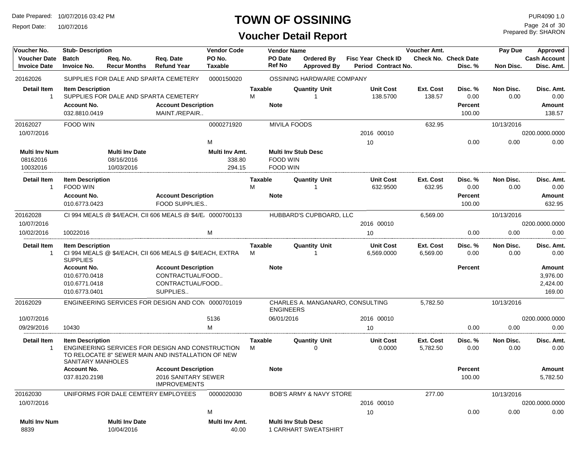Report Date: 10/07/2016

## **TOWN OF OSSINING**

| Voucher No.                                | <b>Stub-Description</b>                      |                                       |                                                                                                       | <b>Vendor Code</b>      |                     | <b>Vendor Name</b>       |                                                           |                    |                                | Voucher Amt.                 |                                        | Pay Due           | Approved                          |
|--------------------------------------------|----------------------------------------------|---------------------------------------|-------------------------------------------------------------------------------------------------------|-------------------------|---------------------|--------------------------|-----------------------------------------------------------|--------------------|--------------------------------|------------------------------|----------------------------------------|-------------------|-----------------------------------|
| <b>Voucher Date</b><br><b>Invoice Date</b> | <b>Batch</b><br><b>Invoice No.</b>           | Req. No.<br><b>Recur Months</b>       | Req. Date<br><b>Refund Year</b>                                                                       | PO No.<br>Taxable       |                     | PO Date<br><b>Ref No</b> | Ordered By<br><b>Approved By</b>                          | Fisc Year Check ID | Period Contract No.            |                              | <b>Check No. Check Date</b><br>Disc. % | Non Disc.         | <b>Cash Account</b><br>Disc. Amt. |
| 20162026                                   |                                              | SUPPLIES FOR DALE AND SPARTA CEMETERY |                                                                                                       | 0000150020              |                     |                          | OSSINING HARDWARE COMPANY                                 |                    |                                |                              |                                        |                   |                                   |
| <b>Detail Item</b>                         | <b>Item Description</b>                      |                                       |                                                                                                       |                         | <b>Taxable</b>      |                          | <b>Quantity Unit</b>                                      |                    | <b>Unit Cost</b>               | Ext. Cost                    | Disc. %                                | Non Disc.         | Disc. Amt.                        |
| $\mathbf{1}$                               |                                              |                                       | SUPPLIES FOR DALE AND SPARTA CEMETERY                                                                 |                         | М                   |                          | 1                                                         |                    | 138.5700                       | 138.57                       | 0.00                                   | 0.00              | 0.00                              |
|                                            | <b>Account No.</b>                           |                                       | <b>Account Description</b>                                                                            |                         |                     | <b>Note</b>              |                                                           |                    |                                |                              | <b>Percent</b>                         |                   | Amount                            |
|                                            | 032.8810.0419                                |                                       | MAINT./REPAIR                                                                                         |                         |                     |                          |                                                           |                    |                                |                              | 100.00                                 |                   | 138.57                            |
| 20162027                                   | <b>FOOD WIN</b>                              |                                       |                                                                                                       | 0000271920              |                     | <b>MIVILA FOODS</b>      |                                                           |                    |                                | 632.95                       |                                        | 10/13/2016        |                                   |
| 10/07/2016                                 |                                              |                                       |                                                                                                       |                         |                     |                          |                                                           |                    | 2016 00010                     |                              |                                        |                   | 0200.0000.0000                    |
|                                            |                                              |                                       |                                                                                                       | M                       |                     |                          |                                                           | 10                 |                                |                              | 0.00                                   | 0.00              | 0.00                              |
| <b>Multi Inv Num</b>                       |                                              | <b>Multi Inv Date</b>                 |                                                                                                       | Multi Inv Amt.          |                     |                          | <b>Multi Inv Stub Desc</b>                                |                    |                                |                              |                                        |                   |                                   |
| 08162016                                   |                                              | 08/16/2016                            |                                                                                                       | 338.80                  |                     | FOOD WIN                 |                                                           |                    |                                |                              |                                        |                   |                                   |
| 10032016                                   |                                              | 10/03/2016                            |                                                                                                       | 294.15                  |                     | FOOD WIN                 |                                                           |                    |                                |                              |                                        |                   |                                   |
| <b>Detail Item</b>                         | <b>Item Description</b>                      |                                       |                                                                                                       |                         | <b>Taxable</b>      |                          | <b>Quantity Unit</b>                                      |                    | Unit Cost                      | Ext. Cost                    | Disc. %                                | Non Disc.         | Disc. Amt.                        |
| 1                                          | <b>FOOD WIN</b>                              |                                       |                                                                                                       |                         | М                   |                          | -1                                                        |                    | 632.9500                       | 632.95                       | 0.00                                   | 0.00              | 0.00                              |
|                                            | <b>Account No.</b>                           |                                       | <b>Account Description</b>                                                                            |                         |                     | <b>Note</b>              |                                                           |                    |                                |                              | <b>Percent</b>                         |                   | <b>Amount</b>                     |
|                                            | 010.6773.0423                                |                                       | FOOD SUPPLIES                                                                                         |                         |                     |                          |                                                           |                    |                                |                              | 100.00                                 |                   | 632.95                            |
| 20162028                                   |                                              |                                       | CI 994 MEALS @ \$4/EACH, CII 606 MEALS @ \$4/E, 0000700133                                            |                         |                     |                          | HUBBARD'S CUPBOARD. LLC                                   |                    |                                | 6,569.00                     |                                        | 10/13/2016        |                                   |
| 10/07/2016                                 |                                              |                                       |                                                                                                       |                         |                     |                          |                                                           |                    | 2016 00010                     |                              |                                        |                   | 0200.0000.0000                    |
| 10/02/2016                                 | 10022016                                     |                                       |                                                                                                       | M                       |                     |                          |                                                           | 10                 |                                |                              | 0.00                                   | 0.00              | 0.00                              |
| Detail Item<br>$\mathbf{1}$                | <b>Item Description</b><br><b>SUPPLIES</b>   |                                       | CI 994 MEALS @ \$4/EACH, CII 606 MEALS @ \$4/EACH, EXTRA                                              |                         | <b>Taxable</b><br>М |                          | Quantity Unit                                             |                    | <b>Unit Cost</b><br>6,569.0000 | <b>Ext. Cost</b><br>6,569.00 | Disc. %<br>0.00                        | Non Disc.<br>0.00 | Disc. Amt.<br>0.00                |
|                                            | <b>Account No.</b>                           |                                       | <b>Account Description</b>                                                                            |                         |                     | <b>Note</b>              |                                                           |                    |                                |                              | <b>Percent</b>                         |                   | <b>Amount</b>                     |
|                                            | 010.6770.0418                                |                                       | CONTRACTUAL/FOOD                                                                                      |                         |                     |                          |                                                           |                    |                                |                              |                                        |                   | 3,976.00                          |
|                                            | 010.6771.0418                                |                                       | CONTRACTUAL/FOOD                                                                                      |                         |                     |                          |                                                           |                    |                                |                              |                                        |                   | 2,424.00                          |
|                                            | 010.6773.0401                                |                                       | SUPPLIES                                                                                              |                         |                     |                          |                                                           |                    |                                |                              |                                        |                   | 169.00                            |
| 20162029                                   |                                              |                                       | ENGINEERING SERVICES FOR DESIGN AND CON 0000701019                                                    |                         |                     | <b>ENGINEERS</b>         | CHARLES A. MANGANARO, CONSULTING                          |                    |                                | 5,782.50                     |                                        | 10/13/2016        |                                   |
| 10/07/2016                                 |                                              |                                       |                                                                                                       | 5136                    |                     | 06/01/2016               |                                                           |                    | 2016 00010                     |                              |                                        |                   | 0200.0000.0000                    |
| 09/29/2016                                 | 10430                                        |                                       |                                                                                                       | М                       |                     |                          |                                                           | 10                 |                                |                              | 0.00                                   | 0.00              | 0.00                              |
| <b>Detail Item</b><br>1                    | <b>Item Description</b><br>SANITARY MANHOLES |                                       | ENGINEERING SERVICES FOR DESIGN AND CONSTRUCTION<br>TO RELOCATE 8" SEWER MAIN AND INSTALLATION OF NEW |                         | Taxable<br>М        |                          | Quantity Unit<br>0                                        |                    | <b>Unit Cost</b><br>0.0000     | Ext. Cost<br>5,782.50        | Disc. %<br>0.00                        | Non Disc.<br>0.00 | Disc. Amt.<br>0.00                |
|                                            | <b>Account No.</b>                           |                                       | <b>Account Description</b>                                                                            |                         |                     | <b>Note</b>              |                                                           |                    |                                |                              | <b>Percent</b>                         |                   | Amount                            |
|                                            | 037.8120.2198                                |                                       | 2016 SANITARY SEWER<br><b>IMPROVEMENTS</b>                                                            |                         |                     |                          |                                                           |                    |                                |                              | 100.00                                 |                   | 5,782.50                          |
| 20162030                                   |                                              | UNIFORMS FOR DALE CEMTERY EMPLOYEES   |                                                                                                       | 0000020030              |                     |                          | BOB'S ARMY & NAVY STORE                                   |                    |                                | 277.00                       |                                        | 10/13/2016        |                                   |
| 10/07/2016                                 |                                              |                                       |                                                                                                       |                         |                     |                          |                                                           |                    | 2016 00010                     |                              |                                        |                   | 0200.0000.0000                    |
|                                            |                                              |                                       |                                                                                                       | M                       |                     |                          |                                                           | 10                 |                                |                              | 0.00                                   | 0.00              | 0.00                              |
| <b>Multi Inv Num</b><br>8839               |                                              | <b>Multi Inv Date</b><br>10/04/2016   |                                                                                                       | Multi Inv Amt.<br>40.00 |                     |                          | <b>Multi Inv Stub Desc</b><br><b>1 CARHART SWEATSHIRT</b> |                    |                                |                              |                                        |                   |                                   |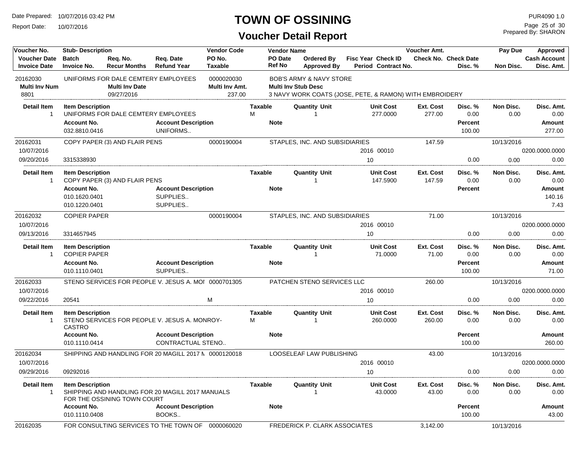Report Date: 10/07/2016

## **TOWN OF OSSINING**

Prepared By: SHARON Page 25 of 30

| Voucher No.                                | <b>Vendor Code</b><br><b>Stub-Description</b>  |                                                                            |                                                                                |                                        |                        | <b>Vendor Name</b>       |                                                                                                                             |                                                  |          | Voucher Amt.        |                                        | Pay Due           | Approved                          |
|--------------------------------------------|------------------------------------------------|----------------------------------------------------------------------------|--------------------------------------------------------------------------------|----------------------------------------|------------------------|--------------------------|-----------------------------------------------------------------------------------------------------------------------------|--------------------------------------------------|----------|---------------------|----------------------------------------|-------------------|-----------------------------------|
| <b>Voucher Date</b><br><b>Invoice Date</b> | <b>Batch</b><br><b>Invoice No.</b>             | Req. No.<br><b>Recur Months</b>                                            | Req. Date<br><b>Refund Year</b>                                                | PO No.<br><b>Taxable</b>               |                        | PO Date<br><b>Ref No</b> | Ordered By<br><b>Approved By</b>                                                                                            | <b>Fisc Year Check ID</b><br>Period Contract No. |          |                     | <b>Check No. Check Date</b><br>Disc. % | <b>Non Disc.</b>  | <b>Cash Account</b><br>Disc. Amt. |
| 20162030<br><b>Multi Inv Num</b><br>8801   |                                                | UNIFORMS FOR DALE CEMTERY EMPLOYEES<br><b>Multi Inv Date</b><br>09/27/2016 |                                                                                | 0000020030<br>Multi Inv Amt.<br>237.00 |                        |                          | <b>BOB'S ARMY &amp; NAVY STORE</b><br><b>Multi Inv Stub Desc</b><br>3 NAVY WORK COATS (JOSE, PETE, & RAMON) WITH EMBROIDERY |                                                  |          |                     |                                        |                   |                                   |
| <b>Detail Item</b>                         | <b>Item Description</b>                        |                                                                            |                                                                                |                                        | <b>Taxable</b>         |                          | <b>Quantity Unit</b>                                                                                                        | <b>Unit Cost</b>                                 |          | Ext. Cost           | Disc. %                                | Non Disc.         | Disc. Amt.                        |
| $\overline{1}$                             |                                                | UNIFORMS FOR DALE CEMTERY EMPLOYEES                                        |                                                                                |                                        | M                      |                          | -1                                                                                                                          |                                                  | 277.0000 | 277.00              | 0.00                                   | 0.00              | 0.00                              |
|                                            | <b>Account No.</b>                             |                                                                            | <b>Account Description</b>                                                     |                                        | <b>Note</b>            |                          |                                                                                                                             |                                                  |          |                     | <b>Percent</b>                         |                   | Amount                            |
|                                            | 032.8810.0416                                  |                                                                            | UNIFORMS                                                                       |                                        |                        |                          |                                                                                                                             |                                                  |          |                     | 100.00                                 |                   | 277.00                            |
| 20162031                                   |                                                | COPY PAPER (3) AND FLAIR PENS                                              |                                                                                | 0000190004                             |                        |                          | STAPLES, INC. AND SUBSIDIARIES                                                                                              |                                                  |          | 147.59              |                                        | 10/13/2016        |                                   |
| 10/07/2016                                 |                                                |                                                                            |                                                                                |                                        |                        |                          |                                                                                                                             | 2016 00010                                       |          |                     |                                        |                   | 0200.0000.0000                    |
| 09/20/2016                                 | 3315338930                                     |                                                                            |                                                                                |                                        |                        |                          |                                                                                                                             | 10                                               |          |                     | 0.00                                   | 0.00              | 0.00                              |
| <b>Detail Item</b><br>$\overline{1}$       | <b>Item Description</b>                        | COPY PAPER (3) AND FLAIR PENS                                              |                                                                                |                                        | <b>Taxable</b>         |                          | <b>Quantity Unit</b><br>1                                                                                                   | <b>Unit Cost</b>                                 | 147.5900 | Ext. Cost<br>147.59 | Disc. %<br>0.00                        | Non Disc.<br>0.00 | Disc. Amt.<br>0.00                |
|                                            | <b>Account No.</b>                             |                                                                            | <b>Account Description</b>                                                     |                                        | <b>Note</b>            |                          |                                                                                                                             |                                                  |          |                     | <b>Percent</b>                         |                   | Amount                            |
|                                            | 010.1620.0401                                  |                                                                            | SUPPLIES                                                                       |                                        |                        |                          |                                                                                                                             |                                                  |          |                     |                                        |                   | 140.16                            |
|                                            | 010.1220.0401                                  |                                                                            | SUPPLIES                                                                       |                                        |                        |                          |                                                                                                                             |                                                  |          |                     |                                        |                   | 7.43                              |
| 20162032                                   | <b>COPIER PAPER</b>                            |                                                                            |                                                                                | 0000190004                             |                        |                          | STAPLES, INC. AND SUBSIDIARIES                                                                                              |                                                  |          | 71.00               |                                        | 10/13/2016        |                                   |
| 10/07/2016                                 |                                                |                                                                            |                                                                                |                                        |                        |                          |                                                                                                                             | 2016 00010                                       |          |                     |                                        |                   | 0200.0000.0000                    |
| 09/13/2016                                 | 3314657945                                     |                                                                            |                                                                                |                                        |                        |                          |                                                                                                                             | 10                                               |          |                     | 0.00                                   | 0.00              | 0.00                              |
| <b>Detail Item</b><br>$\overline{1}$       | <b>Item Description</b><br><b>COPIER PAPER</b> |                                                                            |                                                                                |                                        | <b>Taxable</b>         |                          | <b>Quantity Unit</b><br>$\overline{1}$                                                                                      | <b>Unit Cost</b>                                 | 71.0000  | Ext. Cost<br>71.00  | Disc. %<br>0.00                        | Non Disc.<br>0.00 | Disc. Amt.<br>0.00                |
|                                            | <b>Account No.</b><br>010.1110.0401            |                                                                            | <b>Account Description</b><br>SUPPLIES                                         |                                        | <b>Note</b>            |                          |                                                                                                                             |                                                  |          |                     | <b>Percent</b><br>100.00               |                   | Amount<br>71.00                   |
| 20162033                                   |                                                |                                                                            | STENO SERVICES FOR PEOPLE V. JESUS A. MOI 0000701305                           |                                        |                        |                          | PATCHEN STENO SERVICES LLC                                                                                                  |                                                  |          | 260.00              |                                        | 10/13/2016        |                                   |
| 10/07/2016                                 |                                                |                                                                            |                                                                                |                                        |                        |                          |                                                                                                                             | 2016 00010                                       |          |                     |                                        |                   | 0200.0000.0000                    |
| 09/22/2016                                 | 20541                                          |                                                                            |                                                                                | м                                      |                        |                          |                                                                                                                             | 10                                               |          |                     | 0.00                                   | 0.00              | 0.00                              |
| <b>Detail Item</b><br>$\overline{1}$       | <b>Item Description</b><br><b>CASTRO</b>       |                                                                            | STENO SERVICES FOR PEOPLE V. JESUS A. MONROY-                                  |                                        | <b>Taxable</b><br>M    |                          | <b>Quantity Unit</b>                                                                                                        | <b>Unit Cost</b>                                 | 260.0000 | Ext. Cost<br>260.00 | Disc. %<br>0.00                        | Non Disc.<br>0.00 | Disc. Amt.<br>0.00                |
|                                            | <b>Account No.</b>                             |                                                                            | <b>Account Description</b>                                                     |                                        | <b>Note</b>            |                          |                                                                                                                             |                                                  |          |                     | <b>Percent</b>                         |                   | Amount                            |
|                                            | 010.1110.0414                                  |                                                                            | CONTRACTUAL STENO                                                              |                                        |                        |                          |                                                                                                                             |                                                  |          |                     | 100.00                                 |                   | 260.00                            |
| 20162034                                   |                                                |                                                                            | SHIPPING AND HANDLING FOR 20 MAGILL 2017 N 0000120018                          |                                        |                        |                          | LOOSELEAF LAW PUBLISHING                                                                                                    |                                                  |          | 43.00               |                                        | 10/13/2016        |                                   |
| 10/07/2016                                 |                                                |                                                                            |                                                                                |                                        |                        |                          |                                                                                                                             | 2016 00010                                       |          |                     |                                        |                   | 0200.0000.0000                    |
| 09/29/2016                                 | 09292016                                       |                                                                            |                                                                                |                                        |                        |                          |                                                                                                                             | 10                                               |          |                     | 0.00                                   | 0.00              | 0.00                              |
| <b>Detail Item</b><br>-1                   | <b>Item Description</b><br><b>Account No.</b>  | FOR THE OSSINING TOWN COURT                                                | SHIPPING AND HANDLING FOR 20 MAGILL 2017 MANUALS<br><b>Account Description</b> |                                        | Taxable<br><b>Note</b> |                          | <b>Quantity Unit</b>                                                                                                        | <b>Unit Cost</b>                                 | 43.0000  | Ext. Cost<br>43.00  | Disc. %<br>0.00<br><b>Percent</b>      | Non Disc.<br>0.00 | Disc. Amt.<br>0.00<br>Amount      |
|                                            | 010.1110.0408                                  |                                                                            | BOOKS                                                                          |                                        |                        |                          |                                                                                                                             |                                                  |          |                     | 100.00                                 |                   | 43.00                             |
| 20162035                                   |                                                |                                                                            | FOR CONSULTING SERVICES TO THE TOWN OF 0000060020                              |                                        |                        |                          | <b>FREDERICK P. CLARK ASSOCIATES</b>                                                                                        |                                                  |          | 3,142.00            |                                        | 10/13/2016        |                                   |
|                                            |                                                |                                                                            |                                                                                |                                        |                        |                          |                                                                                                                             |                                                  |          |                     |                                        |                   |                                   |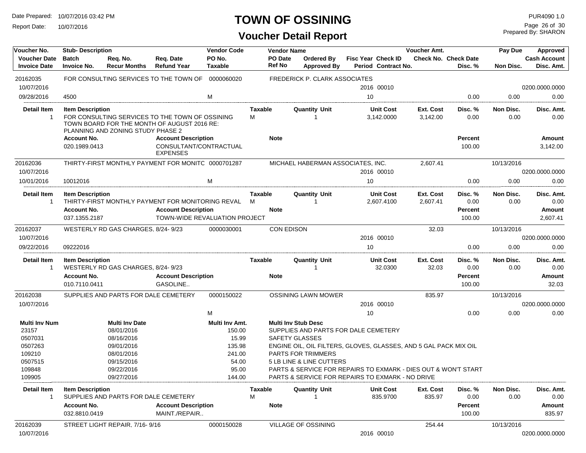Report Date: 10/07/2016

## **TOWN OF OSSINING**

Prepared By: SHARON Page 26 of 30

| Voucher No.                                | <b>Stub-Description</b>                                        |                                    |                                                                                                                  | <b>Vendor Code</b>       |              | <b>Vendor Name</b> |                                                                  |    |                                                  | Voucher Amt.          |                                        | Pay Due           | Approved                                        |
|--------------------------------------------|----------------------------------------------------------------|------------------------------------|------------------------------------------------------------------------------------------------------------------|--------------------------|--------------|--------------------|------------------------------------------------------------------|----|--------------------------------------------------|-----------------------|----------------------------------------|-------------------|-------------------------------------------------|
| <b>Voucher Date</b><br><b>Invoice Date</b> | <b>Batch</b><br><b>Invoice No.</b>                             | Req. No.<br><b>Recur Months</b>    | Reg. Date<br><b>Refund Year</b>                                                                                  | PO No.<br><b>Taxable</b> |              | PO Date<br>Ref No  | Ordered By<br><b>Approved By</b>                                 |    | <b>Fisc Year Check ID</b><br>Period Contract No. |                       | <b>Check No. Check Date</b><br>Disc. % | Non Disc.         | <b>Cash Account</b><br>Disc. Amt.               |
| 20162035                                   |                                                                |                                    | FOR CONSULTING SERVICES TO THE TOWN OF 0000060020                                                                |                          |              |                    | FREDERICK P. CLARK ASSOCIATES                                    |    |                                                  |                       |                                        |                   |                                                 |
| 10/07/2016                                 |                                                                |                                    |                                                                                                                  |                          |              |                    |                                                                  |    | 2016 00010                                       |                       |                                        |                   | 0200.0000.0000                                  |
| 09/28/2016                                 | 4500                                                           |                                    |                                                                                                                  | M                        |              |                    |                                                                  | 10 |                                                  |                       | 0.00                                   | 0.00              | 0.00                                            |
| <b>Detail Item</b>                         | <b>Item Description</b>                                        |                                    |                                                                                                                  |                          | Taxable      |                    | <b>Quantity Unit</b>                                             |    | <b>Unit Cost</b>                                 | Ext. Cost             | Disc. %                                | Non Disc.         | Disc. Amt.                                      |
| $\mathbf{1}$                               |                                                                | PLANNING AND ZONING STUDY PHASE 2  | FOR CONSULTING SERVICES TO THE TOWN OF OSSINING<br>TOWN BOARD FOR THE MONTH OF AUGUST 2016 RE:                   |                          | М            |                    |                                                                  |    | 3,142.0000                                       | 3,142.00              | 0.00                                   | 0.00              | 0.00                                            |
|                                            | <b>Account No.</b><br>020.1989.0413                            |                                    | <b>Account Description</b><br>CONSULTANT/CONTRACTUAL<br><b>EXPENSES</b>                                          |                          |              | <b>Note</b>        |                                                                  |    |                                                  |                       | <b>Percent</b><br>100.00               |                   | Amount<br>3,142.00                              |
| 20162036                                   |                                                                |                                    | THIRTY-FIRST MONTHLY PAYMENT FOR MONITC 0000701287                                                               |                          |              |                    | MICHAEL HABERMAN ASSOCIATES, INC.                                |    |                                                  | 2,607.41              |                                        | 10/13/2016        |                                                 |
| 10/07/2016                                 |                                                                |                                    |                                                                                                                  |                          |              |                    |                                                                  |    | 2016 00010                                       |                       |                                        |                   | 0200.0000.0000                                  |
| 10/01/2016                                 | 10012016                                                       |                                    |                                                                                                                  | м                        |              |                    |                                                                  | 10 |                                                  |                       | 0.00                                   | 0.00              | 0.00                                            |
| <b>Detail Item</b><br>$\overline{1}$       | <b>Item Description</b><br><b>Account No.</b><br>037.1355.2187 |                                    | THIRTY-FIRST MONTHLY PAYMENT FOR MONITORING REVAL<br><b>Account Description</b><br>TOWN-WIDE REVALUATION PROJECT |                          | Taxable<br>М | <b>Note</b>        | <b>Quantity Unit</b><br>1                                        |    | <b>Unit Cost</b><br>2,607.4100                   | Ext. Cost<br>2,607.41 | Disc. %<br>0.00<br>Percent<br>100.00   | Non Disc.<br>0.00 | Disc. Amt.<br>0.00<br><b>Amount</b><br>2,607.41 |
|                                            |                                                                |                                    |                                                                                                                  |                          |              |                    |                                                                  |    |                                                  |                       |                                        |                   |                                                 |
| 20162037                                   |                                                                | WESTERLY RD GAS CHARGES, 8/24-9/23 |                                                                                                                  | 0000030001               |              | <b>CON EDISON</b>  |                                                                  |    |                                                  | 32.03                 |                                        | 10/13/2016        |                                                 |
| 10/07/2016                                 |                                                                |                                    |                                                                                                                  |                          |              |                    |                                                                  |    | 2016 00010                                       |                       |                                        |                   | 0200.0000.0000                                  |
| 09/22/2016                                 | 09222016                                                       |                                    |                                                                                                                  |                          |              |                    |                                                                  | 10 |                                                  |                       | 0.00                                   | 0.00              | 0.00                                            |
| <b>Detail Item</b><br>$\overline{1}$       | <b>Item Description</b>                                        | WESTERLY RD GAS CHARGES, 8/24-9/23 |                                                                                                                  |                          | Taxable      |                    | <b>Quantity Unit</b>                                             |    | <b>Unit Cost</b><br>32.0300                      | Ext. Cost<br>32.03    | Disc. %<br>0.00                        | Non Disc.<br>0.00 | Disc. Amt.<br>0.00                              |
|                                            | <b>Account No.</b><br>010.7110.0411                            |                                    | <b>Account Description</b><br>GASOLINE                                                                           |                          |              | <b>Note</b>        |                                                                  |    |                                                  |                       | Percent<br>100.00                      |                   | Amount<br>32.03                                 |
| 20162038                                   |                                                                |                                    | SUPPLIES AND PARTS FOR DALE CEMETERY                                                                             | 0000150022               |              |                    | <b>OSSINING LAWN MOWER</b>                                       |    |                                                  | 835.97                |                                        | 10/13/2016        |                                                 |
| 10/07/2016                                 |                                                                |                                    |                                                                                                                  |                          |              |                    |                                                                  |    | 2016 00010                                       |                       |                                        |                   | 0200.0000.0000                                  |
|                                            |                                                                |                                    |                                                                                                                  | M                        |              |                    |                                                                  | 10 |                                                  |                       | 0.00                                   | 0.00              | 0.00                                            |
| <b>Multi Inv Num</b>                       |                                                                | <b>Multi Inv Date</b>              |                                                                                                                  | Multi Inv Amt.           |              |                    | <b>Multi Inv Stub Desc</b>                                       |    |                                                  |                       |                                        |                   |                                                 |
| 23157                                      |                                                                | 08/01/2016                         |                                                                                                                  | 150.00                   |              |                    | SUPPLIES AND PARTS FOR DALE CEMETERY                             |    |                                                  |                       |                                        |                   |                                                 |
| 0507031                                    |                                                                | 08/16/2016                         |                                                                                                                  | 15.99                    |              |                    | SAFETY GLASSES                                                   |    |                                                  |                       |                                        |                   |                                                 |
| 0507263                                    |                                                                | 09/01/2016                         |                                                                                                                  | 135.98                   |              |                    | ENGINE OIL, OIL FILTERS, GLOVES, GLASSES, AND 5 GAL PACK MIX OIL |    |                                                  |                       |                                        |                   |                                                 |
| 109210                                     |                                                                | 08/01/2016                         |                                                                                                                  | 241.00                   |              |                    | <b>PARTS FOR TRIMMERS</b>                                        |    |                                                  |                       |                                        |                   |                                                 |
| 0507515                                    |                                                                | 09/15/2016                         |                                                                                                                  | 54.00                    |              |                    | <b>5 LB LINE &amp; LINE CUTTERS</b>                              |    |                                                  |                       |                                        |                   |                                                 |
| 109848                                     |                                                                | 09/22/2016                         |                                                                                                                  | 95.00                    |              |                    | PARTS & SERVICE FOR REPAIRS TO EXMARK - DIES OUT & WON'T START   |    |                                                  |                       |                                        |                   |                                                 |
| 109905                                     |                                                                | 09/27/2016                         |                                                                                                                  | 144.00                   |              |                    | PARTS & SERVICE FOR REPAIRS TO EXMARK - NO DRIVE                 |    |                                                  |                       |                                        |                   |                                                 |
| Detail Item                                |                                                                |                                    |                                                                                                                  |                          |              |                    | <b>Quantity Unit</b>                                             |    |                                                  |                       |                                        |                   |                                                 |
| 1                                          | <b>Item Description</b>                                        |                                    |                                                                                                                  |                          | Taxable      |                    |                                                                  |    | <b>Unit Cost</b>                                 | Ext. Cost             | Disc. %                                | Non Disc.         | Disc. Amt.                                      |
|                                            |                                                                |                                    | SUPPLIES AND PARTS FOR DALE CEMETERY                                                                             |                          | м            |                    |                                                                  |    | 835.9700                                         | 835.97                | 0.00                                   | 0.00              | 0.00                                            |
|                                            | <b>Account No.</b>                                             |                                    | <b>Account Description</b>                                                                                       |                          |              | <b>Note</b>        |                                                                  |    |                                                  |                       | Percent                                |                   | Amount                                          |
| 20162039                                   | 032.8810.0419                                                  | STREET LIGHT REPAIR, 7/16-9/16     | MAINT./REPAIR                                                                                                    | 0000150028               |              |                    | VILLAGE OF OSSINING                                              |    |                                                  | 254.44                | 100.00                                 | 10/13/2016        | 835.97                                          |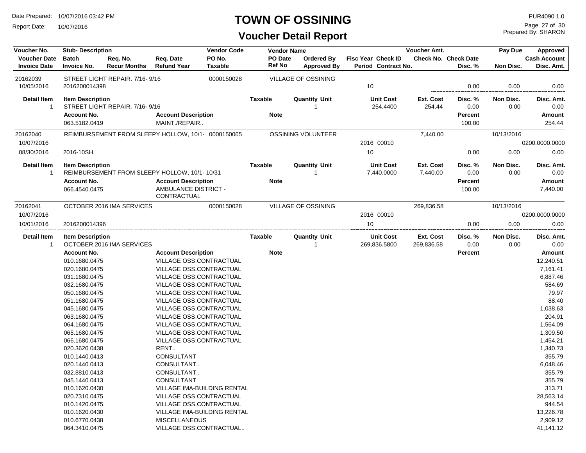Report Date: 10/07/2016

#### **TOWN OF OSSINING**

**Voucher Detail Report**

Prepared By: SHARON Page 27 of 30

| Voucher No.                                | <b>Stub-Description</b>            |                                 |                                                    | <b>Vendor Code</b>          | <b>Vendor Name</b> |                                         |                                           | Voucher Amt. |                                        | Pay Due    | Approved                          |
|--------------------------------------------|------------------------------------|---------------------------------|----------------------------------------------------|-----------------------------|--------------------|-----------------------------------------|-------------------------------------------|--------------|----------------------------------------|------------|-----------------------------------|
| <b>Voucher Date</b><br><b>Invoice Date</b> | <b>Batch</b><br><b>Invoice No.</b> | Req. No.<br><b>Recur Months</b> | Req. Date<br><b>Refund Year</b>                    | PO No.<br><b>Taxable</b>    | PO Date<br>Ref No  | <b>Ordered By</b><br><b>Approved By</b> | Fisc Year Check ID<br>Period Contract No. |              | <b>Check No. Check Date</b><br>Disc. % | Non Disc.  | <b>Cash Account</b><br>Disc. Amt. |
| 20162039                                   |                                    | STREET LIGHT REPAIR, 7/16-9/16  |                                                    | 0000150028                  |                    | <b>VILLAGE OF OSSINING</b>              |                                           |              |                                        |            |                                   |
| 10/05/2016                                 | 2016200014398                      |                                 |                                                    |                             |                    |                                         | 10                                        |              | 0.00                                   | 0.00       | 0.00                              |
| Detail Item                                | <b>Item Description</b>            |                                 |                                                    |                             | Taxable            | Quantity Unit                           | <b>Unit Cost</b>                          | Ext. Cost    | Disc. %                                | Non Disc.  | Disc. Amt.                        |
| 1                                          |                                    | STREET LIGHT REPAIR, 7/16-9/16  |                                                    |                             |                    |                                         | 254.4400                                  | 254.44       | 0.00                                   | 0.00       | 0.00                              |
|                                            | <b>Account No.</b>                 |                                 | <b>Account Description</b>                         |                             | <b>Note</b>        |                                         |                                           |              | Percent                                |            | <b>Amount</b>                     |
|                                            | 063.5182.0419                      |                                 | MAINT./REPAIR                                      |                             |                    |                                         |                                           |              | 100.00                                 |            | 254.44                            |
| 20162040                                   |                                    |                                 | REIMBURSEMENT FROM SLEEPY HOLLOW, 10/1- 0000150005 |                             |                    | OSSINING VOLUNTEER                      |                                           | 7.440.00     |                                        | 10/13/2016 |                                   |
| 10/07/2016                                 |                                    |                                 |                                                    |                             |                    |                                         | 2016 00010                                |              |                                        |            | 0200.0000.0000                    |
| 08/30/2016                                 | 2016-10SH                          |                                 |                                                    |                             |                    |                                         | 10                                        |              | 0.00                                   | 0.00       | 0.00                              |
| Detail Item                                | <b>Item Description</b>            |                                 |                                                    |                             | Taxable            | <b>Quantity Unit</b>                    | <b>Unit Cost</b>                          | Ext. Cost    | Disc. %                                | Non Disc.  | Disc. Amt.                        |
| 1                                          |                                    |                                 | REIMBURSEMENT FROM SLEEPY HOLLOW, 10/1-10/31       |                             |                    |                                         | 7,440.0000                                | 7,440.00     | 0.00                                   | 0.00       | 0.00                              |
|                                            | <b>Account No.</b>                 |                                 | <b>Account Description</b>                         |                             | <b>Note</b>        |                                         |                                           |              | Percent                                |            | <b>Amount</b>                     |
|                                            | 066.4540.0475                      |                                 | AMBULANCE DISTRICT -<br>CONTRACTUAL                |                             |                    |                                         |                                           |              | 100.00                                 |            | 7,440.00                          |
| 20162041                                   |                                    | OCTOBER 2016 IMA SERVICES       |                                                    | 0000150028                  |                    | VILLAGE OF OSSINING                     |                                           | 269,836.58   |                                        | 10/13/2016 |                                   |
| 10/07/2016                                 |                                    |                                 |                                                    |                             |                    |                                         | 2016 00010                                |              |                                        |            | 0200.0000.0000                    |
| 10/01/2016                                 | 2016200014396                      |                                 |                                                    |                             |                    |                                         | 10                                        |              | 0.00                                   | 0.00       | 0.00                              |
| Detail Item                                | <b>Item Description</b>            |                                 |                                                    |                             | Taxable            | <b>Quantity Unit</b>                    | <b>Unit Cost</b>                          | Ext. Cost    | Disc. %                                | Non Disc.  | Disc. Amt.                        |
| 1                                          |                                    | OCTOBER 2016 IMA SERVICES       |                                                    |                             |                    |                                         | 269,836.5800                              | 269,836.58   | 0.00                                   | 0.00       | 0.00                              |
|                                            | <b>Account No.</b>                 |                                 | <b>Account Description</b>                         |                             | <b>Note</b>        |                                         |                                           |              | Percent                                |            | <b>Amount</b>                     |
|                                            | 010.1680.0475                      |                                 | VILLAGE OSS.CONTRACTUAL                            |                             |                    |                                         |                                           |              |                                        |            | 12,240.51                         |
|                                            | 020.1680.0475                      |                                 | VILLAGE OSS.CONTRACTUAL                            |                             |                    |                                         |                                           |              |                                        |            | 7,161.41                          |
|                                            | 031.1680.0475                      |                                 | VILLAGE OSS.CONTRACTUAL                            |                             |                    |                                         |                                           |              |                                        |            | 6,887.46                          |
|                                            | 032.1680.0475                      |                                 | VILLAGE OSS.CONTRACTUAL                            |                             |                    |                                         |                                           |              |                                        |            | 584.69                            |
|                                            | 050.1680.0475                      |                                 | VILLAGE OSS.CONTRACTUAL                            |                             |                    |                                         |                                           |              |                                        |            | 79.97                             |
|                                            | 051.1680.0475                      |                                 | VILLAGE OSS.CONTRACTUAL                            |                             |                    |                                         |                                           |              |                                        |            | 88.40                             |
|                                            | 045.1680.0475                      |                                 | VILLAGE OSS.CONTRACTUAL                            |                             |                    |                                         |                                           |              |                                        |            | 1,038.63                          |
|                                            | 063.1680.0475                      |                                 | VILLAGE OSS.CONTRACTUAL                            |                             |                    |                                         |                                           |              |                                        |            | 204.91                            |
|                                            | 064.1680.0475                      |                                 | VILLAGE OSS.CONTRACTUAL                            |                             |                    |                                         |                                           |              |                                        |            | 1,564.09                          |
|                                            | 065.1680.0475                      |                                 | VILLAGE OSS.CONTRACTUAL                            |                             |                    |                                         |                                           |              |                                        |            | 1,309.50                          |
|                                            | 066.1680.0475                      |                                 | VILLAGE OSS.CONTRACTUAL                            |                             |                    |                                         |                                           |              |                                        |            | 1,454.21                          |
|                                            | 020.3620.0438                      |                                 | RENT                                               |                             |                    |                                         |                                           |              |                                        |            | 1,340.73                          |
|                                            | 010.1440.0413                      |                                 | CONSULTANT                                         |                             |                    |                                         |                                           |              |                                        |            | 355.79                            |
|                                            | 020.1440.0413                      |                                 | CONSULTANT                                         |                             |                    |                                         |                                           |              |                                        |            | 6,048.46                          |
|                                            | 032.8810.0413                      |                                 | CONSULTANT                                         |                             |                    |                                         |                                           |              |                                        |            | 355.79                            |
|                                            | 045.1440.0413                      |                                 | CONSULTANT                                         |                             |                    |                                         |                                           |              |                                        |            | 355.79                            |
|                                            | 010.1620.0430<br>020.7310.0475     |                                 | VILLAGE OSS.CONTRACTUAL                            | VILLAGE IMA-BUILDING RENTAL |                    |                                         |                                           |              |                                        |            | 313.71<br>28,563.14               |
|                                            | 010.1420.0475                      |                                 | VILLAGE OSS.CONTRACTUAL                            |                             |                    |                                         |                                           |              |                                        |            | 944.54                            |
|                                            | 010.1620.0430                      |                                 |                                                    | VILLAGE IMA-BUILDING RENTAL |                    |                                         |                                           |              |                                        |            | 13,226.78                         |
|                                            | 010.6770.0438                      |                                 | <b>MISCELLANEOUS</b>                               |                             |                    |                                         |                                           |              |                                        |            | 2,909.12                          |
|                                            | 064.3410.0475                      |                                 |                                                    | VILLAGE OSS.CONTRACTUAL     |                    |                                         |                                           |              |                                        |            | 41,141.12                         |
|                                            |                                    |                                 |                                                    |                             |                    |                                         |                                           |              |                                        |            |                                   |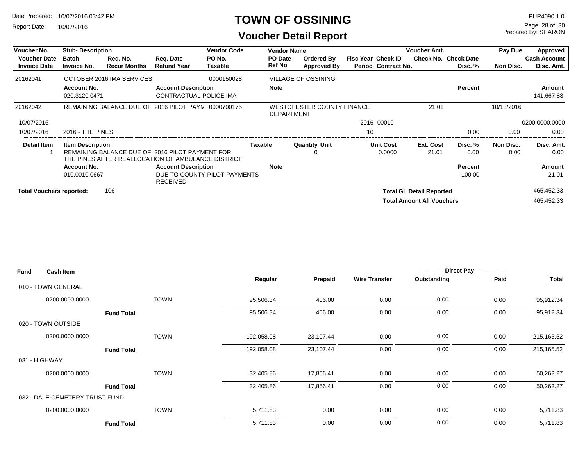Report Date: 10/07/2016

#### **TOWN OF OSSINING**

Prepared By: SHARON Page 28 of 30

| Voucher No.                                | <b>Stub-Description</b>            |                                 |                                                                                                       | <b>Vendor Code</b><br><b>Vendor Name</b> |                          |                                                        |                           |                     | Voucher Amt.                     |                                        | Pay Due    | Approved                          |
|--------------------------------------------|------------------------------------|---------------------------------|-------------------------------------------------------------------------------------------------------|------------------------------------------|--------------------------|--------------------------------------------------------|---------------------------|---------------------|----------------------------------|----------------------------------------|------------|-----------------------------------|
| <b>Voucher Date</b><br><b>Invoice Date</b> | <b>Batch</b><br><b>Invoice No.</b> | Req. No.<br><b>Recur Months</b> | Reg. Date<br><b>Refund Year</b>                                                                       | PO No.<br>Taxable                        | PO Date<br><b>Ref No</b> | Ordered By<br>Approved By                              | <b>Fisc Year Check ID</b> | Period Contract No. |                                  | <b>Check No. Check Date</b><br>Disc. % | Non Disc.  | <b>Cash Account</b><br>Disc. Amt. |
| 20162041                                   |                                    | OCTOBER 2016 IMA SERVICES       |                                                                                                       | 0000150028                               |                          | <b>VILLAGE OF OSSINING</b>                             |                           |                     |                                  |                                        |            |                                   |
|                                            | <b>Account No.</b>                 |                                 | <b>Account Description</b>                                                                            |                                          | <b>Note</b>              |                                                        |                           |                     |                                  | Percent                                |            | Amount                            |
|                                            | 020.3120.0471                      |                                 | CONTRACTUAL-POLICE IMA                                                                                |                                          |                          |                                                        |                           |                     |                                  |                                        |            | 141,667.83                        |
| 20162042                                   |                                    |                                 | REMAINING BALANCE DUE OF 2016 PILOT PAYN 0000700175                                                   |                                          |                          | <b>WESTCHESTER COUNTY FINANCE</b><br><b>DEPARTMENT</b> |                           |                     | 21.01                            |                                        | 10/13/2016 |                                   |
| 10/07/2016                                 |                                    |                                 |                                                                                                       |                                          |                          |                                                        |                           | 2016 00010          |                                  |                                        |            | 0200.0000.0000                    |
| 10/07/2016                                 | <b>2016 - THE PINES</b>            |                                 |                                                                                                       |                                          |                          |                                                        | 10                        |                     |                                  | 0.00                                   | 0.00       | 0.00                              |
| Detail Item                                | <b>Item Description</b>            |                                 |                                                                                                       |                                          | Taxable                  | <b>Quantity Unit</b>                                   |                           | <b>Unit Cost</b>    | Ext. Cost                        | Disc. %                                | Non Disc.  | Disc. Amt.                        |
|                                            |                                    |                                 | REMAINING BALANCE DUE OF 2016 PILOT PAYMENT FOR<br>THE PINES AFTER REALLOCATION OF AMBULANCE DISTRICT |                                          |                          | 0                                                      |                           | 0.0000              | 21.01                            | 0.00                                   | 0.00       | 0.00                              |
|                                            | <b>Account No.</b>                 |                                 | <b>Account Description</b>                                                                            |                                          | <b>Note</b>              |                                                        |                           |                     |                                  | Percent                                |            | Amount                            |
|                                            | 010.0010.0667                      |                                 | DUE TO COUNTY-PILOT PAYMENTS<br><b>RECEIVED</b>                                                       |                                          |                          |                                                        |                           |                     |                                  | 100.00                                 |            | 21.01                             |
| <b>Total Vouchers reported:</b>            |                                    | 106                             |                                                                                                       |                                          |                          |                                                        |                           |                     | <b>Total GL Detail Reported</b>  |                                        |            | 465,452.33                        |
|                                            |                                    |                                 |                                                                                                       |                                          |                          |                                                        |                           |                     | <b>Total Amount All Vouchers</b> |                                        |            | 465.452.33                        |

| <b>Fund</b><br><b>Cash Item</b> |                   |            |           |                      | $-----$ Direct Pay --- | ------- |            |
|---------------------------------|-------------------|------------|-----------|----------------------|------------------------|---------|------------|
|                                 |                   | Regular    | Prepaid   | <b>Wire Transfer</b> | Outstanding            | Paid    | Total      |
| 010 - TOWN GENERAL              |                   |            |           |                      |                        |         |            |
| 0200.0000.0000                  | <b>TOWN</b>       | 95,506.34  | 406.00    | 0.00                 | 0.00                   | 0.00    | 95,912.34  |
|                                 | <b>Fund Total</b> | 95,506.34  | 406.00    | 0.00                 | 0.00                   | 0.00    | 95,912.34  |
| 020 - TOWN OUTSIDE              |                   |            |           |                      |                        |         |            |
| 0200.0000.0000                  | <b>TOWN</b>       | 192,058.08 | 23,107.44 | 0.00                 | 0.00                   | 0.00    | 215,165.52 |
|                                 | <b>Fund Total</b> | 192,058.08 | 23,107.44 | 0.00                 | 0.00                   | 0.00    | 215,165.52 |
| 031 - HIGHWAY                   |                   |            |           |                      |                        |         |            |
| 0200.0000.0000                  | <b>TOWN</b>       | 32,405.86  | 17,856.41 | 0.00                 | 0.00                   | 0.00    | 50,262.27  |
|                                 | <b>Fund Total</b> | 32,405.86  | 17,856.41 | 0.00                 | 0.00                   | 0.00    | 50,262.27  |
| 032 - DALE CEMETERY TRUST FUND  |                   |            |           |                      |                        |         |            |
| 0200.0000.0000                  | <b>TOWN</b>       | 5,711.83   | 0.00      | 0.00                 | 0.00                   | 0.00    | 5,711.83   |
|                                 | <b>Fund Total</b> | 5,711.83   | 0.00      | 0.00                 | 0.00                   | 0.00    | 5,711.83   |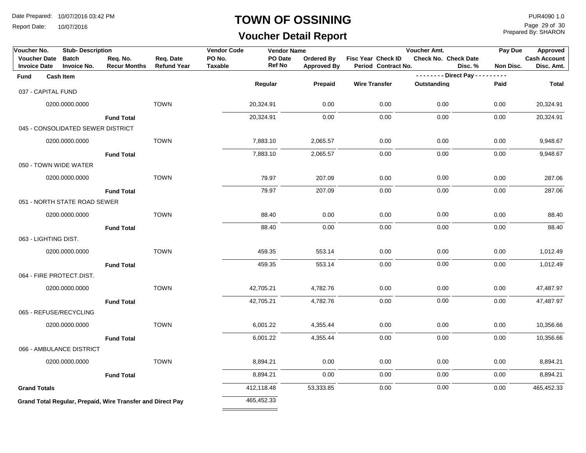Report Date: 10/07/2016

#### **TOWN OF OSSINING**

## **Voucher Detail Report**

Prepared By: SHARON Page 29 of 30

| Voucher No.         |                      | <b>Stub-Description</b>            |                                                            |                                 | <b>Vendor Code</b>       | <b>Vendor Name</b>       |                                  |                                           | Voucher Amt.            |         | Pay Due   | Approved                          |
|---------------------|----------------------|------------------------------------|------------------------------------------------------------|---------------------------------|--------------------------|--------------------------|----------------------------------|-------------------------------------------|-------------------------|---------|-----------|-----------------------------------|
| <b>Invoice Date</b> | <b>Voucher Date</b>  | <b>Batch</b><br><b>Invoice No.</b> | Req. No.<br><b>Recur Months</b>                            | Req. Date<br><b>Refund Year</b> | PO No.<br><b>Taxable</b> | PO Date<br><b>Ref No</b> | Ordered By<br><b>Approved By</b> | Fisc Year Check ID<br>Period Contract No. | Check No. Check Date    | Disc. % | Non Disc. | <b>Cash Account</b><br>Disc. Amt. |
| Fund                |                      | <b>Cash Item</b>                   |                                                            |                                 |                          |                          |                                  |                                           | -------- Direct Pay --- |         | $- - - -$ |                                   |
|                     | 037 - CAPITAL FUND   |                                    |                                                            |                                 |                          | Regular                  | Prepaid                          | <b>Wire Transfer</b>                      | Outstanding             |         | Paid      | Total                             |
|                     |                      | 0200.0000.0000                     |                                                            | <b>TOWN</b>                     |                          | 20,324.91                | 0.00                             | 0.00                                      | 0.00                    |         | 0.00      | 20,324.91                         |
|                     |                      |                                    |                                                            |                                 |                          |                          |                                  |                                           |                         |         |           |                                   |
|                     |                      |                                    | <b>Fund Total</b>                                          |                                 |                          | 20,324.91                | 0.00                             | 0.00                                      | 0.00                    |         | 0.00      | 20,324.91                         |
|                     |                      | 045 - CONSOLIDATED SEWER DISTRICT  |                                                            |                                 |                          |                          |                                  |                                           |                         |         |           |                                   |
|                     |                      | 0200.0000.0000                     |                                                            | <b>TOWN</b>                     |                          | 7,883.10                 | 2,065.57                         | 0.00                                      | 0.00                    |         | 0.00      | 9,948.67                          |
|                     |                      |                                    | <b>Fund Total</b>                                          |                                 |                          | 7,883.10                 | 2,065.57                         | 0.00                                      | 0.00                    |         | 0.00      | 9,948.67                          |
|                     |                      | 050 - TOWN WIDE WATER              |                                                            |                                 |                          |                          |                                  |                                           |                         |         |           |                                   |
|                     |                      | 0200.0000.0000                     |                                                            | <b>TOWN</b>                     |                          | 79.97                    | 207.09                           | 0.00                                      | 0.00                    |         | 0.00      | 287.06                            |
|                     |                      |                                    | <b>Fund Total</b>                                          |                                 |                          | 79.97                    | 207.09                           | 0.00                                      | 0.00                    |         | 0.00      | 287.06                            |
|                     |                      | 051 - NORTH STATE ROAD SEWER       |                                                            |                                 |                          |                          |                                  |                                           |                         |         |           |                                   |
|                     |                      | 0200.0000.0000                     |                                                            | <b>TOWN</b>                     |                          | 88.40                    | 0.00                             | 0.00                                      | 0.00                    |         | 0.00      | 88.40                             |
|                     |                      |                                    | <b>Fund Total</b>                                          |                                 |                          | 88.40                    | 0.00                             | 0.00                                      | 0.00                    |         | 0.00      | 88.40                             |
|                     | 063 - LIGHTING DIST. |                                    |                                                            |                                 |                          |                          |                                  |                                           |                         |         |           |                                   |
|                     |                      | 0200.0000.0000                     |                                                            | <b>TOWN</b>                     |                          | 459.35                   | 553.14                           | 0.00                                      | 0.00                    |         | 0.00      | 1,012.49                          |
|                     |                      |                                    | <b>Fund Total</b>                                          |                                 |                          | 459.35                   | 553.14                           | 0.00                                      | 0.00                    |         | 0.00      | 1,012.49                          |
|                     |                      | 064 - FIRE PROTECT.DIST.           |                                                            |                                 |                          |                          |                                  |                                           |                         |         |           |                                   |
|                     |                      | 0200.0000.0000                     |                                                            | <b>TOWN</b>                     |                          | 42,705.21                | 4,782.76                         | 0.00                                      | 0.00                    |         | 0.00      | 47,487.97                         |
|                     |                      |                                    | <b>Fund Total</b>                                          |                                 |                          | 42,705.21                | 4,782.76                         | 0.00                                      | 0.00                    |         | 0.00      | 47,487.97                         |
|                     |                      | 065 - REFUSE/RECYCLING             |                                                            |                                 |                          |                          |                                  |                                           |                         |         |           |                                   |
|                     |                      | 0200.0000.0000                     |                                                            | <b>TOWN</b>                     |                          | 6,001.22                 | 4,355.44                         | 0.00                                      | 0.00                    |         | 0.00      | 10,356.66                         |
|                     |                      |                                    | <b>Fund Total</b>                                          |                                 |                          | 6,001.22                 | 4,355.44                         | 0.00                                      | 0.00                    |         | 0.00      | 10,356.66                         |
|                     |                      | 066 - AMBULANCE DISTRICT           |                                                            |                                 |                          |                          |                                  |                                           |                         |         |           |                                   |
|                     |                      | 0200.0000.0000                     |                                                            | <b>TOWN</b>                     |                          | 8,894.21                 | 0.00                             | 0.00                                      | 0.00                    |         | 0.00      | 8,894.21                          |
|                     |                      |                                    | <b>Fund Total</b>                                          |                                 |                          | 8,894.21                 | 0.00                             | 0.00                                      | 0.00                    |         | 0.00      | 8,894.21                          |
| <b>Grand Totals</b> |                      |                                    |                                                            |                                 |                          | 412,118.48               | 53,333.85                        | 0.00                                      | 0.00                    |         | 0.00      | 465,452.33                        |
|                     |                      |                                    | Grand Total Regular, Prepaid, Wire Transfer and Direct Pay |                                 |                          | 465,452.33               |                                  |                                           |                         |         |           |                                   |
|                     |                      |                                    |                                                            |                                 |                          |                          |                                  |                                           |                         |         |           |                                   |